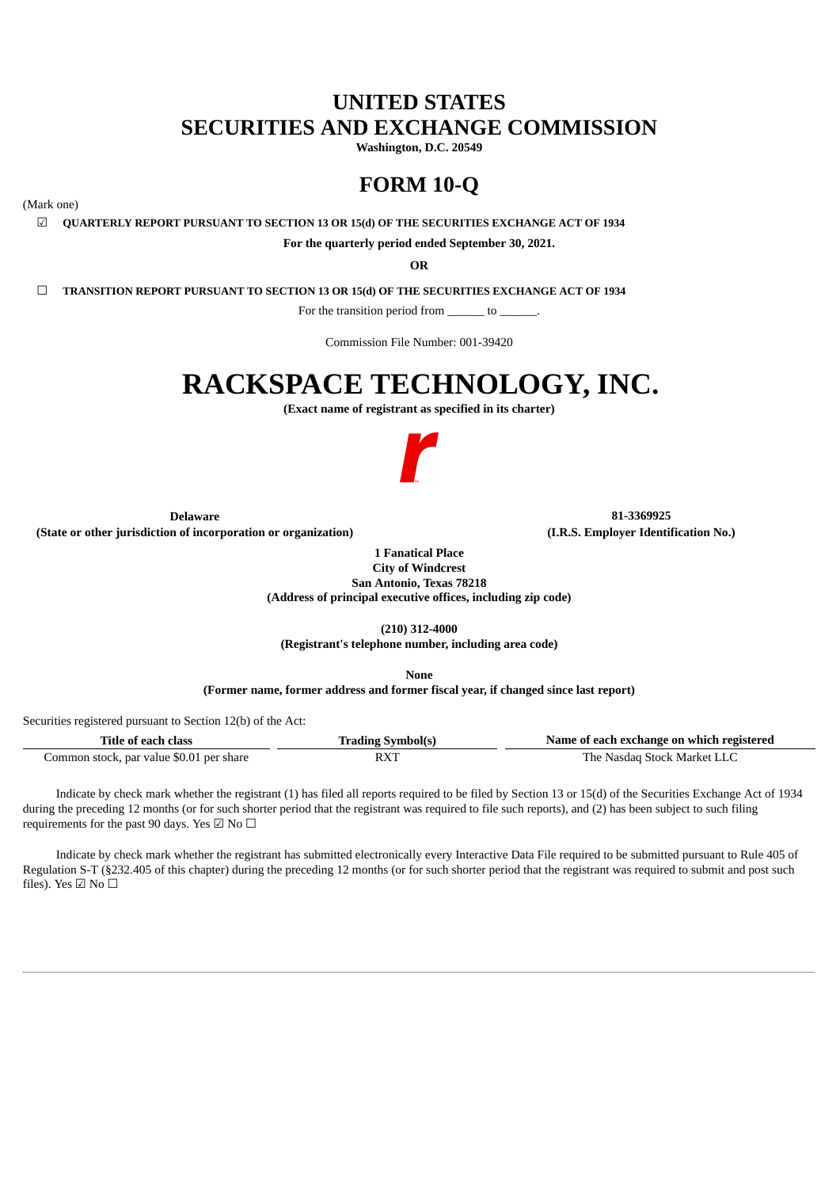# **UNITED STATES SECURITIES AND EXCHANGE COMMISSION**

**Washington, D.C. 20549**

# **FORM 10-Q**

(Mark one)

☑ **QUARTERLY REPORT PURSUANT TO SECTION 13 OR 15(d) OF THE SECURITIES EXCHANGE ACT OF 1934**

**For the quarterly period ended September 30, 2021.**

**OR**

☐ **TRANSITION REPORT PURSUANT TO SECTION 13 OR 15(d) OF THE SECURITIES EXCHANGE ACT OF 1934**

For the transition period from \_\_\_\_\_\_\_\_ to \_\_\_\_\_

Commission File Number: 001-39420

# **RACKSPACE TECHNOLOGY, INC.**

**(Exact name of registrant as specified in its charter)**



**Delaware 81-3369925 (State or other jurisdiction of incorporation or organization) (I.R.S. Employer Identification No.)**

**1 Fanatical Place City of Windcrest**

**San Antonio, Texas 78218 (Address of principal executive offices, including zip code)**

**(210) 312-4000**

**(Registrant's telephone number, including area code)**

**None**

**(Former name, former address and former fiscal year, if changed since last report)**

Securities registered pursuant to Section 12(b) of the Act:

| Title of each class                      | Trading Svmbol(s) | Name of each exchange on which registered |
|------------------------------------------|-------------------|-------------------------------------------|
| Common stock, par value \$0.01 per share |                   | The Nasdag Stock Market LLC               |

Indicate by check mark whether the registrant (1) has filed all reports required to be filed by Section 13 or 15(d) of the Securities Exchange Act of 1934 during the preceding 12 months (or for such shorter period that the registrant was required to file such reports), and (2) has been subject to such filing requirements for the past 90 days. Yes  $\Box$  No  $\Box$ 

Indicate by check mark whether the registrant has submitted electronically every Interactive Data File required to be submitted pursuant to Rule 405 of Regulation S-T (§232.405 of this chapter) during the preceding 12 months (or for such shorter period that the registrant was required to submit and post such files). Yes ☑ No □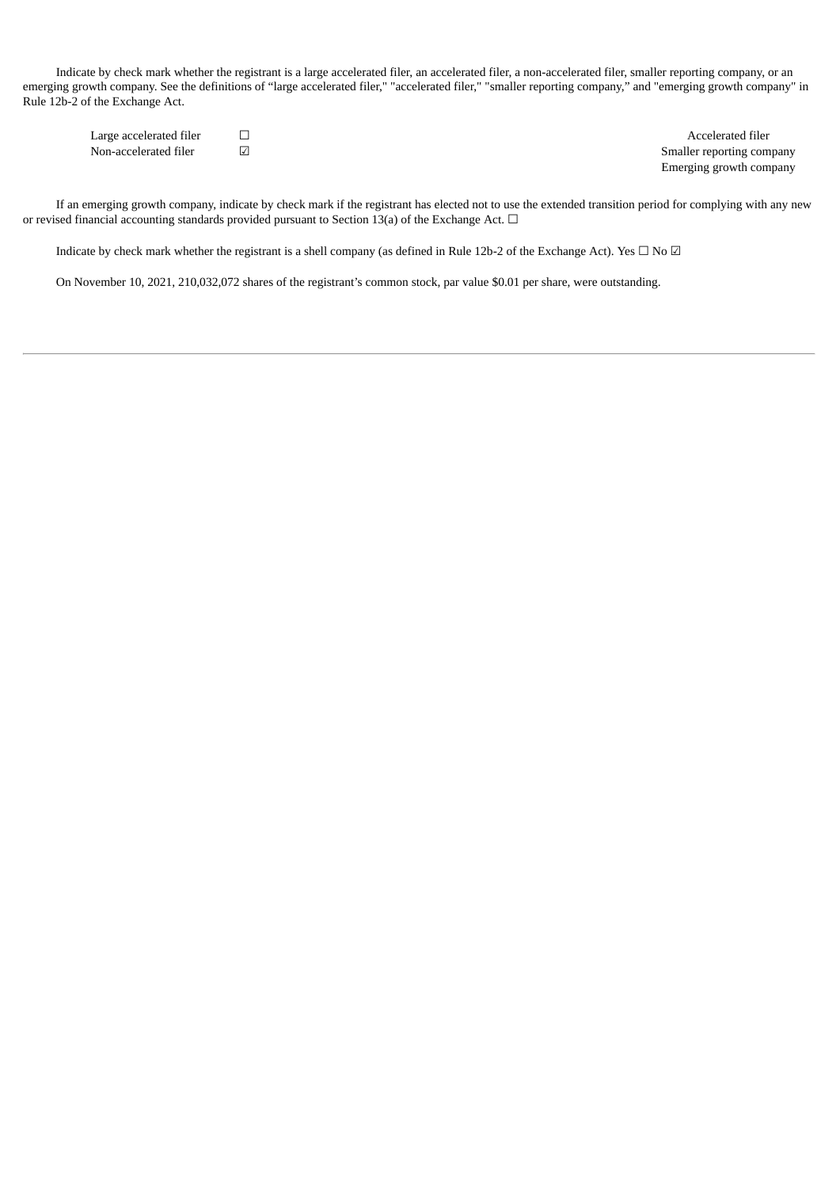Indicate by check mark whether the registrant is a large accelerated filer, an accelerated filer, a non-accelerated filer, smaller reporting company, or an emerging growth company. See the definitions of "large accelerated filer," "accelerated filer," "smaller reporting company," and "emerging growth company" in Rule 12b-2 of the Exchange Act.

Large accelerated filer ☐ Accelerated filer Non-accelerated filer ☑ Smaller reporting company

Emerging growth company

If an emerging growth company, indicate by check mark if the registrant has elected not to use the extended transition period for complying with any new or revised financial accounting standards provided pursuant to Section 13(a) of the Exchange Act.  $\Box$ 

Indicate by check mark whether the registrant is a shell company (as defined in Rule 12b-2 of the Exchange Act). Yes  $\Box$  No  $\Box$ 

<span id="page-1-0"></span>On November 10, 2021, 210,032,072 shares of the registrant's common stock, par value \$0.01 per share, were outstanding.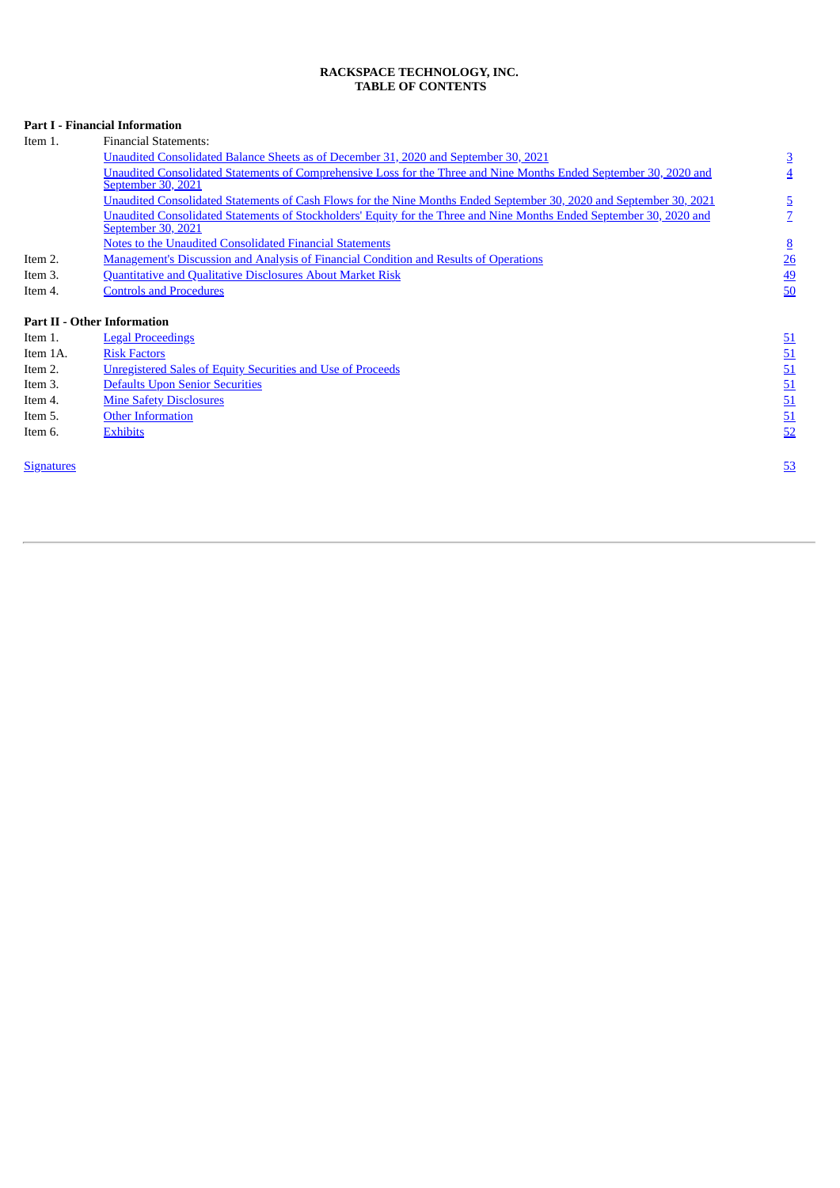# **RACKSPACE TECHNOLOGY, INC. TABLE OF CONTENTS**

# **Part I - Financial Information**

| Item 1.           | <b>Financial Statements:</b>                                                                                         |                 |
|-------------------|----------------------------------------------------------------------------------------------------------------------|-----------------|
|                   | <u>Unaudited Consolidated Balance Sheets as of December 31, 2020 and September 30, 2021</u>                          | <u>3</u>        |
|                   | Unaudited Consolidated Statements of Comprehensive Loss for the Three and Nine Months Ended September 30, 2020 and   | $\overline{4}$  |
|                   | <b>September 30, 2021</b>                                                                                            |                 |
|                   | Unaudited Consolidated Statements of Cash Flows for the Nine Months Ended September 30, 2020 and September 30, 2021  | $\overline{5}$  |
|                   | Unaudited Consolidated Statements of Stockholders' Equity for the Three and Nine Months Ended September 30, 2020 and | $\overline{Z}$  |
|                   | <b>September 30, 2021</b>                                                                                            |                 |
|                   | Notes to the Unaudited Consolidated Financial Statements                                                             | $\underline{8}$ |
| Item 2.           | Management's Discussion and Analysis of Financial Condition and Results of Operations                                | $\overline{26}$ |
| Item 3.           | <b>Quantitative and Qualitative Disclosures About Market Risk</b>                                                    | 49              |
| Item 4.           | <b>Controls and Procedures</b>                                                                                       | 50              |
|                   |                                                                                                                      |                 |
|                   | <b>Part II - Other Information</b>                                                                                   |                 |
| Item 1.           | <b>Legal Proceedings</b>                                                                                             | 51              |
| Item 1A.          | <b>Risk Factors</b>                                                                                                  | 51              |
| Item 2.           | <b>Unregistered Sales of Equity Securities and Use of Proceeds</b>                                                   | 51              |
| Item 3.           | <b>Defaults Upon Senior Securities</b>                                                                               | 51              |
| Item 4.           | <b>Mine Safety Disclosures</b>                                                                                       | 51              |
| Item 5.           | <b>Other Information</b>                                                                                             | 51              |
| Item 6.           | <b>Exhibits</b>                                                                                                      | 52              |
|                   |                                                                                                                      |                 |
| <b>Signatures</b> |                                                                                                                      | <u>53</u>       |
|                   |                                                                                                                      |                 |
|                   |                                                                                                                      |                 |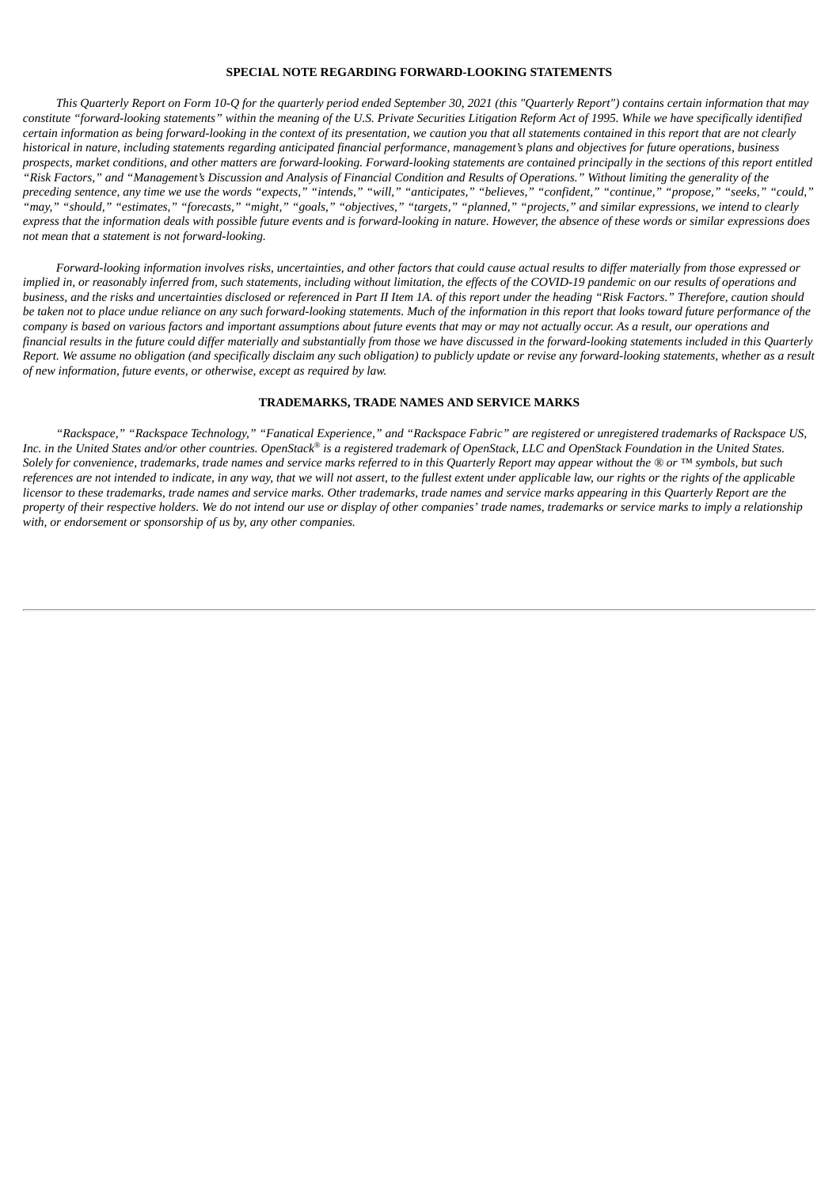# **SPECIAL NOTE REGARDING FORWARD-LOOKING STATEMENTS**

This Quarterly Report on Form 10-Q for the quarterly period ended September 30, 2021 (this "Quarterly Report") contains certain information that may constitute "forward-looking statements" within the meaning of the U.S. Private Securities Litigation Reform Act of 1995. While we have specifically identified certain information as being forward-looking in the context of its presentation, we caution you that all statements contained in this report that are not clearly historical in nature, including statements regarding anticipated financial performance, management's plans and objectives for future operations, business prospects, market conditions, and other matters are forward-looking. Forward-looking statements are contained principally in the sections of this report entitled "Risk Factors," and "Management's Discussion and Analysis of Financial Condition and Results of Operations." Without limiting the generality of the preceding sentence, any time we use the words "expects," "intends," "will," "anticipates," "believes," "confident," "continue," "propose," "seeks," "could," "may," "should," "estimates," "forecasts," "might," "goals," "objectives," "targets," "planned," "projects," and similar expressions, we intend to clearly express that the information deals with possible future events and is forward-looking in nature. However, the absence of these words or similar expressions does *not mean that a statement is not forward-looking.*

Forward-looking information involves risks, uncertainties, and other factors that could cause actual results to differ materially from those expressed or implied in, or reasonably inferred from, such statements, including without limitation, the effects of the COVID-19 pandemic on our results of operations and business, and the risks and uncertainties disclosed or referenced in Part II Item 1A. of this report under the heading "Risk Factors." Therefore, caution should be taken not to place undue reliance on any such forward-looking statements. Much of the information in this report that looks toward future performance of the company is based on various factors and important assumptions about future events that may or may not actually occur. As a result, our operations and financial results in the future could differ materially and substantially from those we have discussed in the forward-looking statements included in this Quarterly Report. We assume no obligation (and specifically disclaim any such obligation) to publicly update or revise any forward-looking statements, whether as a result *of new information, future events, or otherwise, except as required by law.*

### **TRADEMARKS, TRADE NAMES AND SERVICE MARKS**

"Rackspace," "Rackspace Technology," "Fanatical Experience," and "Rackspace Fabric" are registered or unregistered trademarks of Rackspace US, Inc. in the United States and/or other countries. OpenStack® is a registered trademark of OpenStack, LLC and OpenStack Foundation in the United States. Solely for convenience, trademarks, trade names and service marks referred to in this Quarterly Report may appear without the ® or ™ symbols, but such references are not intended to indicate, in any way, that we will not assert, to the fullest extent under applicable law, our rights or the rights of the applicable licensor to these trademarks, trade names and service marks. Other trademarks, trade names and service marks appearing in this Quarterly Report are the property of their respective holders. We do not intend our use or display of other companies' trade names, trademarks or service marks to imply a relationship *with, or endorsement or sponsorship of us by, any other companies.*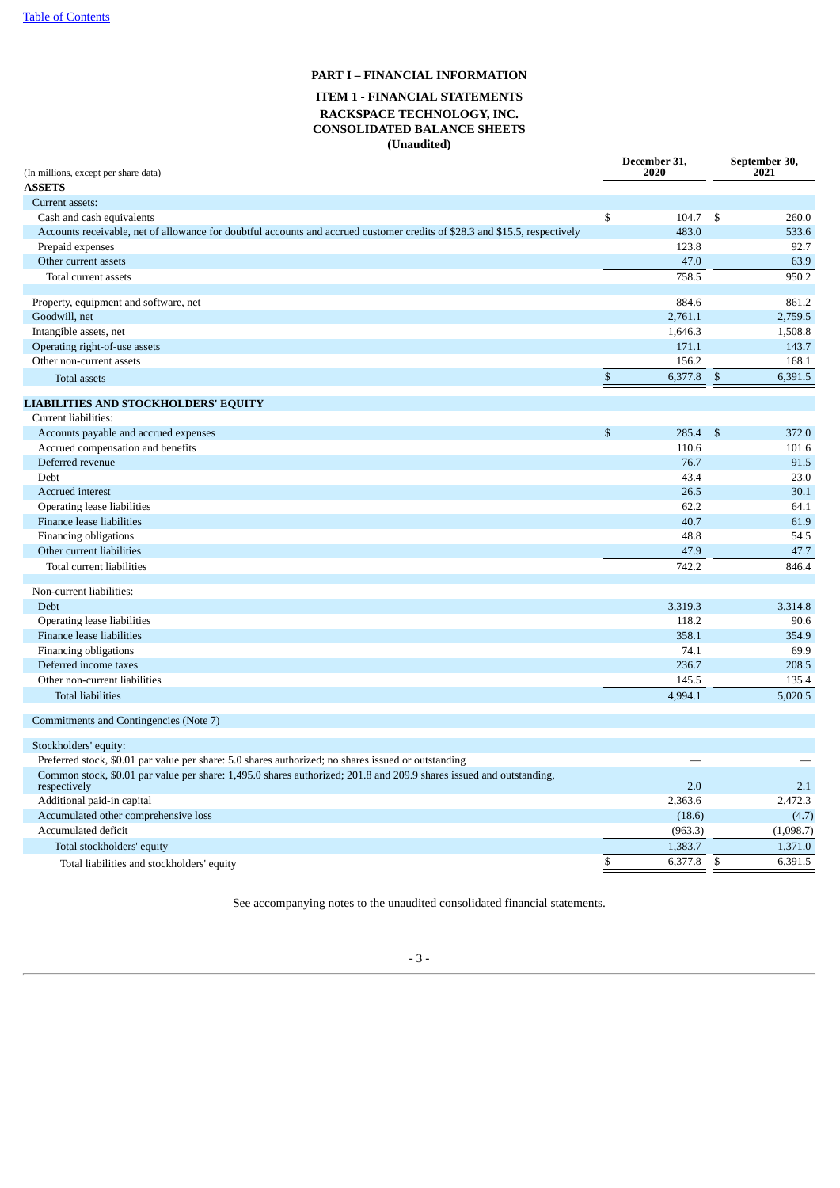# **PART I – FINANCIAL INFORMATION**

# **ITEM 1 - FINANCIAL STATEMENTS RACKSPACE TECHNOLOGY, INC. CONSOLIDATED BALANCE SHEETS (Unaudited)**

<span id="page-4-0"></span>

| (In millions, except per share data)                                                                                                |              | December 31,<br>2020 |                | September 30,<br>2021 |
|-------------------------------------------------------------------------------------------------------------------------------------|--------------|----------------------|----------------|-----------------------|
| <b>ASSETS</b>                                                                                                                       |              |                      |                |                       |
| Current assets:                                                                                                                     |              |                      |                |                       |
| Cash and cash equivalents                                                                                                           | \$           | 104.7                | -\$            | 260.0                 |
| Accounts receivable, net of allowance for doubtful accounts and accrued customer credits of \$28.3 and \$15.5, respectively         |              | 483.0                |                | 533.6                 |
| Prepaid expenses                                                                                                                    |              | 123.8                |                | 92.7                  |
| Other current assets                                                                                                                |              | 47.0                 |                | 63.9                  |
| Total current assets                                                                                                                |              | 758.5                |                | 950.2                 |
| Property, equipment and software, net                                                                                               |              | 884.6                |                | 861.2                 |
| Goodwill, net                                                                                                                       |              | 2,761.1              |                | 2,759.5               |
| Intangible assets, net                                                                                                              |              | 1,646.3              |                | 1,508.8               |
| Operating right-of-use assets                                                                                                       |              | 171.1                |                | 143.7                 |
| Other non-current assets                                                                                                            |              | 156.2                |                | 168.1                 |
| <b>Total assets</b>                                                                                                                 | $\mathbb{S}$ | 6,377.8              | $\mathcal{S}$  | 6,391.5               |
| <b>LIABILITIES AND STOCKHOLDERS' EQUITY</b>                                                                                         |              |                      |                |                       |
| Current liabilities:                                                                                                                |              |                      |                |                       |
| Accounts payable and accrued expenses                                                                                               | \$           | 285.4                | $\mathfrak{s}$ | 372.0                 |
| Accrued compensation and benefits                                                                                                   |              | 110.6                |                | 101.6                 |
| Deferred revenue                                                                                                                    |              | 76.7                 |                | 91.5                  |
| Debt                                                                                                                                |              | 43.4                 |                | 23.0                  |
| Accrued interest                                                                                                                    |              | 26.5                 |                | 30.1                  |
| Operating lease liabilities                                                                                                         |              | 62.2                 |                | 64.1                  |
| Finance lease liabilities                                                                                                           |              | 40.7                 |                | 61.9                  |
| Financing obligations                                                                                                               |              | 48.8                 |                | 54.5                  |
| Other current liabilities                                                                                                           |              | 47.9                 |                | 47.7                  |
| Total current liabilities                                                                                                           |              | 742.2                |                | 846.4                 |
| Non-current liabilities:                                                                                                            |              |                      |                |                       |
| Debt                                                                                                                                |              | 3,319.3              |                | 3,314.8               |
| Operating lease liabilities                                                                                                         |              | 118.2                |                | 90.6                  |
| Finance lease liabilities                                                                                                           |              | 358.1                |                | 354.9                 |
| Financing obligations                                                                                                               |              | 74.1                 |                | 69.9                  |
| Deferred income taxes                                                                                                               |              | 236.7                |                | 208.5                 |
| Other non-current liabilities                                                                                                       |              | 145.5                |                | 135.4                 |
| <b>Total liabilities</b>                                                                                                            |              | 4,994.1              |                | 5,020.5               |
| Commitments and Contingencies (Note 7)                                                                                              |              |                      |                |                       |
| Stockholders' equity:                                                                                                               |              |                      |                |                       |
| Preferred stock, \$0.01 par value per share: 5.0 shares authorized; no shares issued or outstanding                                 |              |                      |                |                       |
| Common stock, \$0.01 par value per share: 1,495.0 shares authorized; 201.8 and 209.9 shares issued and outstanding,<br>respectively |              | 2.0                  |                | 2.1                   |
| Additional paid-in capital                                                                                                          |              | 2,363.6              |                | 2,472.3               |
| Accumulated other comprehensive loss                                                                                                |              | (18.6)               |                | (4.7)                 |
| Accumulated deficit                                                                                                                 |              | (963.3)              |                | (1,098.7)             |
| Total stockholders' equity                                                                                                          |              | 1,383.7              |                | 1,371.0               |
| Total liabilities and stockholders' equity                                                                                          | \$           | 6,377.8              | \$             | 6,391.5               |

<span id="page-4-1"></span>See accompanying notes to the unaudited consolidated financial statements.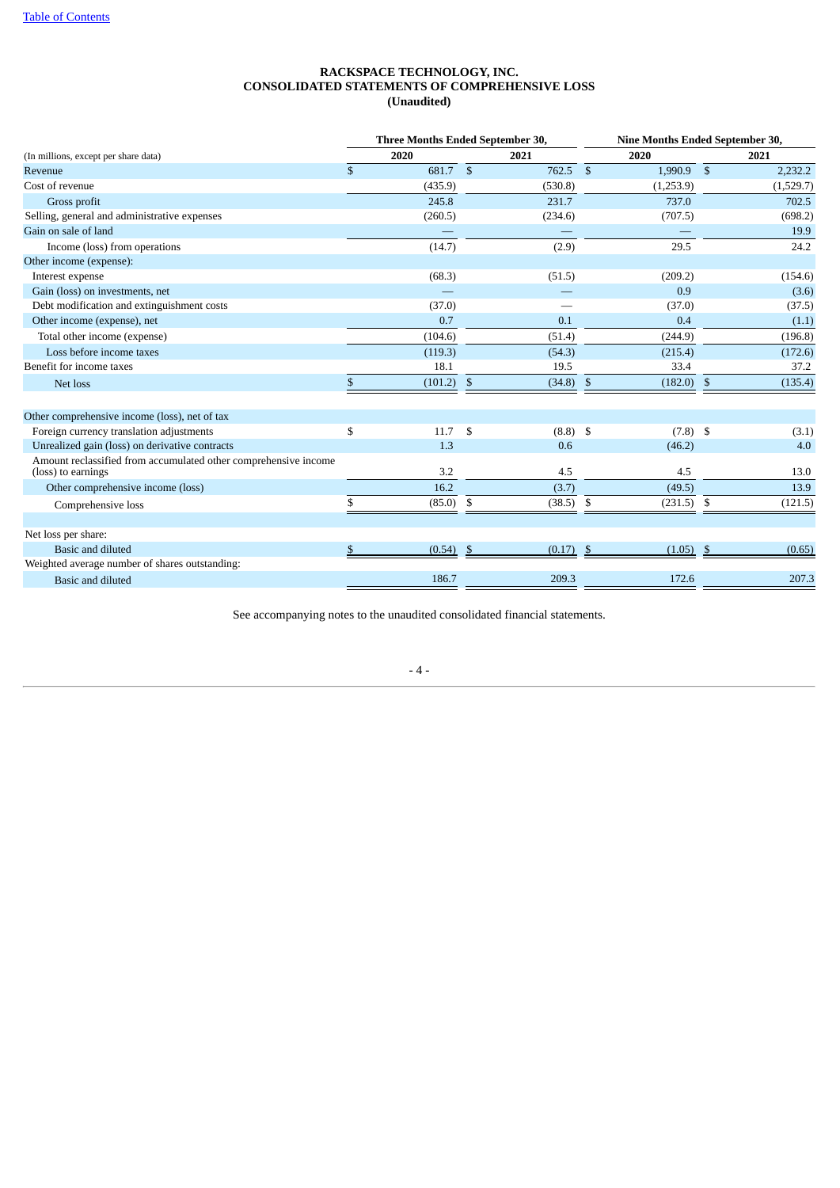# **RACKSPACE TECHNOLOGY, INC. CONSOLIDATED STATEMENTS OF COMPREHENSIVE LOSS (Unaudited)**

|                                                                                       |              | Three Months Ended September 30, |                |         | Nine Months Ended September 30, |            |                |           |  |  |  |
|---------------------------------------------------------------------------------------|--------------|----------------------------------|----------------|---------|---------------------------------|------------|----------------|-----------|--|--|--|
| (In millions, except per share data)                                                  |              | 2020                             |                | 2021    |                                 | 2020       |                | 2021      |  |  |  |
| Revenue                                                                               | $\mathbb{S}$ | 681.7 \$                         |                | 762.5   | $\mathfrak{S}$                  | 1,990.9    | $\mathfrak{S}$ | 2,232.2   |  |  |  |
| Cost of revenue                                                                       |              | (435.9)                          |                | (530.8) |                                 | (1,253.9)  |                | (1,529.7) |  |  |  |
| Gross profit                                                                          |              | 245.8                            |                | 231.7   |                                 | 737.0      |                | 702.5     |  |  |  |
| Selling, general and administrative expenses                                          |              | (260.5)                          |                | (234.6) |                                 | (707.5)    |                | (698.2)   |  |  |  |
| Gain on sale of land                                                                  |              |                                  |                | —       |                                 |            |                | 19.9      |  |  |  |
| Income (loss) from operations                                                         |              | (14.7)                           |                | (2.9)   |                                 | 29.5       |                | 24.2      |  |  |  |
| Other income (expense):                                                               |              |                                  |                |         |                                 |            |                |           |  |  |  |
| Interest expense                                                                      |              | (68.3)                           |                | (51.5)  |                                 | (209.2)    |                | (154.6)   |  |  |  |
| Gain (loss) on investments, net                                                       |              |                                  |                |         |                                 | 0.9        |                | (3.6)     |  |  |  |
| Debt modification and extinguishment costs                                            |              | (37.0)                           |                |         |                                 | (37.0)     |                | (37.5)    |  |  |  |
| Other income (expense), net                                                           |              | 0.7                              |                | 0.1     |                                 | 0.4        |                | (1.1)     |  |  |  |
| Total other income (expense)                                                          |              | (104.6)                          |                | (51.4)  |                                 | (244.9)    |                | (196.8)   |  |  |  |
| Loss before income taxes                                                              |              | (119.3)                          |                | (54.3)  |                                 | (215.4)    |                | (172.6)   |  |  |  |
| Benefit for income taxes                                                              |              | 18.1                             |                | 19.5    |                                 | 33.4       |                | 37.2      |  |  |  |
| Net loss                                                                              |              | (101.2)                          | $\mathfrak{s}$ | (34.8)  | $\mathfrak{s}$                  | (182.0)    | $\mathfrak{S}$ | (135.4)   |  |  |  |
| Other comprehensive income (loss), net of tax                                         |              |                                  |                |         |                                 |            |                |           |  |  |  |
| Foreign currency translation adjustments                                              | \$           | 11.7                             | - \$           | (8.8)   | -\$                             | $(7.8)$ \$ |                | (3.1)     |  |  |  |
| Unrealized gain (loss) on derivative contracts                                        |              | 1.3                              |                | 0.6     |                                 | (46.2)     |                | 4.0       |  |  |  |
| Amount reclassified from accumulated other comprehensive income<br>(loss) to earnings |              | 3.2                              |                | 4.5     |                                 | 4.5        |                | 13.0      |  |  |  |
| Other comprehensive income (loss)                                                     |              | 16.2                             |                | (3.7)   |                                 | (49.5)     |                | 13.9      |  |  |  |
| Comprehensive loss                                                                    |              | (85.0)                           | \$             | (38.5)  | \$.                             | (231.5)    | \$             | (121.5)   |  |  |  |
|                                                                                       |              |                                  |                |         |                                 |            |                |           |  |  |  |
| Net loss per share:                                                                   |              |                                  |                |         |                                 |            |                |           |  |  |  |
| <b>Basic and diluted</b>                                                              |              | (0.54)                           | -\$            | (0.17)  | -\$                             | (1.05)     | -S             | (0.65)    |  |  |  |
| Weighted average number of shares outstanding:                                        |              |                                  |                |         |                                 |            |                |           |  |  |  |
| <b>Basic and diluted</b>                                                              |              | 186.7                            |                | 209.3   |                                 | 172.6      |                | 207.3     |  |  |  |

<span id="page-5-0"></span>See accompanying notes to the unaudited consolidated financial statements.

- 4 -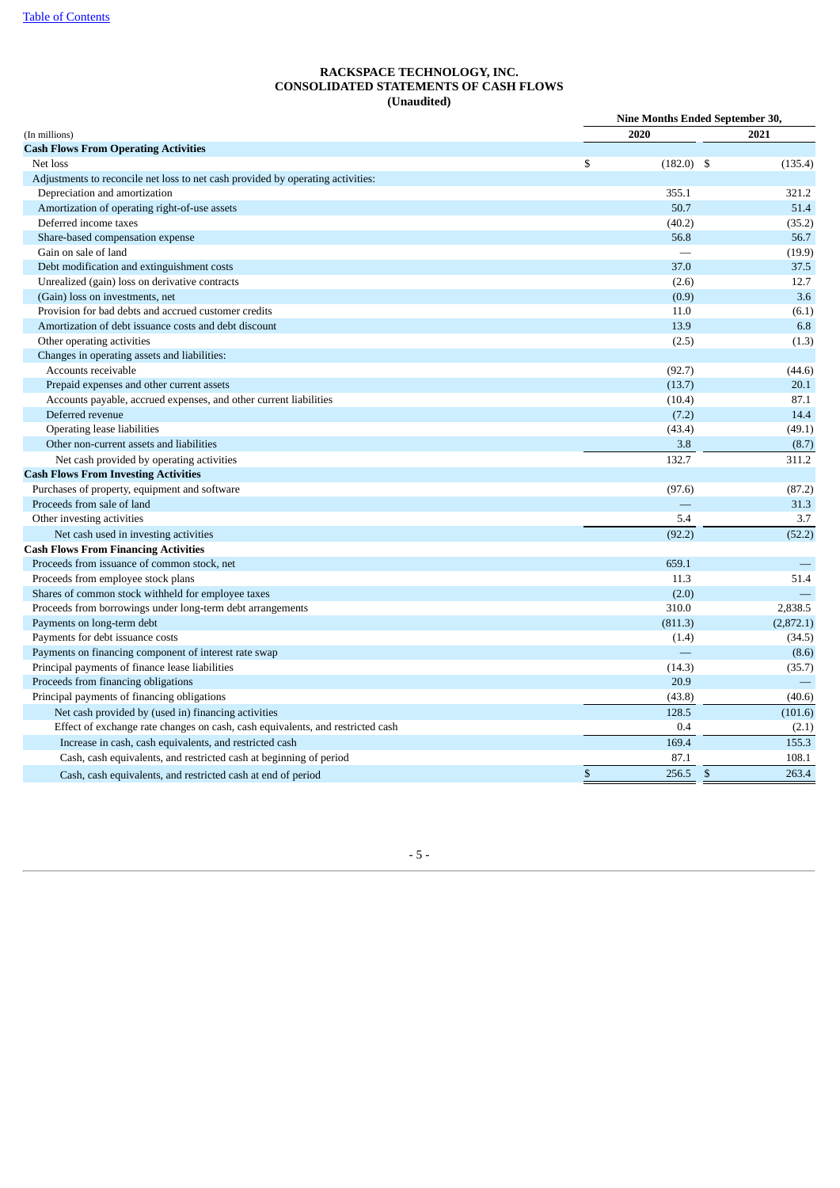### **RACKSPACE TECHNOLOGY, INC. CONSOLIDATED STATEMENTS OF CASH FLOWS (Unaudited)**

|                                                                                 |              | Nine Months Ended September 30, |              |           |  |  |  |  |
|---------------------------------------------------------------------------------|--------------|---------------------------------|--------------|-----------|--|--|--|--|
| (In millions)                                                                   |              | 2020                            |              | 2021      |  |  |  |  |
| <b>Cash Flows From Operating Activities</b>                                     |              |                                 |              |           |  |  |  |  |
| Net loss                                                                        | \$           | $(182.0)$ \$                    |              | (135.4)   |  |  |  |  |
| Adjustments to reconcile net loss to net cash provided by operating activities: |              |                                 |              |           |  |  |  |  |
| Depreciation and amortization                                                   |              | 355.1                           |              | 321.2     |  |  |  |  |
| Amortization of operating right-of-use assets                                   |              | 50.7                            |              | 51.4      |  |  |  |  |
| Deferred income taxes                                                           |              | (40.2)                          |              | (35.2)    |  |  |  |  |
| Share-based compensation expense                                                |              | 56.8                            |              | 56.7      |  |  |  |  |
| Gain on sale of land                                                            |              |                                 |              | (19.9)    |  |  |  |  |
| Debt modification and extinguishment costs                                      |              | 37.0                            |              | 37.5      |  |  |  |  |
| Unrealized (gain) loss on derivative contracts                                  |              | (2.6)                           |              | 12.7      |  |  |  |  |
| (Gain) loss on investments, net                                                 |              | (0.9)                           |              | 3.6       |  |  |  |  |
| Provision for bad debts and accrued customer credits                            |              | 11.0                            |              | (6.1)     |  |  |  |  |
| Amortization of debt issuance costs and debt discount                           |              | 13.9                            |              | 6.8       |  |  |  |  |
| Other operating activities                                                      |              | (2.5)                           |              | (1.3)     |  |  |  |  |
| Changes in operating assets and liabilities:                                    |              |                                 |              |           |  |  |  |  |
| Accounts receivable                                                             |              | (92.7)                          |              | (44.6)    |  |  |  |  |
| Prepaid expenses and other current assets                                       |              | (13.7)                          |              | 20.1      |  |  |  |  |
| Accounts payable, accrued expenses, and other current liabilities               |              | (10.4)                          |              | 87.1      |  |  |  |  |
| Deferred revenue                                                                |              | (7.2)                           |              | 14.4      |  |  |  |  |
| Operating lease liabilities                                                     |              | (43.4)                          |              | (49.1)    |  |  |  |  |
| Other non-current assets and liabilities                                        |              | 3.8                             |              | (8.7)     |  |  |  |  |
| Net cash provided by operating activities                                       |              | 132.7                           |              | 311.2     |  |  |  |  |
| <b>Cash Flows From Investing Activities</b>                                     |              |                                 |              |           |  |  |  |  |
| Purchases of property, equipment and software                                   |              | (97.6)                          |              | (87.2)    |  |  |  |  |
| Proceeds from sale of land                                                      |              | $\equiv$                        |              | 31.3      |  |  |  |  |
| Other investing activities                                                      |              | 5.4                             |              | 3.7       |  |  |  |  |
| Net cash used in investing activities                                           |              | (92.2)                          |              | (52.2)    |  |  |  |  |
| <b>Cash Flows From Financing Activities</b>                                     |              |                                 |              |           |  |  |  |  |
| Proceeds from issuance of common stock, net                                     |              | 659.1                           |              |           |  |  |  |  |
| Proceeds from employee stock plans                                              |              | 11.3                            |              | 51.4      |  |  |  |  |
| Shares of common stock withheld for employee taxes                              |              | (2.0)                           |              |           |  |  |  |  |
| Proceeds from borrowings under long-term debt arrangements                      |              | 310.0                           |              | 2,838.5   |  |  |  |  |
| Payments on long-term debt                                                      |              | (811.3)                         |              | (2,872.1) |  |  |  |  |
| Payments for debt issuance costs                                                |              | (1.4)                           |              | (34.5)    |  |  |  |  |
| Payments on financing component of interest rate swap                           |              | $\overline{\phantom{0}}$        |              | (8.6)     |  |  |  |  |
| Principal payments of finance lease liabilities                                 |              | (14.3)                          |              | (35.7)    |  |  |  |  |
| Proceeds from financing obligations                                             |              | 20.9                            |              |           |  |  |  |  |
| Principal payments of financing obligations                                     |              | (43.8)                          |              | (40.6)    |  |  |  |  |
| Net cash provided by (used in) financing activities                             |              | 128.5                           |              | (101.6)   |  |  |  |  |
| Effect of exchange rate changes on cash, cash equivalents, and restricted cash  |              | 0.4                             |              | (2.1)     |  |  |  |  |
| Increase in cash, cash equivalents, and restricted cash                         |              | 169.4                           |              | 155.3     |  |  |  |  |
| Cash, cash equivalents, and restricted cash at beginning of period              |              | 87.1                            |              | 108.1     |  |  |  |  |
|                                                                                 | $\mathbb{S}$ | 256.5                           | $\mathbf{s}$ | 263.4     |  |  |  |  |
| Cash, cash equivalents, and restricted cash at end of period                    |              |                                 |              |           |  |  |  |  |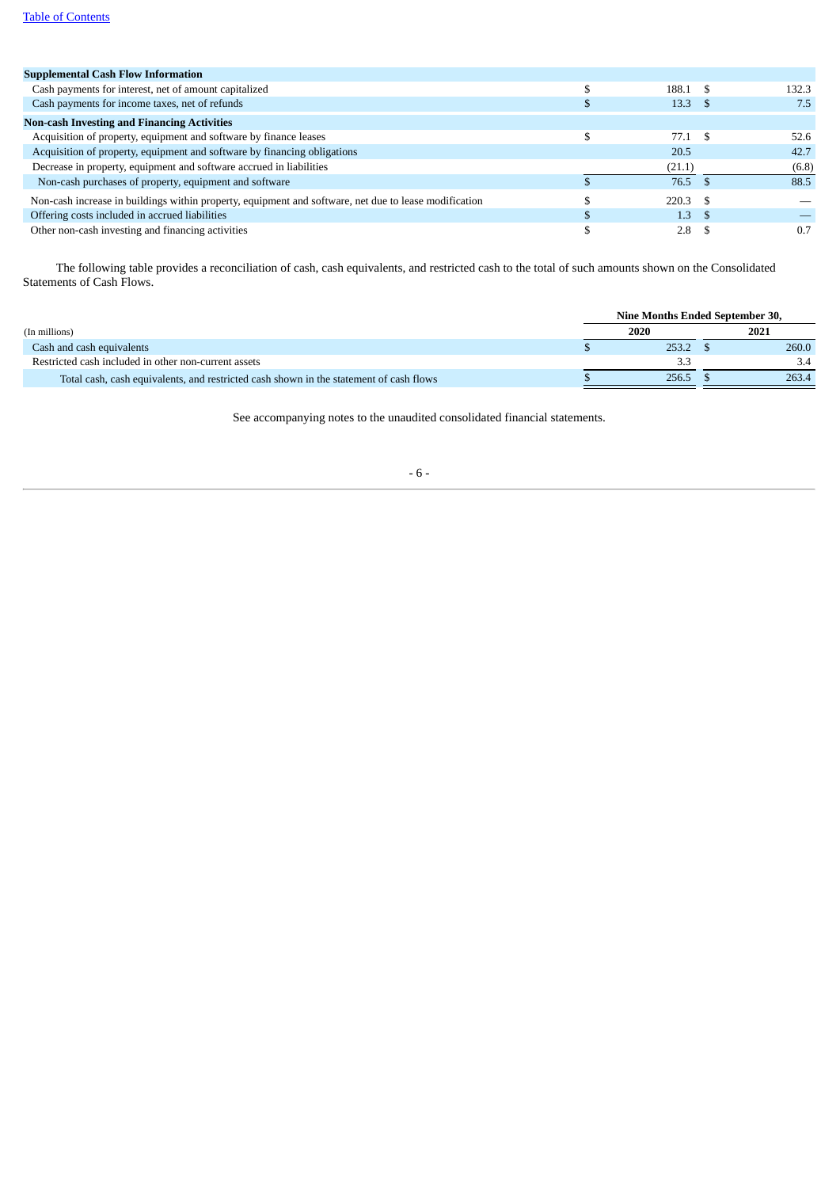| <b>Supplemental Cash Flow Information</b>                                                             |            |      |       |
|-------------------------------------------------------------------------------------------------------|------------|------|-------|
| Cash payments for interest, net of amount capitalized                                                 | 188.1      |      | 132.3 |
| Cash payments for income taxes, net of refunds                                                        | 13.3       |      | 7.5   |
| <b>Non-cash Investing and Financing Activities</b>                                                    |            |      |       |
| Acquisition of property, equipment and software by finance leases                                     | 77.1       |      | 52.6  |
| Acquisition of property, equipment and software by financing obligations                              | 20.5       |      | 42.7  |
| Decrease in property, equipment and software accrued in liabilities                                   | (21.1)     |      | (6.8) |
| Non-cash purchases of property, equipment and software                                                | 76.5       |      | 88.5  |
| Non-cash increase in buildings within property, equipment and software, net due to lease modification | $220.3$ \$ |      |       |
| Offering costs included in accrued liabilities                                                        | 1.3        | - \$ |       |
| Other non-cash investing and financing activities                                                     | 2.8        |      | 0.7   |

The following table provides a reconciliation of cash, cash equivalents, and restricted cash to the total of such amounts shown on the Consolidated Statements of Cash Flows.

<span id="page-7-0"></span>

|                                                                                        | Nine Months Ended September 30. |       |  |       |  |  |  |  |  |
|----------------------------------------------------------------------------------------|---------------------------------|-------|--|-------|--|--|--|--|--|
| (In millions)                                                                          |                                 | 2020  |  | 2021  |  |  |  |  |  |
| Cash and cash equivalents                                                              |                                 | 253.2 |  | 260.0 |  |  |  |  |  |
| Restricted cash included in other non-current assets                                   |                                 | 3.3   |  | 3.4   |  |  |  |  |  |
| Total cash, cash equivalents, and restricted cash shown in the statement of cash flows |                                 | 256.5 |  | 263.4 |  |  |  |  |  |

See accompanying notes to the unaudited consolidated financial statements.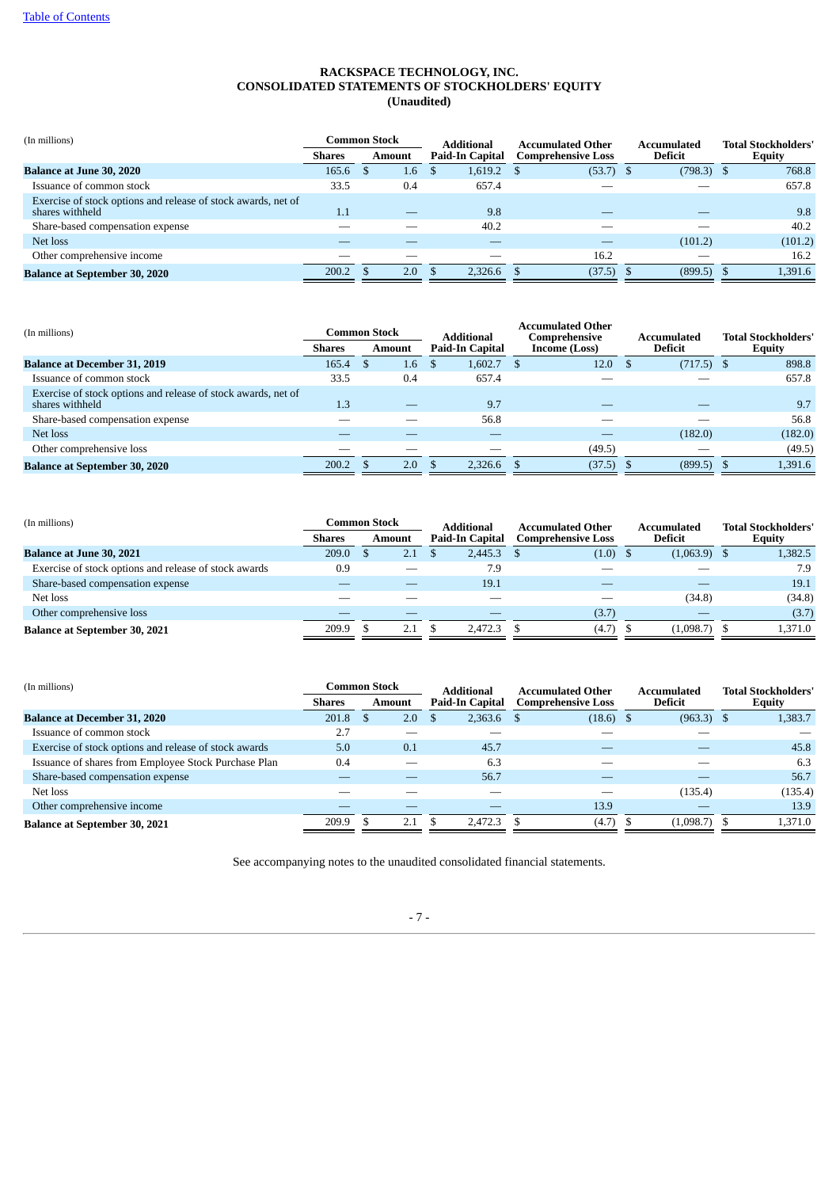## **RACKSPACE TECHNOLOGY, INC. CONSOLIDATED STATEMENTS OF STOCKHOLDERS' EQUITY (Unaudited)**

| (In millions)                                                                    | Common Stock  |  | Additional |  | <b>Accumulated Other</b> |  | Accumulated               |  | <b>Total Stockholders'</b> |  |               |
|----------------------------------------------------------------------------------|---------------|--|------------|--|--------------------------|--|---------------------------|--|----------------------------|--|---------------|
|                                                                                  | <b>Shares</b> |  | Amount     |  | <b>Paid-In Capital</b>   |  | <b>Comprehensive Loss</b> |  | <b>Deficit</b>             |  | <b>Equity</b> |
| <b>Balance at June 30, 2020</b>                                                  | 165.6         |  | 1.6        |  | $1,619.2$ \$             |  | $(53.7)$ \$               |  | $(798.3)$ \$               |  | 768.8         |
| Issuance of common stock                                                         | 33.5          |  | 0.4        |  | 657.4                    |  |                           |  |                            |  | 657.8         |
| Exercise of stock options and release of stock awards, net of<br>shares withheld | 1.1           |  |            |  | 9.8                      |  |                           |  |                            |  | 9.8           |
| Share-based compensation expense                                                 |               |  |            |  | 40.2                     |  |                           |  |                            |  | 40.2          |
| Net loss                                                                         |               |  |            |  | _                        |  |                           |  | (101.2)                    |  | (101.2)       |
| Other comprehensive income                                                       |               |  |            |  |                          |  | 16.2                      |  |                            |  | 16.2          |
| <b>Balance at September 30, 2020</b>                                             | 200.2         |  | 2.0        |  | 2,326.6                  |  | (37.5)                    |  | (899.5)                    |  | 1,391.6       |

| (In millions)                                                                    | <b>Common Stock</b> |  | <b>Additional</b> |  | <b>Accumulated Other</b><br>Comprehensive |  | Accumulated   |  | <b>Total Stockholders'</b> |         |
|----------------------------------------------------------------------------------|---------------------|--|-------------------|--|-------------------------------------------|--|---------------|--|----------------------------|---------|
|                                                                                  | <b>Shares</b>       |  | Amount            |  | Paid-In Capital                           |  | Income (Loss) |  | <b>Deficit</b>             | Equity  |
| <b>Balance at December 31, 2019</b>                                              | 165.4               |  | 1.6               |  | 1,602.7                                   |  | 12.0          |  | $(717.5)$ \$               | 898.8   |
| Issuance of common stock                                                         | 33.5                |  | 0.4               |  | 657.4                                     |  |               |  |                            | 657.8   |
| Exercise of stock options and release of stock awards, net of<br>shares withheld | 1.3                 |  |                   |  | 9.7                                       |  |               |  |                            | 9.7     |
| Share-based compensation expense                                                 |                     |  |                   |  | 56.8                                      |  |               |  |                            | 56.8    |
| Net loss                                                                         |                     |  |                   |  |                                           |  |               |  | (182.0)                    | (182.0) |
| Other comprehensive loss                                                         |                     |  |                   |  |                                           |  | (49.5)        |  |                            | (49.5)  |
| <b>Balance at September 30, 2020</b>                                             | 200.2               |  | 2.0               |  | 2,326.6                                   |  | (37.5)        |  | (899.5)                    | 1,391.6 |

| (In millions)                                         |               | Common Stock<br><b>Additional</b> |      | <b>Accumulated Other</b> |  | Accumulated               |  | <b>Total Stockholders'</b> |         |
|-------------------------------------------------------|---------------|-----------------------------------|------|--------------------------|--|---------------------------|--|----------------------------|---------|
|                                                       | <b>Shares</b> | Amount                            |      | Paid-In Capital          |  | <b>Comprehensive Loss</b> |  | <b>Deficit</b>             | Equity  |
| <b>Balance at June 30, 2021</b>                       | 209.0         | 2.1                               | - \$ | 2.445.3                  |  | $(1.0)$ \$                |  | $(1,063.9)$ \$             | 1,382.5 |
| Exercise of stock options and release of stock awards | 0.9           |                                   |      | 7.9                      |  | $\overline{\phantom{a}}$  |  |                            | 7.9     |
| Share-based compensation expense                      |               |                                   |      | 19.1                     |  |                           |  |                            | 19.1    |
| Net loss                                              |               |                                   |      |                          |  |                           |  | (34.8)                     | (34.8)  |
| Other comprehensive loss                              |               |                                   |      |                          |  | (3.7)                     |  |                            | (3.7)   |
| <b>Balance at September 30, 2021</b>                  | 209.9         | 2.1                               |      | 2.472.3                  |  | (4.7)                     |  | (1,098.7)                  | 1.371.0 |

| (In millions)                                         | Common Stock  |  |        | Additional |                 | <b>Accumulated Other</b> |                           | Accumulated |                | <b>Total Stockholders'</b> |         |
|-------------------------------------------------------|---------------|--|--------|------------|-----------------|--------------------------|---------------------------|-------------|----------------|----------------------------|---------|
|                                                       | <b>Shares</b> |  | Amount |            | Paid-In Capital |                          | <b>Comprehensive Loss</b> |             | <b>Deficit</b> |                            | Equity  |
| <b>Balance at December 31, 2020</b>                   | 201.8         |  | 2.0    | - \$       | 2,363.6         | ∣ \$                     | $(18.6)$ \$               |             | $(963.3)$ \$   |                            | 1,383.7 |
| Issuance of common stock                              | 2.7           |  |        |            |                 |                          |                           |             |                |                            |         |
| Exercise of stock options and release of stock awards | 5.0           |  | 0.1    |            | 45.7            |                          |                           |             |                |                            | 45.8    |
| Issuance of shares from Employee Stock Purchase Plan  | 0.4           |  |        |            | 6.3             |                          |                           |             |                |                            | 6.3     |
| Share-based compensation expense                      |               |  |        |            | 56.7            |                          |                           |             |                |                            | 56.7    |
| Net loss                                              |               |  |        |            |                 |                          |                           |             | (135.4)        |                            | (135.4) |
| Other comprehensive income                            |               |  |        |            |                 |                          | 13.9                      |             |                |                            | 13.9    |
| <b>Balance at September 30, 2021</b>                  | 209.9         |  | 2.1    |            | 2,472.3         |                          | (4.7)                     |             | (1,098.7)      |                            | 1.371.0 |

<span id="page-8-0"></span>See accompanying notes to the unaudited consolidated financial statements.

- 7 -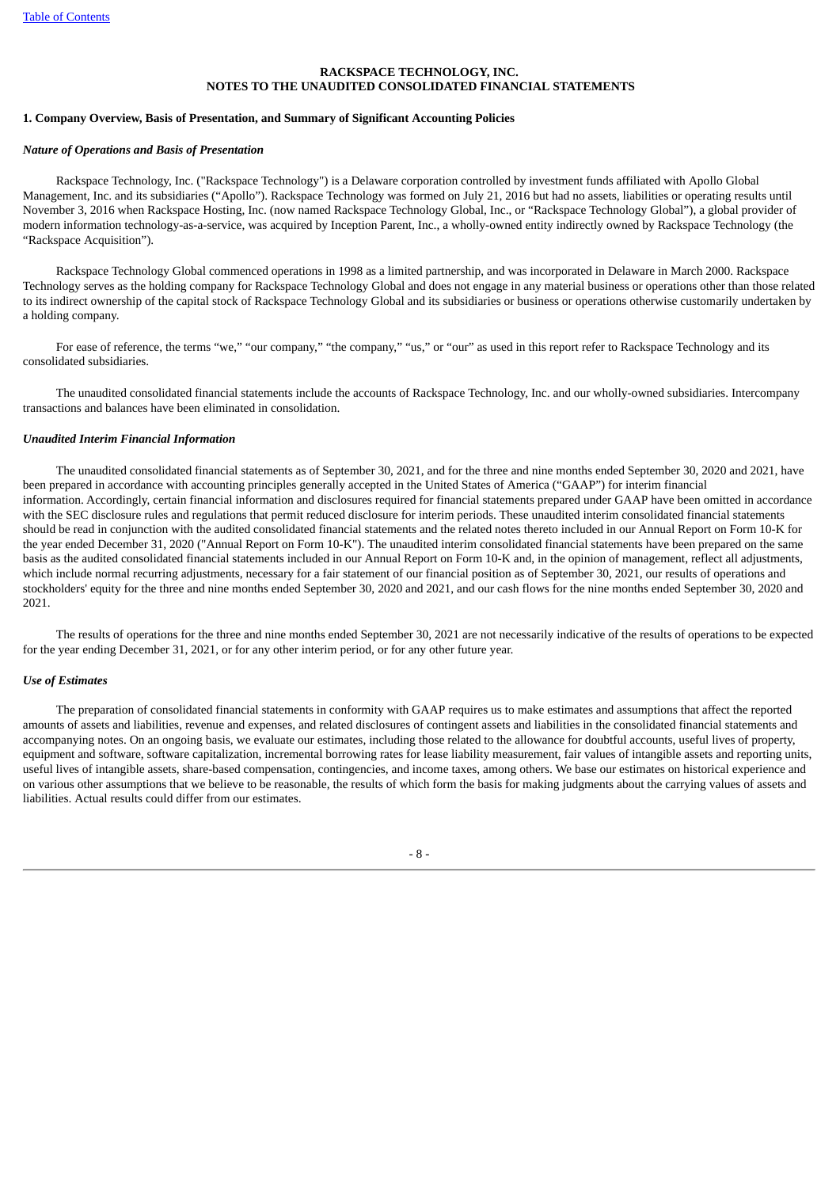# **RACKSPACE TECHNOLOGY, INC. NOTES TO THE UNAUDITED CONSOLIDATED FINANCIAL STATEMENTS**

#### **1. Company Overview, Basis of Presentation, and Summary of Significant Accounting Policies**

#### *Nature of Operations and Basis of Presentation*

Rackspace Technology, Inc. ("Rackspace Technology") is a Delaware corporation controlled by investment funds affiliated with Apollo Global Management, Inc. and its subsidiaries ("Apollo"). Rackspace Technology was formed on July 21, 2016 but had no assets, liabilities or operating results until November 3, 2016 when Rackspace Hosting, Inc. (now named Rackspace Technology Global, Inc., or "Rackspace Technology Global"), a global provider of modern information technology-as-a-service, was acquired by Inception Parent, Inc., a wholly-owned entity indirectly owned by Rackspace Technology (the "Rackspace Acquisition").

Rackspace Technology Global commenced operations in 1998 as a limited partnership, and was incorporated in Delaware in March 2000. Rackspace Technology serves as the holding company for Rackspace Technology Global and does not engage in any material business or operations other than those related to its indirect ownership of the capital stock of Rackspace Technology Global and its subsidiaries or business or operations otherwise customarily undertaken by a holding company.

For ease of reference, the terms "we," "our company," "the company," "us," or "our" as used in this report refer to Rackspace Technology and its consolidated subsidiaries.

The unaudited consolidated financial statements include the accounts of Rackspace Technology, Inc. and our wholly-owned subsidiaries. Intercompany transactions and balances have been eliminated in consolidation.

### *Unaudited Interim Financial Information*

The unaudited consolidated financial statements as of September 30, 2021, and for the three and nine months ended September 30, 2020 and 2021, have been prepared in accordance with accounting principles generally accepted in the United States of America ("GAAP") for interim financial information. Accordingly, certain financial information and disclosures required for financial statements prepared under GAAP have been omitted in accordance with the SEC disclosure rules and regulations that permit reduced disclosure for interim periods. These unaudited interim consolidated financial statements should be read in conjunction with the audited consolidated financial statements and the related notes thereto included in our Annual Report on Form 10-K for the year ended December 31, 2020 ("Annual Report on Form 10-K"). The unaudited interim consolidated financial statements have been prepared on the same basis as the audited consolidated financial statements included in our Annual Report on Form 10-K and, in the opinion of management, reflect all adjustments, which include normal recurring adjustments, necessary for a fair statement of our financial position as of September 30, 2021, our results of operations and stockholders' equity for the three and nine months ended September 30, 2020 and 2021, and our cash flows for the nine months ended September 30, 2020 and 2021.

The results of operations for the three and nine months ended September 30, 2021 are not necessarily indicative of the results of operations to be expected for the year ending December 31, 2021, or for any other interim period, or for any other future year.

#### *Use of Estimates*

The preparation of consolidated financial statements in conformity with GAAP requires us to make estimates and assumptions that affect the reported amounts of assets and liabilities, revenue and expenses, and related disclosures of contingent assets and liabilities in the consolidated financial statements and accompanying notes. On an ongoing basis, we evaluate our estimates, including those related to the allowance for doubtful accounts, useful lives of property, equipment and software, software capitalization, incremental borrowing rates for lease liability measurement, fair values of intangible assets and reporting units, useful lives of intangible assets, share-based compensation, contingencies, and income taxes, among others. We base our estimates on historical experience and on various other assumptions that we believe to be reasonable, the results of which form the basis for making judgments about the carrying values of assets and liabilities. Actual results could differ from our estimates.

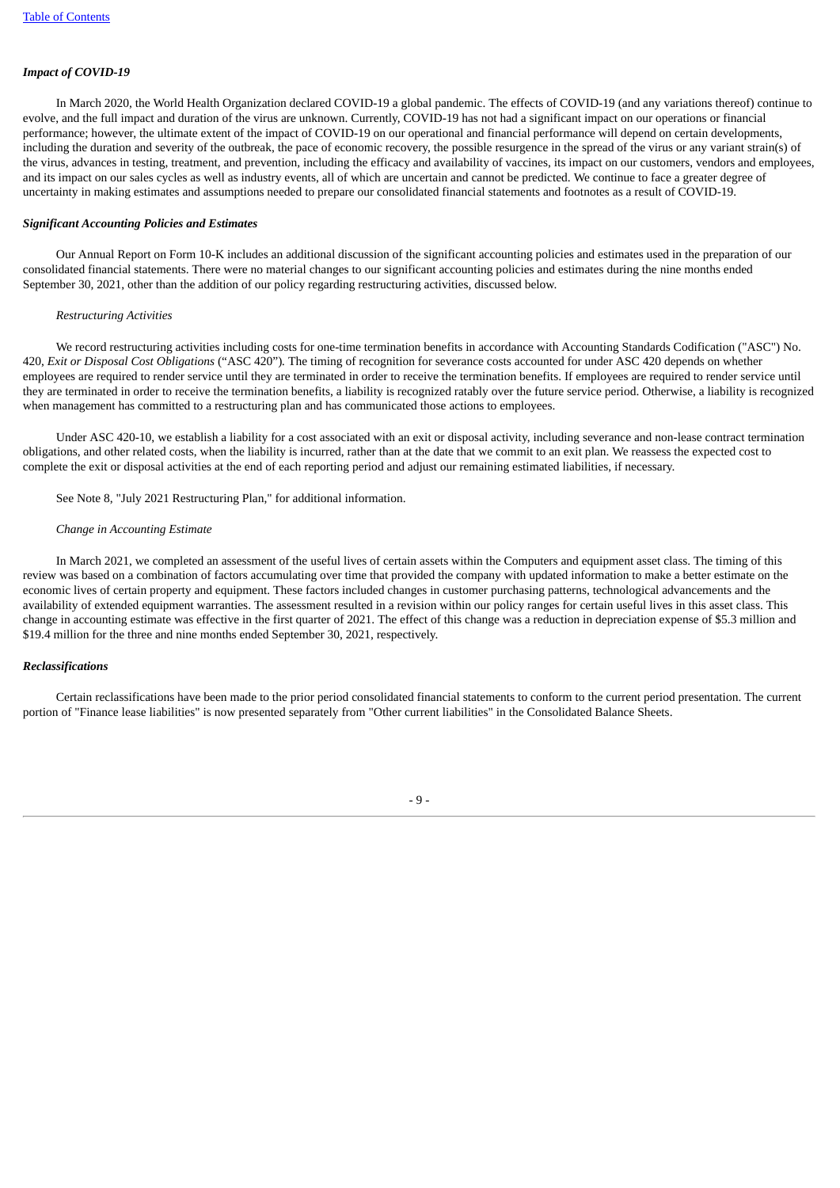# *Impact of COVID-19*

In March 2020, the World Health Organization declared COVID-19 a global pandemic. The effects of COVID-19 (and any variations thereof) continue to evolve, and the full impact and duration of the virus are unknown. Currently, COVID-19 has not had a significant impact on our operations or financial performance; however, the ultimate extent of the impact of COVID-19 on our operational and financial performance will depend on certain developments, including the duration and severity of the outbreak, the pace of economic recovery, the possible resurgence in the spread of the virus or any variant strain(s) of the virus, advances in testing, treatment, and prevention, including the efficacy and availability of vaccines, its impact on our customers, vendors and employees, and its impact on our sales cycles as well as industry events, all of which are uncertain and cannot be predicted. We continue to face a greater degree of uncertainty in making estimates and assumptions needed to prepare our consolidated financial statements and footnotes as a result of COVID-19.

#### *Significant Accounting Policies and Estimates*

Our Annual Report on Form 10-K includes an additional discussion of the significant accounting policies and estimates used in the preparation of our consolidated financial statements. There were no material changes to our significant accounting policies and estimates during the nine months ended September 30, 2021, other than the addition of our policy regarding restructuring activities, discussed below.

#### *Restructuring Activities*

We record restructuring activities including costs for one-time termination benefits in accordance with Accounting Standards Codification ("ASC") No. 420, *Exit or Disposal Cost Obligations* ("ASC 420")*.* The timing of recognition for severance costs accounted for under ASC 420 depends on whether employees are required to render service until they are terminated in order to receive the termination benefits. If employees are required to render service until they are terminated in order to receive the termination benefits, a liability is recognized ratably over the future service period. Otherwise, a liability is recognized when management has committed to a restructuring plan and has communicated those actions to employees.

Under ASC 420-10, we establish a liability for a cost associated with an exit or disposal activity, including severance and non-lease contract termination obligations, and other related costs, when the liability is incurred, rather than at the date that we commit to an exit plan. We reassess the expected cost to complete the exit or disposal activities at the end of each reporting period and adjust our remaining estimated liabilities, if necessary.

See Note 8, "July 2021 Restructuring Plan," for additional information.

#### *Change in Accounting Estimate*

In March 2021, we completed an assessment of the useful lives of certain assets within the Computers and equipment asset class. The timing of this review was based on a combination of factors accumulating over time that provided the company with updated information to make a better estimate on the economic lives of certain property and equipment. These factors included changes in customer purchasing patterns, technological advancements and the availability of extended equipment warranties. The assessment resulted in a revision within our policy ranges for certain useful lives in this asset class. This change in accounting estimate was effective in the first quarter of 2021. The effect of this change was a reduction in depreciation expense of \$5.3 million and \$19.4 million for the three and nine months ended September 30, 2021, respectively.

#### *Reclassifications*

Certain reclassifications have been made to the prior period consolidated financial statements to conform to the current period presentation. The current portion of "Finance lease liabilities" is now presented separately from "Other current liabilities" in the Consolidated Balance Sheets.

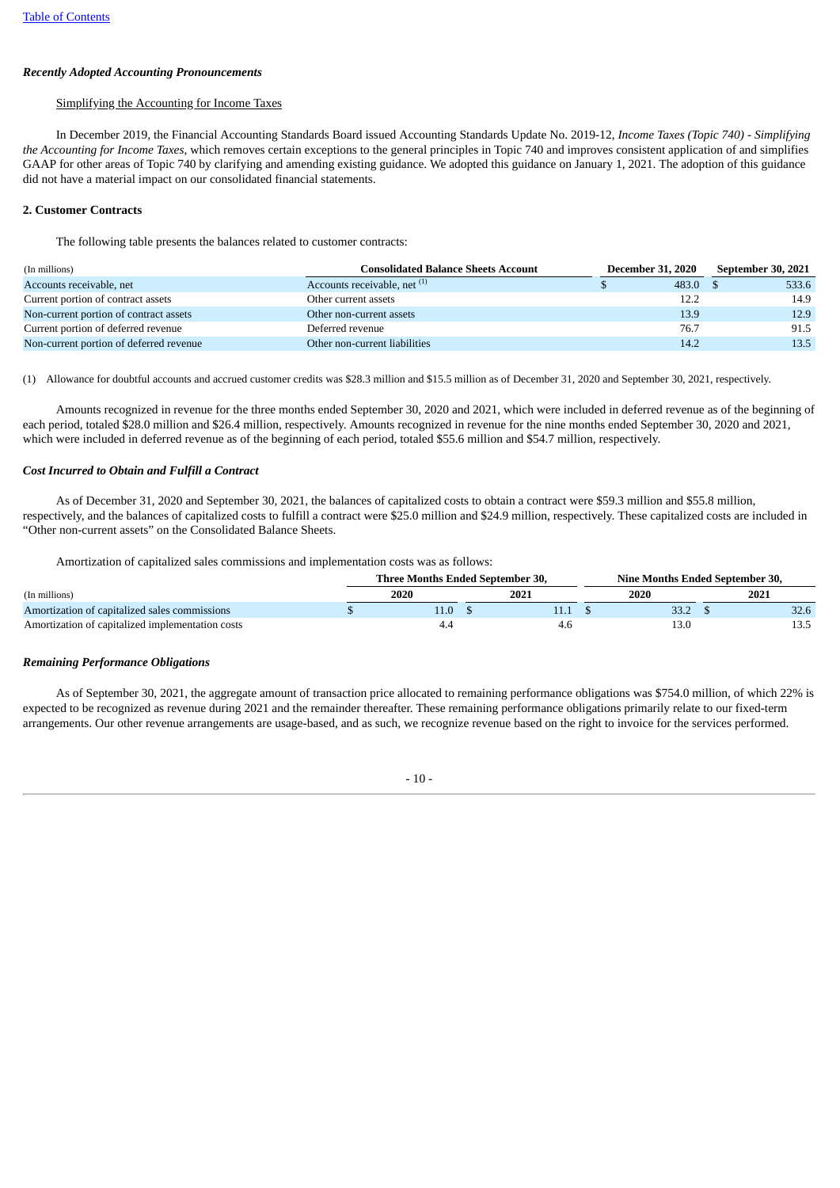# *Recently Adopted Accounting Pronouncements*

# Simplifying the Accounting for Income Taxes

In December 2019, the Financial Accounting Standards Board issued Accounting Standards Update No. 2019-12, *Income Taxes (Topic 740) - Simplifying the Accounting for Income Taxes*, which removes certain exceptions to the general principles in Topic 740 and improves consistent application of and simplifies GAAP for other areas of Topic 740 by clarifying and amending existing guidance. We adopted this guidance on January 1, 2021. The adoption of this guidance did not have a material impact on our consolidated financial statements.

# **2. Customer Contracts**

The following table presents the balances related to customer contracts:

| (In millions)                           | <b>Consolidated Balance Sheets Account</b> | <b>December 31, 2020</b> | September 30, 2021 |  |  |
|-----------------------------------------|--------------------------------------------|--------------------------|--------------------|--|--|
| Accounts receivable, net                | Accounts receivable, net <sup>(1)</sup>    | 483.0                    | 533.6              |  |  |
| Current portion of contract assets      | Other current assets                       | 12.2                     | 14.9               |  |  |
| Non-current portion of contract assets  | Other non-current assets                   | 13.9                     | 12.9               |  |  |
| Current portion of deferred revenue     | Deferred revenue                           | 76.7                     | 91.5               |  |  |
| Non-current portion of deferred revenue | Other non-current liabilities              | 14.2                     | 13.5               |  |  |

(1) Allowance for doubtful accounts and accrued customer credits was \$28.3 million and \$15.5 million as of December 31, 2020 and September 30, 2021, respectively.

Amounts recognized in revenue for the three months ended September 30, 2020 and 2021, which were included in deferred revenue as of the beginning of each period, totaled \$28.0 million and \$26.4 million, respectively. Amounts recognized in revenue for the nine months ended September 30, 2020 and 2021, which were included in deferred revenue as of the beginning of each period, totaled \$55.6 million and \$54.7 million, respectively.

## *Cost Incurred to Obtain and Fulfill a Contract*

As of December 31, 2020 and September 30, 2021, the balances of capitalized costs to obtain a contract were \$59.3 million and \$55.8 million, respectively, and the balances of capitalized costs to fulfill a contract were \$25.0 million and \$24.9 million, respectively. These capitalized costs are included in "Other non-current assets" on the Consolidated Balance Sheets.

Amortization of capitalized sales commissions and implementation costs was as follows:

|                                                  | <b>Three Months Ended September 30.</b> |      | Nine Months Ended September 30. |      |  |       |  |  |
|--------------------------------------------------|-----------------------------------------|------|---------------------------------|------|--|-------|--|--|
| (In millions)                                    | 2020                                    | 2021 |                                 | 2020 |  | 2021  |  |  |
| Amortization of capitalized sales commissions    | 11.0                                    |      |                                 | 33.2 |  | 32.6  |  |  |
| Amortization of capitalized implementation costs | 4.4                                     | 4.0  |                                 | 13.0 |  | ں رہے |  |  |

# *Remaining Performance Obligations*

As of September 30, 2021, the aggregate amount of transaction price allocated to remaining performance obligations was \$754.0 million, of which 22% is expected to be recognized as revenue during 2021 and the remainder thereafter. These remaining performance obligations primarily relate to our fixed-term arrangements. Our other revenue arrangements are usage-based, and as such, we recognize revenue based on the right to invoice for the services performed.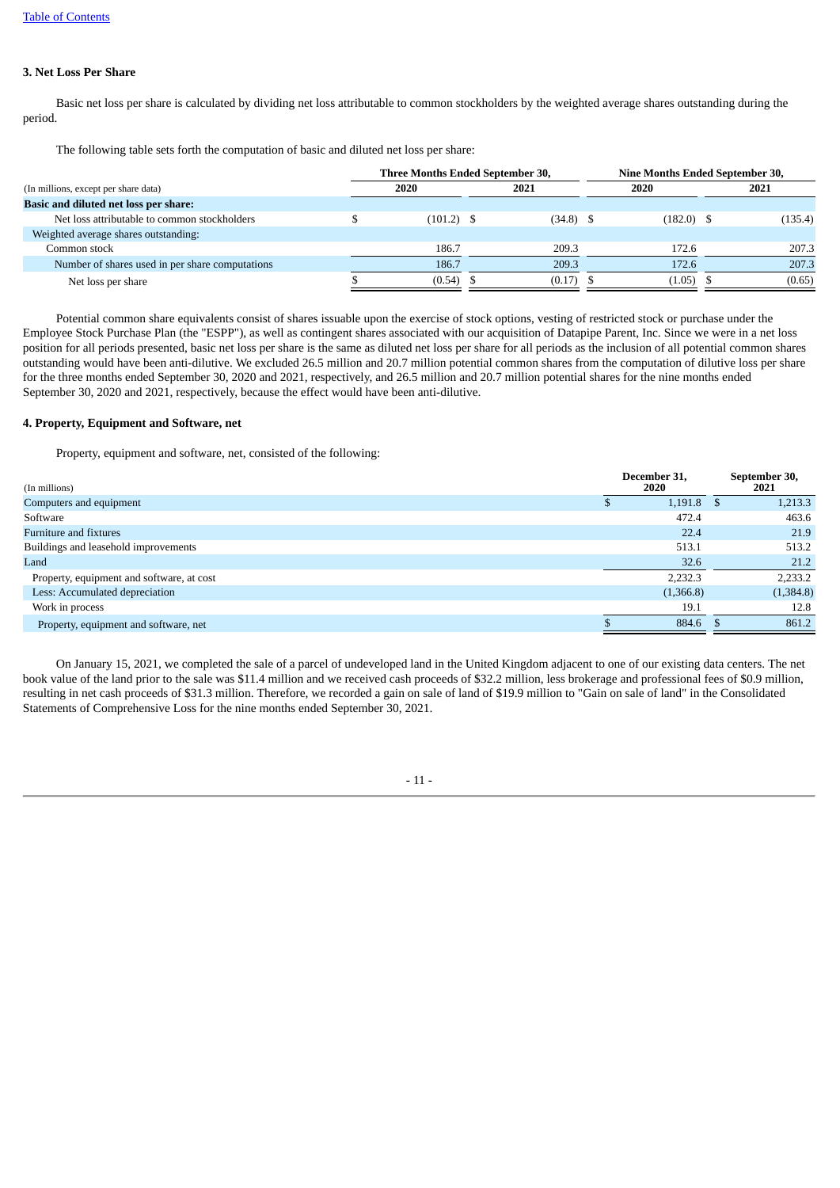# **3. Net Loss Per Share**

Basic net loss per share is calculated by dividing net loss attributable to common stockholders by the weighted average shares outstanding during the period.

The following table sets forth the computation of basic and diluted net loss per share:

|                                                 |  | Three Months Ended September 30, |             |      |              | Nine Months Ended September 30, |         |  |  |
|-------------------------------------------------|--|----------------------------------|-------------|------|--------------|---------------------------------|---------|--|--|
| (In millions, except per share data)            |  | 2020                             | 2021        | 2020 |              |                                 | 2021    |  |  |
| Basic and diluted net loss per share:           |  |                                  |             |      |              |                                 |         |  |  |
| Net loss attributable to common stockholders    |  | $(101.2)$ \$                     | $(34.8)$ \$ |      | $(182.0)$ \$ |                                 | (135.4) |  |  |
| Weighted average shares outstanding:            |  |                                  |             |      |              |                                 |         |  |  |
| Common stock                                    |  | 186.7                            | 209.3       |      | 172.6        |                                 | 207.3   |  |  |
| Number of shares used in per share computations |  | 186.7                            | 209.3       |      | 172.6        |                                 | 207.3   |  |  |
| Net loss per share                              |  | (0.54)                           | (0.17)      |      | (1.05)       |                                 | (0.65)  |  |  |

Potential common share equivalents consist of shares issuable upon the exercise of stock options, vesting of restricted stock or purchase under the Employee Stock Purchase Plan (the "ESPP"), as well as contingent shares associated with our acquisition of Datapipe Parent, Inc. Since we were in a net loss position for all periods presented, basic net loss per share is the same as diluted net loss per share for all periods as the inclusion of all potential common shares outstanding would have been anti-dilutive. We excluded 26.5 million and 20.7 million potential common shares from the computation of dilutive loss per share for the three months ended September 30, 2020 and 2021, respectively, and 26.5 million and 20.7 million potential shares for the nine months ended September 30, 2020 and 2021, respectively, because the effect would have been anti-dilutive.

#### **4. Property, Equipment and Software, net**

Property, equipment and software, net, consisted of the following:

| (In millions)                             | December 31,<br>2020 |              | September 30,<br>2021 |
|-------------------------------------------|----------------------|--------------|-----------------------|
| Computers and equipment                   | 1,191.8              | <sup>8</sup> | 1,213.3               |
| Software                                  | 472.4                |              | 463.6                 |
| Furniture and fixtures                    | 22.4                 |              | 21.9                  |
| Buildings and leasehold improvements      | 513.1                |              | 513.2                 |
| Land                                      | 32.6                 |              | 21.2                  |
| Property, equipment and software, at cost | 2,232.3              |              | 2,233.2               |
| Less: Accumulated depreciation            | (1,366.8)            |              | (1,384.8)             |
| Work in process                           | 19.1                 |              | 12.8                  |
| Property, equipment and software, net     | 884.6                |              | 861.2                 |

On January 15, 2021, we completed the sale of a parcel of undeveloped land in the United Kingdom adjacent to one of our existing data centers. The net book value of the land prior to the sale was \$11.4 million and we received cash proceeds of \$32.2 million, less brokerage and professional fees of \$0.9 million, resulting in net cash proceeds of \$31.3 million. Therefore, we recorded a gain on sale of land of \$19.9 million to "Gain on sale of land" in the Consolidated Statements of Comprehensive Loss for the nine months ended September 30, 2021.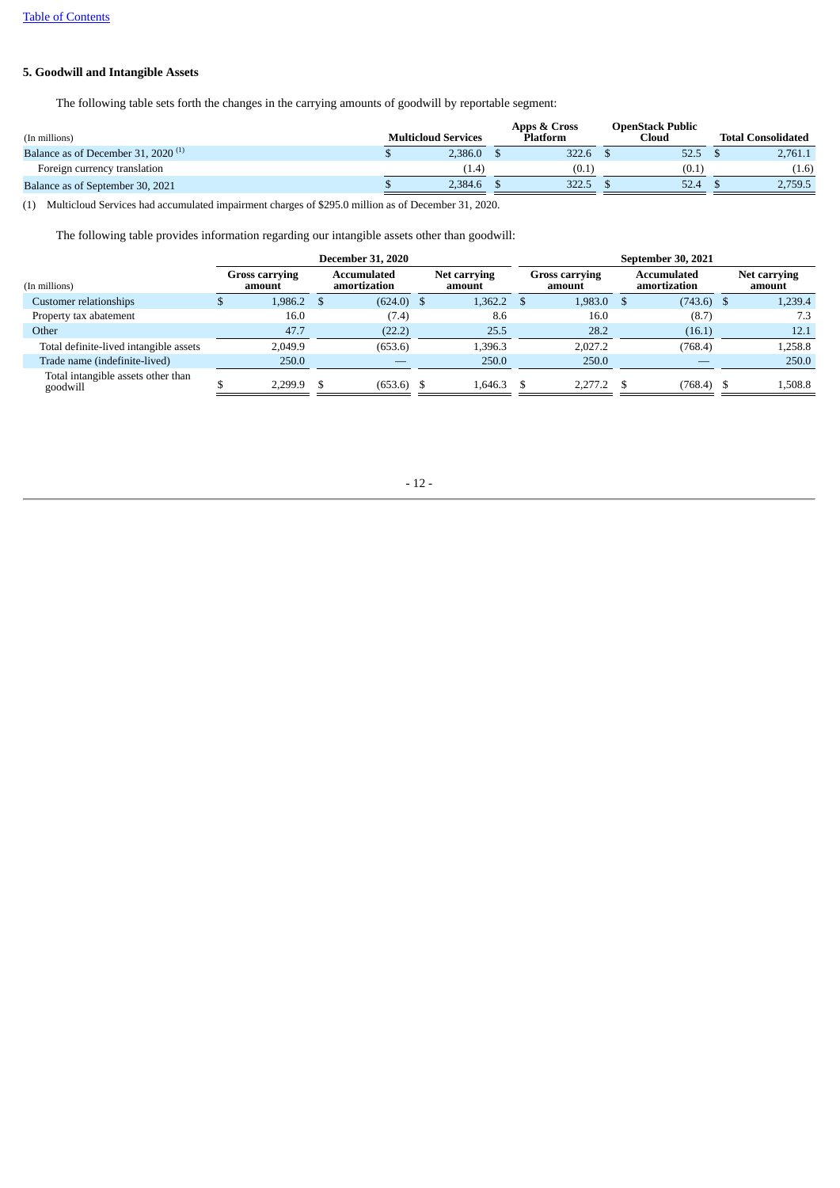# **5. Goodwill and Intangible Assets**

The following table sets forth the changes in the carrying amounts of goodwill by reportable segment:

| (In millions)                                  | <b>Multicloud Services</b> |         | Apps & Cross<br>Platform | <b>OpenStack Public</b><br>Cloud | <b>Total Consolidated</b> |
|------------------------------------------------|----------------------------|---------|--------------------------|----------------------------------|---------------------------|
| Balance as of December 31, 2020 <sup>(1)</sup> |                            | 2,386.0 | 322.6                    | 52.5                             | 2.761.1                   |
| Foreign currency translation                   |                            | (1.4)   | (0.1)                    | (0.1)                            | (1.6)                     |
| Balance as of September 30, 2021               |                            | 2.384.6 | 322.5                    | 52.4                             | 2,759.5                   |

(1) Multicloud Services had accumulated impairment charges of \$295.0 million as of December 31, 2020.

The following table provides information regarding our intangible assets other than goodwill:

|                                                |                                                                       |  | <b>December 31, 2020</b> |                        |         |  | September 30, 2021              |                             |              |  |                        |  |  |  |  |
|------------------------------------------------|-----------------------------------------------------------------------|--|--------------------------|------------------------|---------|--|---------------------------------|-----------------------------|--------------|--|------------------------|--|--|--|--|
| (In millions)                                  | <b>Accumulated</b><br><b>Gross carrying</b><br>amortization<br>amount |  |                          | Net carrying<br>amount |         |  | <b>Gross carrying</b><br>amount | Accumulated<br>amortization |              |  | Net carrying<br>amount |  |  |  |  |
| Customer relationships                         | 1,986.2                                                               |  | $(624.0)$ \$             |                        | 1,362.2 |  | 1,983.0                         |                             | $(743.6)$ \$ |  | 1,239.4                |  |  |  |  |
| Property tax abatement                         | 16.0                                                                  |  | (7.4)                    |                        | 8.6     |  | 16.0                            |                             | (8.7)        |  | 7.3                    |  |  |  |  |
| Other                                          | 47.7                                                                  |  | (22.2)                   |                        | 25.5    |  | 28.2                            |                             | (16.1)       |  | 12.1                   |  |  |  |  |
| Total definite-lived intangible assets         | 2,049.9                                                               |  | (653.6)                  |                        | 1,396.3 |  | 2.027.2                         |                             | (768.4)      |  | 1,258.8                |  |  |  |  |
| Trade name (indefinite-lived)                  | 250.0                                                                 |  |                          |                        | 250.0   |  | 250.0                           |                             |              |  | 250.0                  |  |  |  |  |
| Total intangible assets other than<br>goodwill | 2,299.9                                                               |  | $(653.6)$ \$             |                        | 1,646.3 |  | $2,277.2$ \$                    |                             | $(768.4)$ \$ |  | 1,508.8                |  |  |  |  |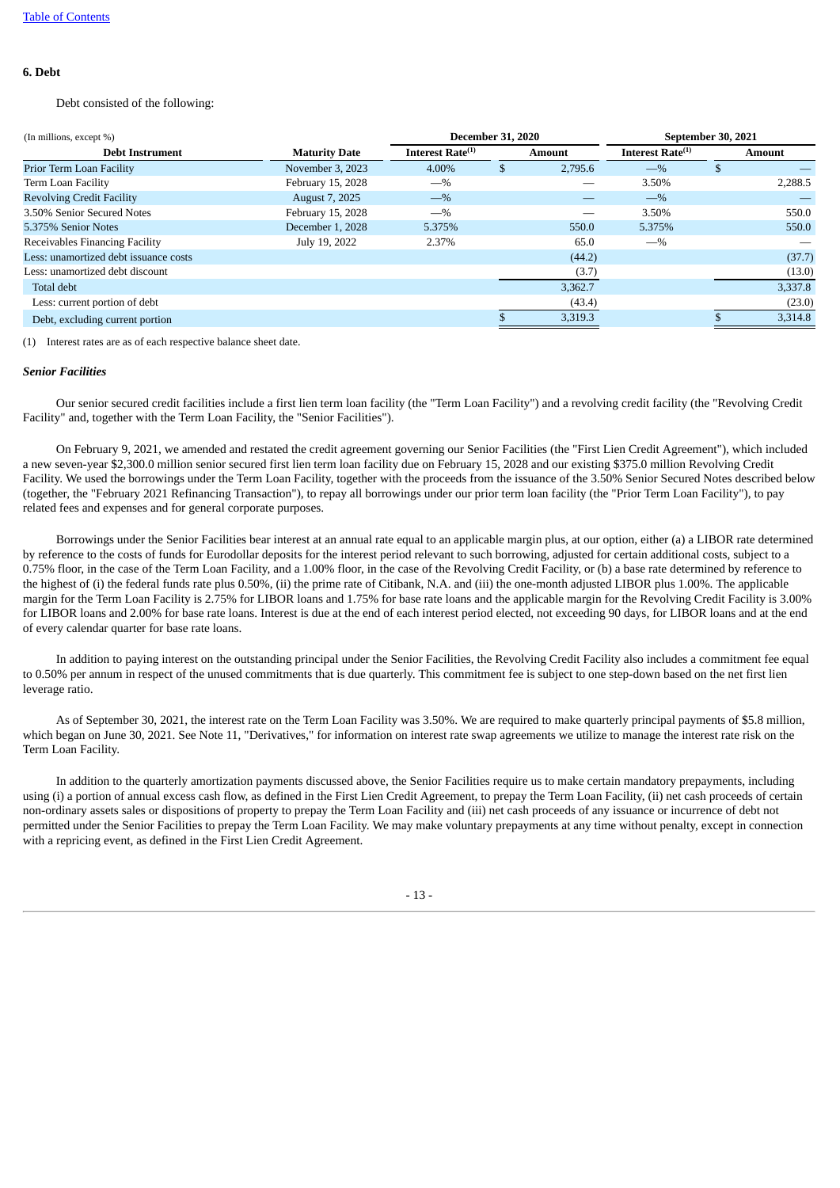# **6. Debt**

### Debt consisted of the following:

| (In millions, except %)               |                      | <b>December 31, 2020</b> |   |               | September 30, 2021           |     |         |
|---------------------------------------|----------------------|--------------------------|---|---------------|------------------------------|-----|---------|
| <b>Debt Instrument</b>                | <b>Maturity Date</b> |                          |   | <b>Amount</b> | Interest Rate <sup>(1)</sup> |     | Amount  |
| Prior Term Loan Facility              | November 3, 2023     | 4.00%                    | ъ | 2.795.6       | $-$ %                        | \$. |         |
| Term Loan Facility                    | February 15, 2028    | $-$ %                    |   |               | 3.50%                        |     | 2,288.5 |
| <b>Revolving Credit Facility</b>      | August 7, 2025       | $-$ %                    |   | _             | $-$ %                        |     |         |
| 3.50% Senior Secured Notes            | February 15, 2028    | $-$ %                    |   |               | 3.50%                        |     | 550.0   |
| 5.375% Senior Notes                   | December 1, 2028     | 5.375%                   |   | 550.0         | 5.375%                       |     | 550.0   |
| Receivables Financing Facility        | July 19, 2022        | 2.37%                    |   | 65.0          | $-$ %                        |     |         |
| Less: unamortized debt issuance costs |                      |                          |   | (44.2)        |                              |     | (37.7)  |
| Less: unamortized debt discount       |                      |                          |   | (3.7)         |                              |     | (13.0)  |
| Total debt                            |                      |                          |   | 3,362.7       |                              |     | 3,337.8 |
| Less: current portion of debt         |                      |                          |   | (43.4)        |                              |     | (23.0)  |
| Debt, excluding current portion       |                      |                          |   | 3,319.3       |                              |     | 3,314.8 |

(1) Interest rates are as of each respective balance sheet date.

#### *Senior Facilities*

Our senior secured credit facilities include a first lien term loan facility (the "Term Loan Facility") and a revolving credit facility (the "Revolving Credit Facility" and, together with the Term Loan Facility, the "Senior Facilities").

On February 9, 2021, we amended and restated the credit agreement governing our Senior Facilities (the "First Lien Credit Agreement"), which included a new seven-year \$2,300.0 million senior secured first lien term loan facility due on February 15, 2028 and our existing \$375.0 million Revolving Credit Facility. We used the borrowings under the Term Loan Facility, together with the proceeds from the issuance of the 3.50% Senior Secured Notes described below (together, the "February 2021 Refinancing Transaction"), to repay all borrowings under our prior term loan facility (the "Prior Term Loan Facility"), to pay related fees and expenses and for general corporate purposes.

Borrowings under the Senior Facilities bear interest at an annual rate equal to an applicable margin plus, at our option, either (a) a LIBOR rate determined by reference to the costs of funds for Eurodollar deposits for the interest period relevant to such borrowing, adjusted for certain additional costs, subject to a 0.75% floor, in the case of the Term Loan Facility, and a 1.00% floor, in the case of the Revolving Credit Facility, or (b) a base rate determined by reference to the highest of (i) the federal funds rate plus 0.50%, (ii) the prime rate of Citibank, N.A. and (iii) the one-month adjusted LIBOR plus 1.00%. The applicable margin for the Term Loan Facility is 2.75% for LIBOR loans and 1.75% for base rate loans and the applicable margin for the Revolving Credit Facility is 3.00% for LIBOR loans and 2.00% for base rate loans. Interest is due at the end of each interest period elected, not exceeding 90 days, for LIBOR loans and at the end of every calendar quarter for base rate loans.

In addition to paying interest on the outstanding principal under the Senior Facilities, the Revolving Credit Facility also includes a commitment fee equal to 0.50% per annum in respect of the unused commitments that is due quarterly. This commitment fee is subject to one step-down based on the net first lien leverage ratio.

As of September 30, 2021, the interest rate on the Term Loan Facility was 3.50%. We are required to make quarterly principal payments of \$5.8 million, which began on June 30, 2021. See Note 11, "Derivatives," for information on interest rate swap agreements we utilize to manage the interest rate risk on the Term Loan Facility.

In addition to the quarterly amortization payments discussed above, the Senior Facilities require us to make certain mandatory prepayments, including using (i) a portion of annual excess cash flow, as defined in the First Lien Credit Agreement, to prepay the Term Loan Facility, (ii) net cash proceeds of certain non-ordinary assets sales or dispositions of property to prepay the Term Loan Facility and (iii) net cash proceeds of any issuance or incurrence of debt not permitted under the Senior Facilities to prepay the Term Loan Facility. We may make voluntary prepayments at any time without penalty, except in connection with a repricing event, as defined in the First Lien Credit Agreement.

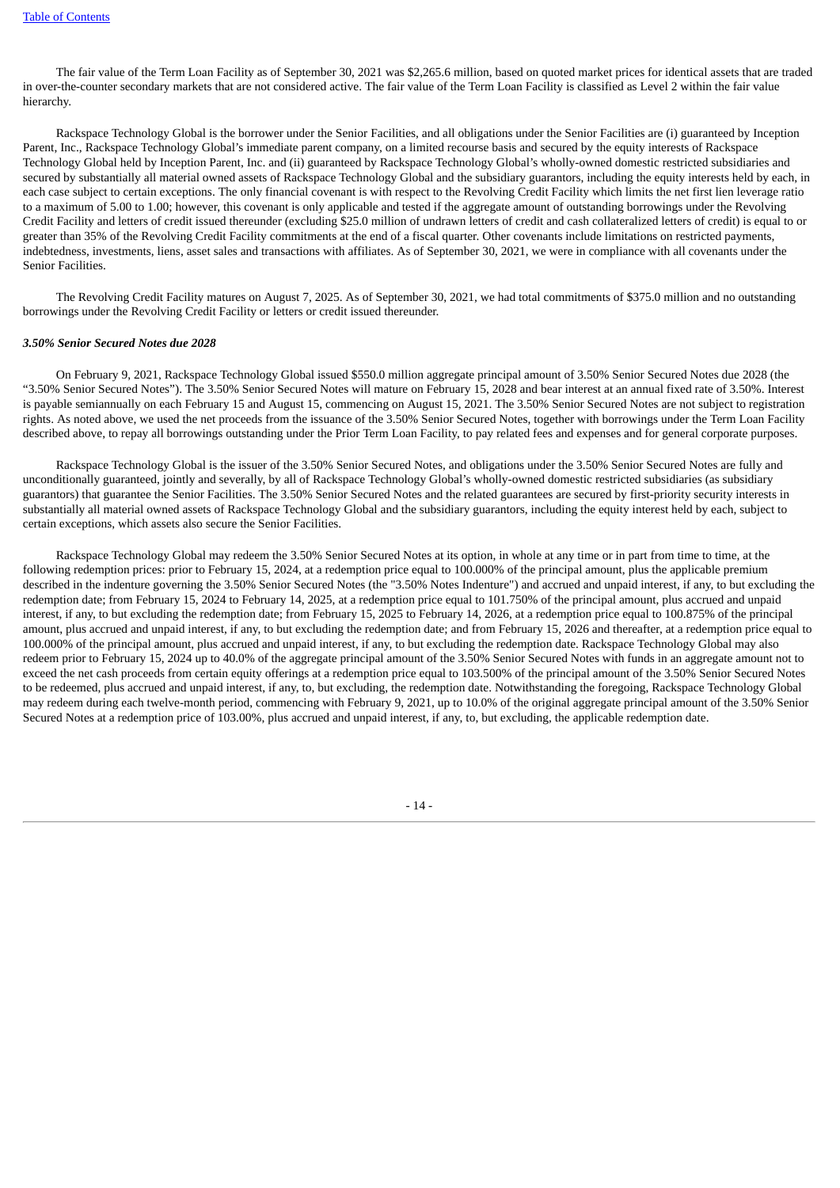The fair value of the Term Loan Facility as of September 30, 2021 was \$2,265.6 million, based on quoted market prices for identical assets that are traded in over-the-counter secondary markets that are not considered active. The fair value of the Term Loan Facility is classified as Level 2 within the fair value hierarchy.

Rackspace Technology Global is the borrower under the Senior Facilities, and all obligations under the Senior Facilities are (i) guaranteed by Inception Parent, Inc., Rackspace Technology Global's immediate parent company, on a limited recourse basis and secured by the equity interests of Rackspace Technology Global held by Inception Parent, Inc. and (ii) guaranteed by Rackspace Technology Global's wholly-owned domestic restricted subsidiaries and secured by substantially all material owned assets of Rackspace Technology Global and the subsidiary guarantors, including the equity interests held by each, in each case subject to certain exceptions. The only financial covenant is with respect to the Revolving Credit Facility which limits the net first lien leverage ratio to a maximum of 5.00 to 1.00; however, this covenant is only applicable and tested if the aggregate amount of outstanding borrowings under the Revolving Credit Facility and letters of credit issued thereunder (excluding \$25.0 million of undrawn letters of credit and cash collateralized letters of credit) is equal to or greater than 35% of the Revolving Credit Facility commitments at the end of a fiscal quarter. Other covenants include limitations on restricted payments, indebtedness, investments, liens, asset sales and transactions with affiliates. As of September 30, 2021, we were in compliance with all covenants under the Senior Facilities.

The Revolving Credit Facility matures on August 7, 2025. As of September 30, 2021, we had total commitments of \$375.0 million and no outstanding borrowings under the Revolving Credit Facility or letters or credit issued thereunder.

#### *3.50% Senior Secured Notes due 2028*

On February 9, 2021, Rackspace Technology Global issued \$550.0 million aggregate principal amount of 3.50% Senior Secured Notes due 2028 (the "3.50% Senior Secured Notes"). The 3.50% Senior Secured Notes will mature on February 15, 2028 and bear interest at an annual fixed rate of 3.50%. Interest is payable semiannually on each February 15 and August 15, commencing on August 15, 2021. The 3.50% Senior Secured Notes are not subject to registration rights. As noted above, we used the net proceeds from the issuance of the 3.50% Senior Secured Notes, together with borrowings under the Term Loan Facility described above, to repay all borrowings outstanding under the Prior Term Loan Facility, to pay related fees and expenses and for general corporate purposes.

Rackspace Technology Global is the issuer of the 3.50% Senior Secured Notes, and obligations under the 3.50% Senior Secured Notes are fully and unconditionally guaranteed, jointly and severally, by all of Rackspace Technology Global's wholly-owned domestic restricted subsidiaries (as subsidiary guarantors) that guarantee the Senior Facilities. The 3.50% Senior Secured Notes and the related guarantees are secured by first-priority security interests in substantially all material owned assets of Rackspace Technology Global and the subsidiary guarantors, including the equity interest held by each, subject to certain exceptions, which assets also secure the Senior Facilities.

Rackspace Technology Global may redeem the 3.50% Senior Secured Notes at its option, in whole at any time or in part from time to time, at the following redemption prices: prior to February 15, 2024, at a redemption price equal to 100.000% of the principal amount, plus the applicable premium described in the indenture governing the 3.50% Senior Secured Notes (the "3.50% Notes Indenture") and accrued and unpaid interest, if any, to but excluding the redemption date; from February 15, 2024 to February 14, 2025, at a redemption price equal to 101.750% of the principal amount, plus accrued and unpaid interest, if any, to but excluding the redemption date; from February 15, 2025 to February 14, 2026, at a redemption price equal to 100.875% of the principal amount, plus accrued and unpaid interest, if any, to but excluding the redemption date; and from February 15, 2026 and thereafter, at a redemption price equal to 100.000% of the principal amount, plus accrued and unpaid interest, if any, to but excluding the redemption date. Rackspace Technology Global may also redeem prior to February 15, 2024 up to 40.0% of the aggregate principal amount of the 3.50% Senior Secured Notes with funds in an aggregate amount not to exceed the net cash proceeds from certain equity offerings at a redemption price equal to 103.500% of the principal amount of the 3.50% Senior Secured Notes to be redeemed, plus accrued and unpaid interest, if any, to, but excluding, the redemption date. Notwithstanding the foregoing, Rackspace Technology Global may redeem during each twelve-month period, commencing with February 9, 2021, up to 10.0% of the original aggregate principal amount of the 3.50% Senior Secured Notes at a redemption price of 103.00%, plus accrued and unpaid interest, if any, to, but excluding, the applicable redemption date.

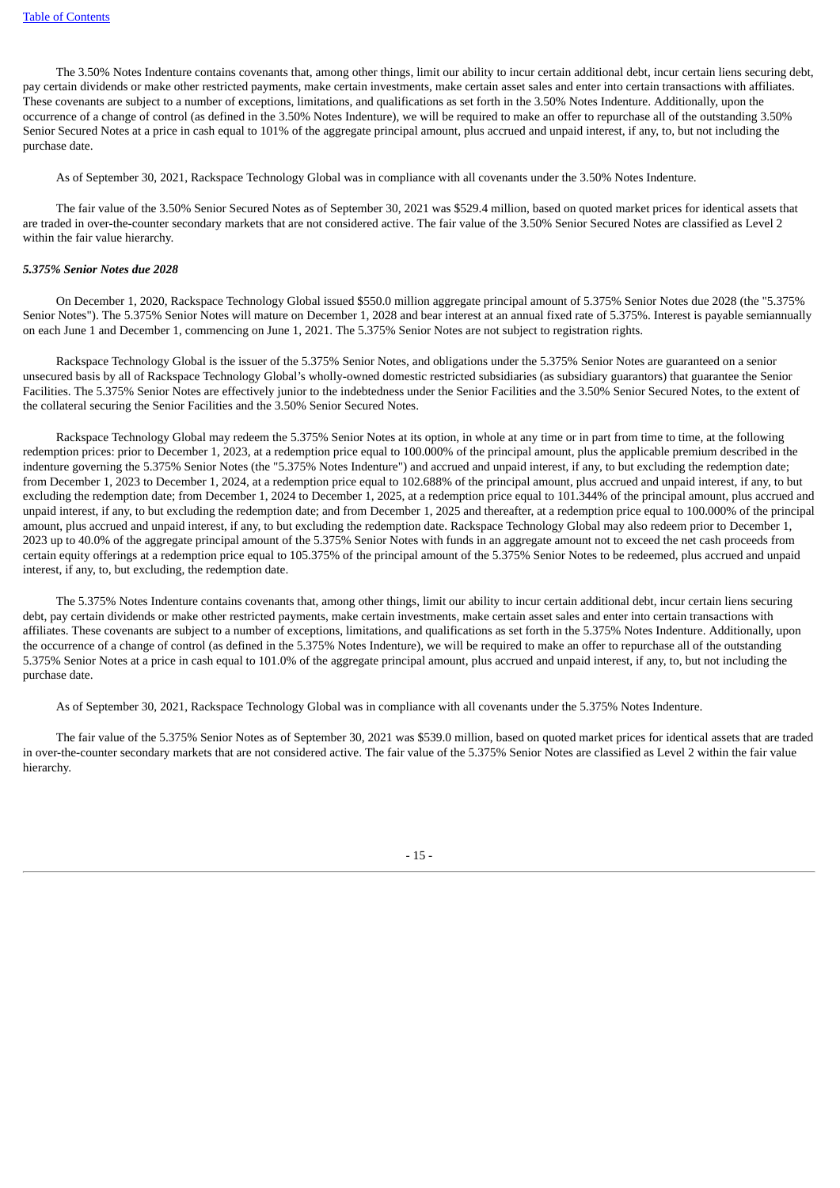The 3.50% Notes Indenture contains covenants that, among other things, limit our ability to incur certain additional debt, incur certain liens securing debt, pay certain dividends or make other restricted payments, make certain investments, make certain asset sales and enter into certain transactions with affiliates. These covenants are subject to a number of exceptions, limitations, and qualifications as set forth in the 3.50% Notes Indenture. Additionally, upon the occurrence of a change of control (as defined in the 3.50% Notes Indenture), we will be required to make an offer to repurchase all of the outstanding 3.50% Senior Secured Notes at a price in cash equal to 101% of the aggregate principal amount, plus accrued and unpaid interest, if any, to, but not including the purchase date.

As of September 30, 2021, Rackspace Technology Global was in compliance with all covenants under the 3.50% Notes Indenture.

The fair value of the 3.50% Senior Secured Notes as of September 30, 2021 was \$529.4 million, based on quoted market prices for identical assets that are traded in over-the-counter secondary markets that are not considered active. The fair value of the 3.50% Senior Secured Notes are classified as Level 2 within the fair value hierarchy.

#### *5.375% Senior Notes due 2028*

On December 1, 2020, Rackspace Technology Global issued \$550.0 million aggregate principal amount of 5.375% Senior Notes due 2028 (the "5.375% Senior Notes"). The 5.375% Senior Notes will mature on December 1, 2028 and bear interest at an annual fixed rate of 5.375%. Interest is payable semiannually on each June 1 and December 1, commencing on June 1, 2021. The 5.375% Senior Notes are not subject to registration rights.

Rackspace Technology Global is the issuer of the 5.375% Senior Notes, and obligations under the 5.375% Senior Notes are guaranteed on a senior unsecured basis by all of Rackspace Technology Global's wholly-owned domestic restricted subsidiaries (as subsidiary guarantors) that guarantee the Senior Facilities. The 5.375% Senior Notes are effectively junior to the indebtedness under the Senior Facilities and the 3.50% Senior Secured Notes, to the extent of the collateral securing the Senior Facilities and the 3.50% Senior Secured Notes.

Rackspace Technology Global may redeem the 5.375% Senior Notes at its option, in whole at any time or in part from time to time, at the following redemption prices: prior to December 1, 2023, at a redemption price equal to 100.000% of the principal amount, plus the applicable premium described in the indenture governing the 5.375% Senior Notes (the "5.375% Notes Indenture") and accrued and unpaid interest, if any, to but excluding the redemption date; from December 1, 2023 to December 1, 2024, at a redemption price equal to 102.688% of the principal amount, plus accrued and unpaid interest, if any, to but excluding the redemption date; from December 1, 2024 to December 1, 2025, at a redemption price equal to 101.344% of the principal amount, plus accrued and unpaid interest, if any, to but excluding the redemption date; and from December 1, 2025 and thereafter, at a redemption price equal to 100.000% of the principal amount, plus accrued and unpaid interest, if any, to but excluding the redemption date. Rackspace Technology Global may also redeem prior to December 1, 2023 up to 40.0% of the aggregate principal amount of the 5.375% Senior Notes with funds in an aggregate amount not to exceed the net cash proceeds from certain equity offerings at a redemption price equal to 105.375% of the principal amount of the 5.375% Senior Notes to be redeemed, plus accrued and unpaid interest, if any, to, but excluding, the redemption date.

The 5.375% Notes Indenture contains covenants that, among other things, limit our ability to incur certain additional debt, incur certain liens securing debt, pay certain dividends or make other restricted payments, make certain investments, make certain asset sales and enter into certain transactions with affiliates. These covenants are subject to a number of exceptions, limitations, and qualifications as set forth in the 5.375% Notes Indenture. Additionally, upon the occurrence of a change of control (as defined in the 5.375% Notes Indenture), we will be required to make an offer to repurchase all of the outstanding 5.375% Senior Notes at a price in cash equal to 101.0% of the aggregate principal amount, plus accrued and unpaid interest, if any, to, but not including the purchase date.

As of September 30, 2021, Rackspace Technology Global was in compliance with all covenants under the 5.375% Notes Indenture.

The fair value of the 5.375% Senior Notes as of September 30, 2021 was \$539.0 million, based on quoted market prices for identical assets that are traded in over-the-counter secondary markets that are not considered active. The fair value of the 5.375% Senior Notes are classified as Level 2 within the fair value hierarchy.

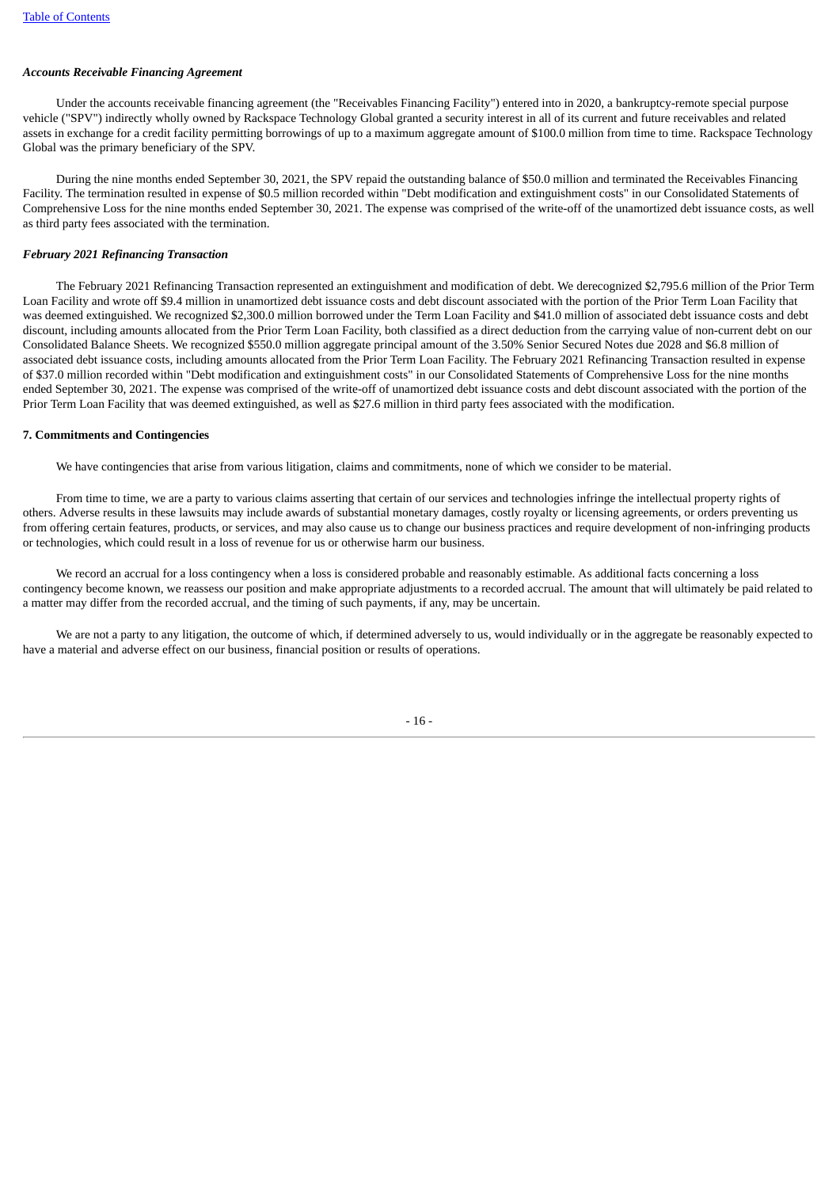# *Accounts Receivable Financing Agreement*

Under the accounts receivable financing agreement (the "Receivables Financing Facility") entered into in 2020, a bankruptcy-remote special purpose vehicle ("SPV") indirectly wholly owned by Rackspace Technology Global granted a security interest in all of its current and future receivables and related assets in exchange for a credit facility permitting borrowings of up to a maximum aggregate amount of \$100.0 million from time to time. Rackspace Technology Global was the primary beneficiary of the SPV.

During the nine months ended September 30, 2021, the SPV repaid the outstanding balance of \$50.0 million and terminated the Receivables Financing Facility. The termination resulted in expense of \$0.5 million recorded within "Debt modification and extinguishment costs" in our Consolidated Statements of Comprehensive Loss for the nine months ended September 30, 2021. The expense was comprised of the write-off of the unamortized debt issuance costs, as well as third party fees associated with the termination.

# *February 2021 Refinancing Transaction*

The February 2021 Refinancing Transaction represented an extinguishment and modification of debt. We derecognized \$2,795.6 million of the Prior Term Loan Facility and wrote off \$9.4 million in unamortized debt issuance costs and debt discount associated with the portion of the Prior Term Loan Facility that was deemed extinguished. We recognized \$2,300.0 million borrowed under the Term Loan Facility and \$41.0 million of associated debt issuance costs and debt discount, including amounts allocated from the Prior Term Loan Facility, both classified as a direct deduction from the carrying value of non-current debt on our Consolidated Balance Sheets. We recognized \$550.0 million aggregate principal amount of the 3.50% Senior Secured Notes due 2028 and \$6.8 million of associated debt issuance costs, including amounts allocated from the Prior Term Loan Facility. The February 2021 Refinancing Transaction resulted in expense of \$37.0 million recorded within "Debt modification and extinguishment costs" in our Consolidated Statements of Comprehensive Loss for the nine months ended September 30, 2021. The expense was comprised of the write-off of unamortized debt issuance costs and debt discount associated with the portion of the Prior Term Loan Facility that was deemed extinguished, as well as \$27.6 million in third party fees associated with the modification.

# **7. Commitments and Contingencies**

We have contingencies that arise from various litigation, claims and commitments, none of which we consider to be material.

From time to time, we are a party to various claims asserting that certain of our services and technologies infringe the intellectual property rights of others. Adverse results in these lawsuits may include awards of substantial monetary damages, costly royalty or licensing agreements, or orders preventing us from offering certain features, products, or services, and may also cause us to change our business practices and require development of non-infringing products or technologies, which could result in a loss of revenue for us or otherwise harm our business.

We record an accrual for a loss contingency when a loss is considered probable and reasonably estimable. As additional facts concerning a loss contingency become known, we reassess our position and make appropriate adjustments to a recorded accrual. The amount that will ultimately be paid related to a matter may differ from the recorded accrual, and the timing of such payments, if any, may be uncertain.

We are not a party to any litigation, the outcome of which, if determined adversely to us, would individually or in the aggregate be reasonably expected to have a material and adverse effect on our business, financial position or results of operations.

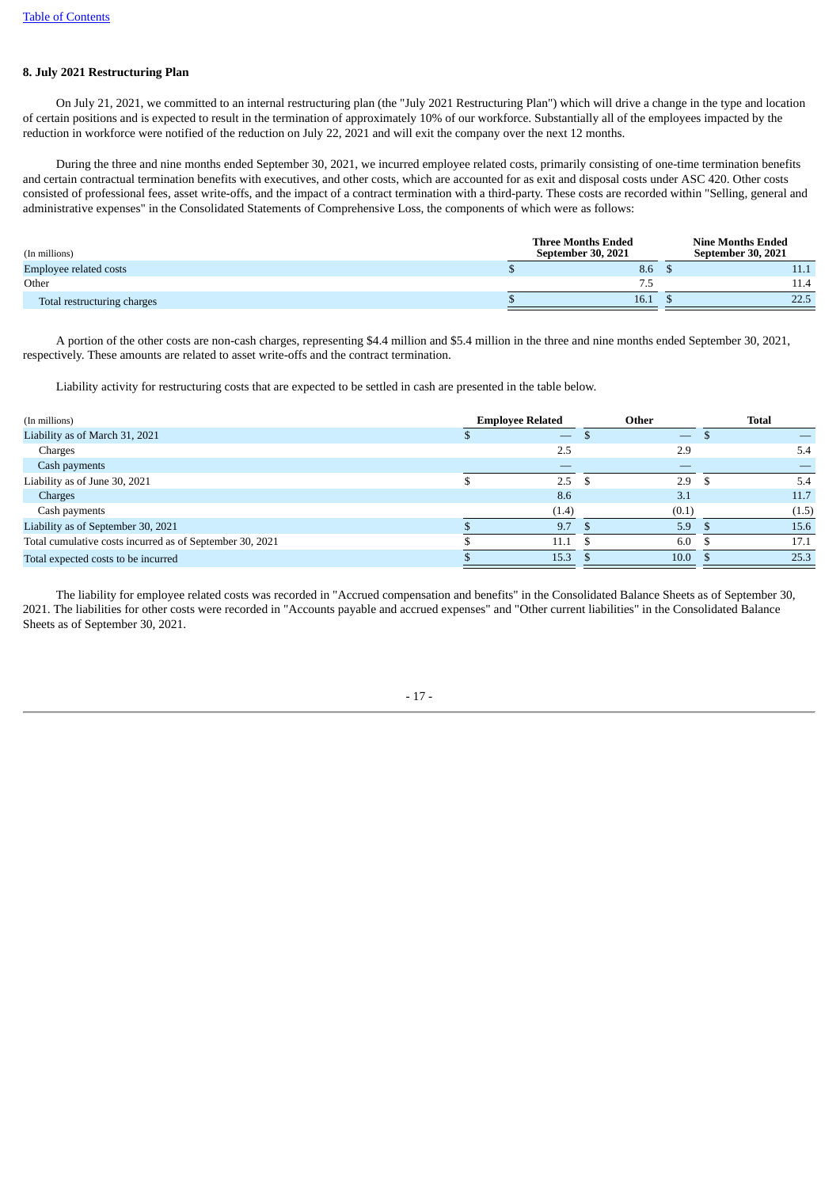# **8. July 2021 Restructuring Plan**

On July 21, 2021, we committed to an internal restructuring plan (the "July 2021 Restructuring Plan") which will drive a change in the type and location of certain positions and is expected to result in the termination of approximately 10% of our workforce. Substantially all of the employees impacted by the reduction in workforce were notified of the reduction on July 22, 2021 and will exit the company over the next 12 months.

During the three and nine months ended September 30, 2021, we incurred employee related costs, primarily consisting of one-time termination benefits and certain contractual termination benefits with executives, and other costs, which are accounted for as exit and disposal costs under ASC 420. Other costs consisted of professional fees, asset write-offs, and the impact of a contract termination with a third-party. These costs are recorded within "Selling, general and administrative expenses" in the Consolidated Statements of Comprehensive Loss, the components of which were as follows:

| (In millions)               | <b>Three Months Ended</b><br><b>September 30, 2021</b> | <b>Nine Months Ended</b><br><b>September 30, 2021</b> |
|-----------------------------|--------------------------------------------------------|-------------------------------------------------------|
| Employee related costs      | 8.6                                                    | 11.1                                                  |
| Other                       | 75                                                     | 11.4                                                  |
| Total restructuring charges | 16.1                                                   | 22.5                                                  |

A portion of the other costs are non-cash charges, representing \$4.4 million and \$5.4 million in the three and nine months ended September 30, 2021, respectively. These amounts are related to asset write-offs and the contract termination.

Liability activity for restructuring costs that are expected to be settled in cash are presented in the table below.

| (In millions)                                            | <b>Employee Related</b>  | Other                                 | Total |
|----------------------------------------------------------|--------------------------|---------------------------------------|-------|
| Liability as of March 31, 2021                           | $\overline{\phantom{m}}$ | $\hspace{1.0cm} \rule{1.5cm}{0.15cm}$ |       |
| Charges                                                  | 2.5                      | 2.9                                   | 5.4   |
| Cash payments                                            | _                        | _                                     |       |
| Liability as of June 30, 2021                            | 2.5                      | 2.9                                   | 5.4   |
| Charges                                                  | 8.6                      | 3.1                                   | 11.7  |
| Cash payments                                            | (1.4)                    | (0.1)                                 | (1.5) |
| Liability as of September 30, 2021                       | 9.7                      | 5.9                                   | 15.6  |
| Total cumulative costs incurred as of September 30, 2021 | 11.1                     | 6.0                                   | 17.1  |
| Total expected costs to be incurred                      | 15.3                     | 10.0                                  | 25.3  |

The liability for employee related costs was recorded in "Accrued compensation and benefits" in the Consolidated Balance Sheets as of September 30, 2021. The liabilities for other costs were recorded in "Accounts payable and accrued expenses" and "Other current liabilities" in the Consolidated Balance Sheets as of September 30, 2021.

- 17 -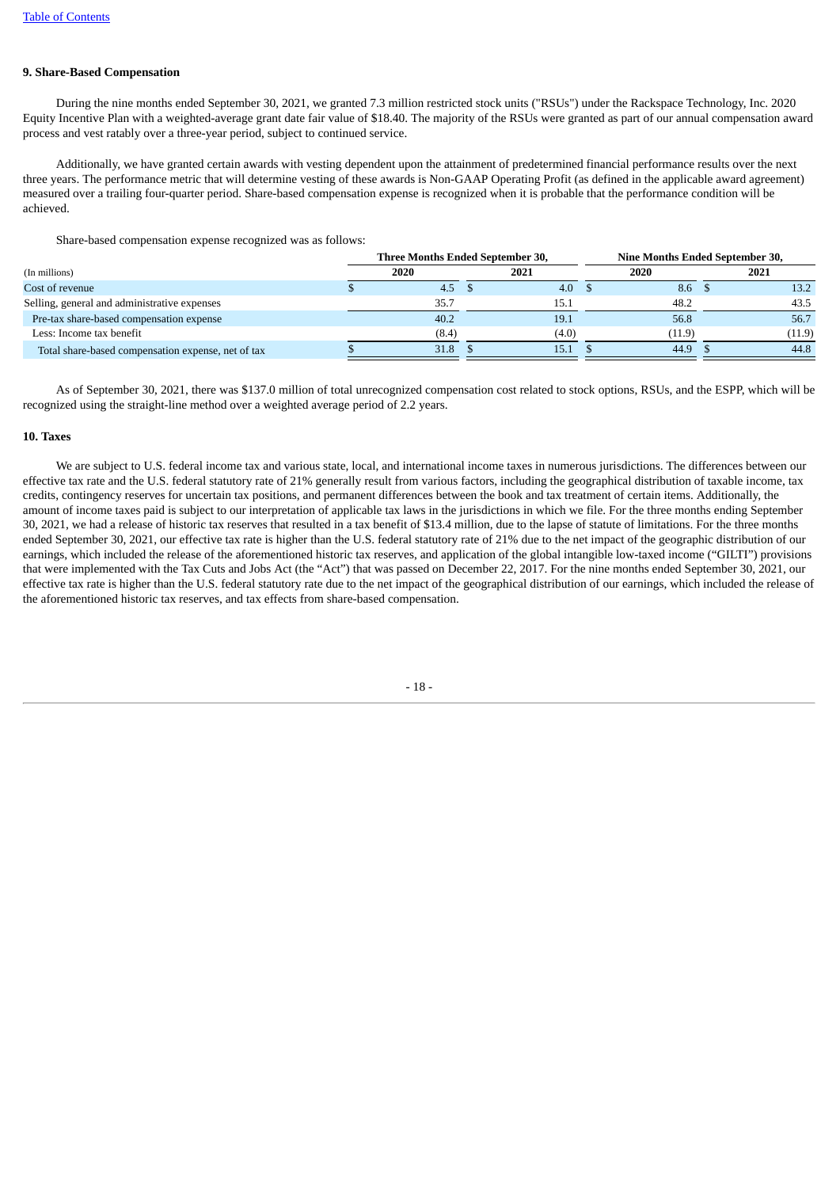### **9. Share-Based Compensation**

During the nine months ended September 30, 2021, we granted 7.3 million restricted stock units ("RSUs") under the Rackspace Technology, Inc. 2020 Equity Incentive Plan with a weighted-average grant date fair value of \$18.40. The majority of the RSUs were granted as part of our annual compensation award process and vest ratably over a three-year period, subject to continued service.

Additionally, we have granted certain awards with vesting dependent upon the attainment of predetermined financial performance results over the next three years. The performance metric that will determine vesting of these awards is Non-GAAP Operating Profit (as defined in the applicable award agreement) measured over a trailing four-quarter period. Share-based compensation expense is recognized when it is probable that the performance condition will be achieved.

Share-based compensation expense recognized was as follows:

|                                                    | Three Months Ended September 30, |       | Nine Months Ended September 30, |        |  |        |  |  |  |
|----------------------------------------------------|----------------------------------|-------|---------------------------------|--------|--|--------|--|--|--|
| (In millions)                                      | 2020                             | 2021  |                                 | 2020   |  | 2021   |  |  |  |
| Cost of revenue                                    | 4.5                              | 4.0   |                                 | 8.6    |  | 13.2   |  |  |  |
| Selling, general and administrative expenses       | 35.7                             | 15.1  |                                 | 48.2   |  | 43.5   |  |  |  |
| Pre-tax share-based compensation expense           | 40.2                             | 19.1  |                                 | 56.8   |  | 56.7   |  |  |  |
| Less: Income tax benefit                           | (8.4)                            | (4.0) |                                 | (11.9) |  | (11.9) |  |  |  |
| Total share-based compensation expense, net of tax | 31.8                             | 15.1  |                                 | 44.9   |  | 44.8   |  |  |  |

As of September 30, 2021, there was \$137.0 million of total unrecognized compensation cost related to stock options, RSUs, and the ESPP, which will be recognized using the straight-line method over a weighted average period of 2.2 years.

#### **10. Taxes**

We are subject to U.S. federal income tax and various state, local, and international income taxes in numerous jurisdictions. The differences between our effective tax rate and the U.S. federal statutory rate of 21% generally result from various factors, including the geographical distribution of taxable income, tax credits, contingency reserves for uncertain tax positions, and permanent differences between the book and tax treatment of certain items. Additionally, the amount of income taxes paid is subject to our interpretation of applicable tax laws in the jurisdictions in which we file. For the three months ending September 30, 2021, we had a release of historic tax reserves that resulted in a tax benefit of \$13.4 million, due to the lapse of statute of limitations. For the three months ended September 30, 2021, our effective tax rate is higher than the U.S. federal statutory rate of 21% due to the net impact of the geographic distribution of our earnings, which included the release of the aforementioned historic tax reserves, and application of the global intangible low-taxed income ("GILTI") provisions that were implemented with the Tax Cuts and Jobs Act (the "Act") that was passed on December 22, 2017. For the nine months ended September 30, 2021, our effective tax rate is higher than the U.S. federal statutory rate due to the net impact of the geographical distribution of our earnings, which included the release of the aforementioned historic tax reserves, and tax effects from share-based compensation.

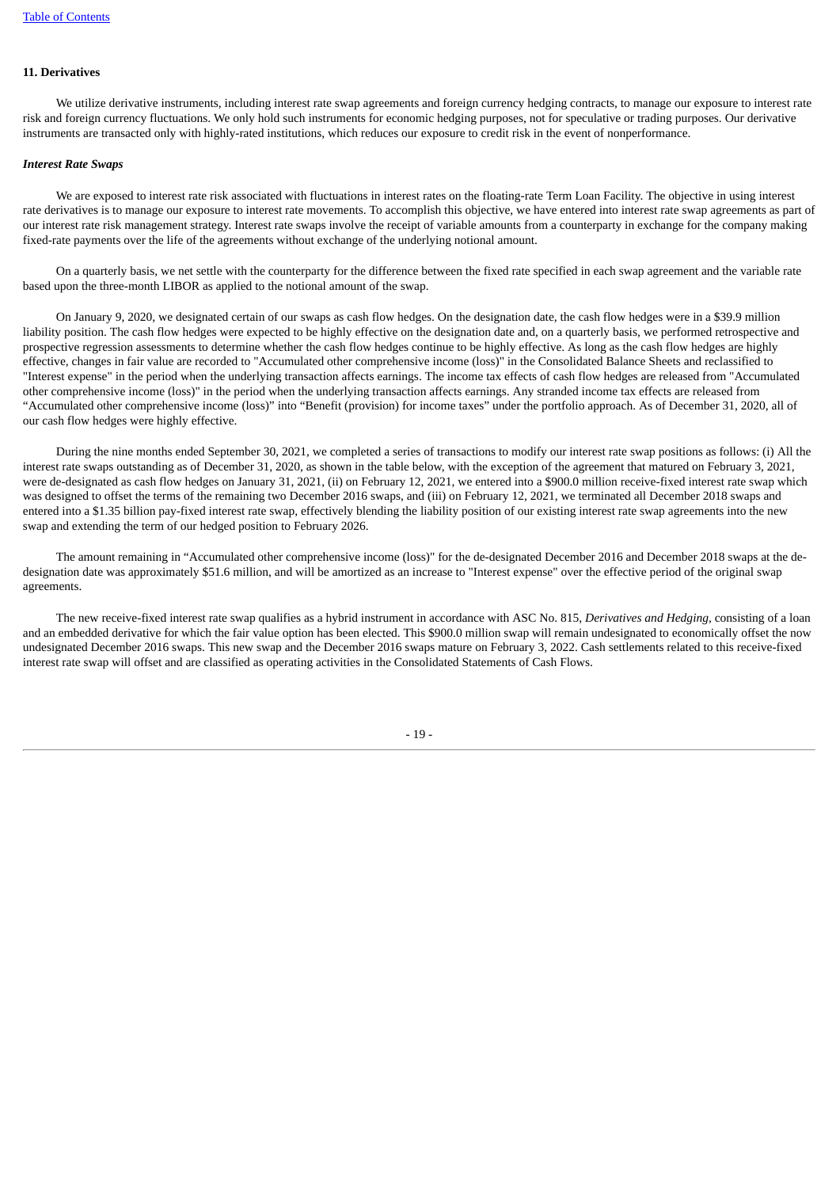### **11. Derivatives**

We utilize derivative instruments, including interest rate swap agreements and foreign currency hedging contracts, to manage our exposure to interest rate risk and foreign currency fluctuations. We only hold such instruments for economic hedging purposes, not for speculative or trading purposes. Our derivative instruments are transacted only with highly-rated institutions, which reduces our exposure to credit risk in the event of nonperformance.

#### *Interest Rate Swaps*

We are exposed to interest rate risk associated with fluctuations in interest rates on the floating-rate Term Loan Facility. The objective in using interest rate derivatives is to manage our exposure to interest rate movements. To accomplish this objective, we have entered into interest rate swap agreements as part of our interest rate risk management strategy. Interest rate swaps involve the receipt of variable amounts from a counterparty in exchange for the company making fixed-rate payments over the life of the agreements without exchange of the underlying notional amount.

On a quarterly basis, we net settle with the counterparty for the difference between the fixed rate specified in each swap agreement and the variable rate based upon the three-month LIBOR as applied to the notional amount of the swap.

On January 9, 2020, we designated certain of our swaps as cash flow hedges. On the designation date, the cash flow hedges were in a \$39.9 million liability position. The cash flow hedges were expected to be highly effective on the designation date and, on a quarterly basis, we performed retrospective and prospective regression assessments to determine whether the cash flow hedges continue to be highly effective. As long as the cash flow hedges are highly effective, changes in fair value are recorded to "Accumulated other comprehensive income (loss)" in the Consolidated Balance Sheets and reclassified to "Interest expense" in the period when the underlying transaction affects earnings. The income tax effects of cash flow hedges are released from "Accumulated other comprehensive income (loss)" in the period when the underlying transaction affects earnings. Any stranded income tax effects are released from "Accumulated other comprehensive income (loss)" into "Benefit (provision) for income taxes" under the portfolio approach. As of December 31, 2020, all of our cash flow hedges were highly effective.

During the nine months ended September 30, 2021, we completed a series of transactions to modify our interest rate swap positions as follows: (i) All the interest rate swaps outstanding as of December 31, 2020, as shown in the table below, with the exception of the agreement that matured on February 3, 2021, were de-designated as cash flow hedges on January 31, 2021, (ii) on February 12, 2021, we entered into a \$900.0 million receive-fixed interest rate swap which was designed to offset the terms of the remaining two December 2016 swaps, and (iii) on February 12, 2021, we terminated all December 2018 swaps and entered into a \$1.35 billion pay-fixed interest rate swap, effectively blending the liability position of our existing interest rate swap agreements into the new swap and extending the term of our hedged position to February 2026.

The amount remaining in "Accumulated other comprehensive income (loss)" for the de-designated December 2016 and December 2018 swaps at the dedesignation date was approximately \$51.6 million, and will be amortized as an increase to "Interest expense" over the effective period of the original swap agreements.

The new receive-fixed interest rate swap qualifies as a hybrid instrument in accordance with ASC No. 815, *Derivatives and Hedging*, consisting of a loan and an embedded derivative for which the fair value option has been elected. This \$900.0 million swap will remain undesignated to economically offset the now undesignated December 2016 swaps. This new swap and the December 2016 swaps mature on February 3, 2022. Cash settlements related to this receive-fixed interest rate swap will offset and are classified as operating activities in the Consolidated Statements of Cash Flows.

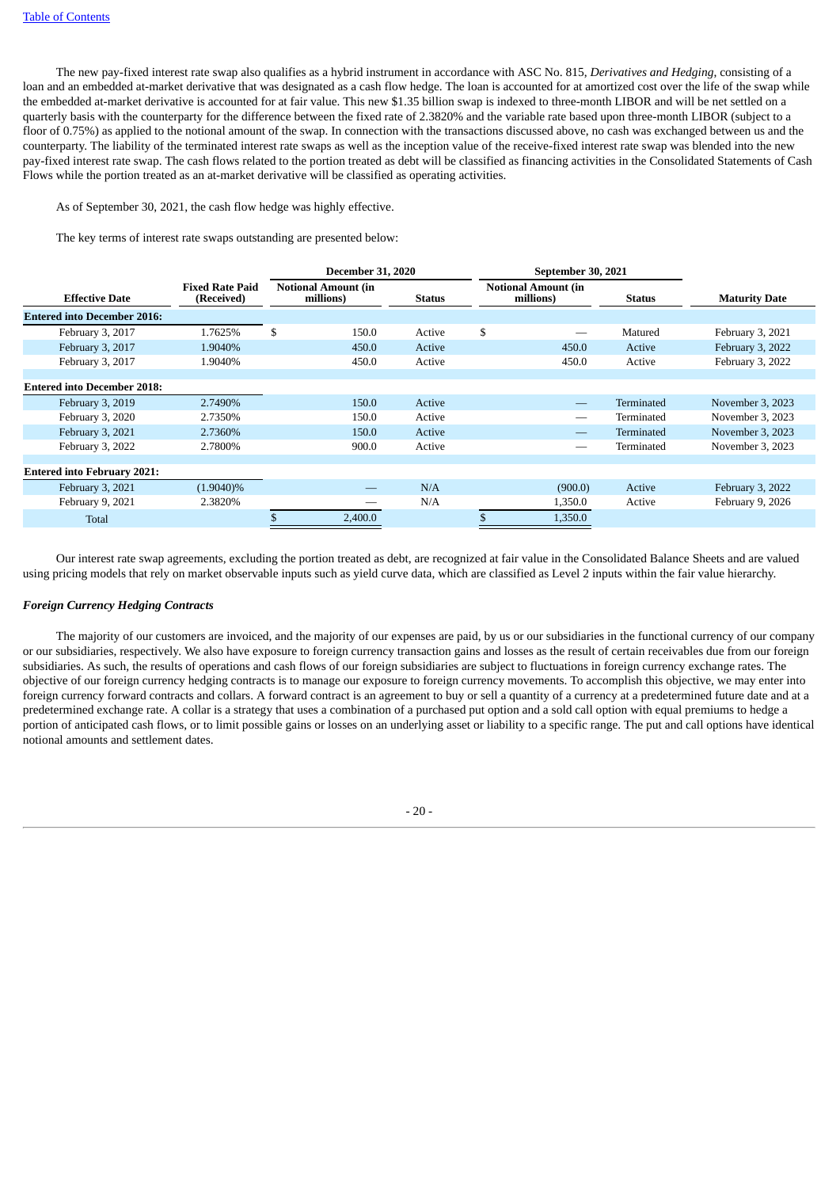The new pay-fixed interest rate swap also qualifies as a hybrid instrument in accordance with ASC No. 815, *Derivatives and Hedging*, consisting of a loan and an embedded at-market derivative that was designated as a cash flow hedge. The loan is accounted for at amortized cost over the life of the swap while the embedded at-market derivative is accounted for at fair value. This new \$1.35 billion swap is indexed to three-month LIBOR and will be net settled on a quarterly basis with the counterparty for the difference between the fixed rate of 2.3820% and the variable rate based upon three-month LIBOR (subject to a floor of 0.75%) as applied to the notional amount of the swap. In connection with the transactions discussed above, no cash was exchanged between us and the counterparty. The liability of the terminated interest rate swaps as well as the inception value of the receive-fixed interest rate swap was blended into the new pay-fixed interest rate swap. The cash flows related to the portion treated as debt will be classified as financing activities in the Consolidated Statements of Cash Flows while the portion treated as an at-market derivative will be classified as operating activities.

As of September 30, 2021, the cash flow hedge was highly effective.

The key terms of interest rate swaps outstanding are presented below:

|                                    |                                      |                                          | <b>December 31, 2020</b> |        | September 30, 2021                      |               |                         |
|------------------------------------|--------------------------------------|------------------------------------------|--------------------------|--------|-----------------------------------------|---------------|-------------------------|
| <b>Effective Date</b>              | <b>Fixed Rate Paid</b><br>(Received) | <b>Notional Amount (in)</b><br>millions) | <b>Status</b>            |        | <b>Notional Amount (in</b><br>millions) | <b>Status</b> | <b>Maturity Date</b>    |
| <b>Entered into December 2016:</b> |                                      |                                          |                          |        |                                         |               |                         |
| February 3, 2017                   | 1.7625%                              | \$                                       | 150.0                    | Active | \$<br>—                                 | Matured       | February 3, 2021        |
| February 3, 2017                   | 1.9040%                              |                                          | 450.0                    | Active | 450.0                                   | Active        | February 3, 2022        |
| February 3, 2017                   | 1.9040%                              |                                          | 450.0                    | Active | 450.0                                   | Active        | February 3, 2022        |
| <b>Entered into December 2018:</b> |                                      |                                          |                          |        |                                         |               |                         |
| February 3, 2019                   | 2.7490%                              |                                          | 150.0                    | Active |                                         | Terminated    | November 3, 2023        |
| February 3, 2020                   | 2.7350%                              |                                          | 150.0                    | Active | —                                       | Terminated    | November 3, 2023        |
| February 3, 2021                   | 2.7360%                              |                                          | 150.0                    | Active |                                         | Terminated    | November 3, 2023        |
| February 3, 2022                   | 2.7800%                              |                                          | 900.0                    | Active | —                                       | Terminated    | November 3, 2023        |
| <b>Entered into February 2021:</b> |                                      |                                          |                          |        |                                         |               |                         |
|                                    |                                      |                                          |                          |        |                                         |               |                         |
| February 3, 2021                   | $(1.9040)\%$                         |                                          |                          | N/A    | (900.0)                                 | Active        | <b>February 3, 2022</b> |
| February 9, 2021                   | 2.3820%                              |                                          |                          | N/A    | 1,350.0                                 | Active        | February 9, 2026        |
| Total                              |                                      |                                          | 2,400.0                  |        | 1,350.0                                 |               |                         |

Our interest rate swap agreements, excluding the portion treated as debt, are recognized at fair value in the Consolidated Balance Sheets and are valued using pricing models that rely on market observable inputs such as yield curve data, which are classified as Level 2 inputs within the fair value hierarchy.

#### *Foreign Currency Hedging Contracts*

The majority of our customers are invoiced, and the majority of our expenses are paid, by us or our subsidiaries in the functional currency of our company or our subsidiaries, respectively. We also have exposure to foreign currency transaction gains and losses as the result of certain receivables due from our foreign subsidiaries. As such, the results of operations and cash flows of our foreign subsidiaries are subject to fluctuations in foreign currency exchange rates. The objective of our foreign currency hedging contracts is to manage our exposure to foreign currency movements. To accomplish this objective, we may enter into foreign currency forward contracts and collars. A forward contract is an agreement to buy or sell a quantity of a currency at a predetermined future date and at a predetermined exchange rate. A collar is a strategy that uses a combination of a purchased put option and a sold call option with equal premiums to hedge a portion of anticipated cash flows, or to limit possible gains or losses on an underlying asset or liability to a specific range. The put and call options have identical notional amounts and settlement dates.

- 20 -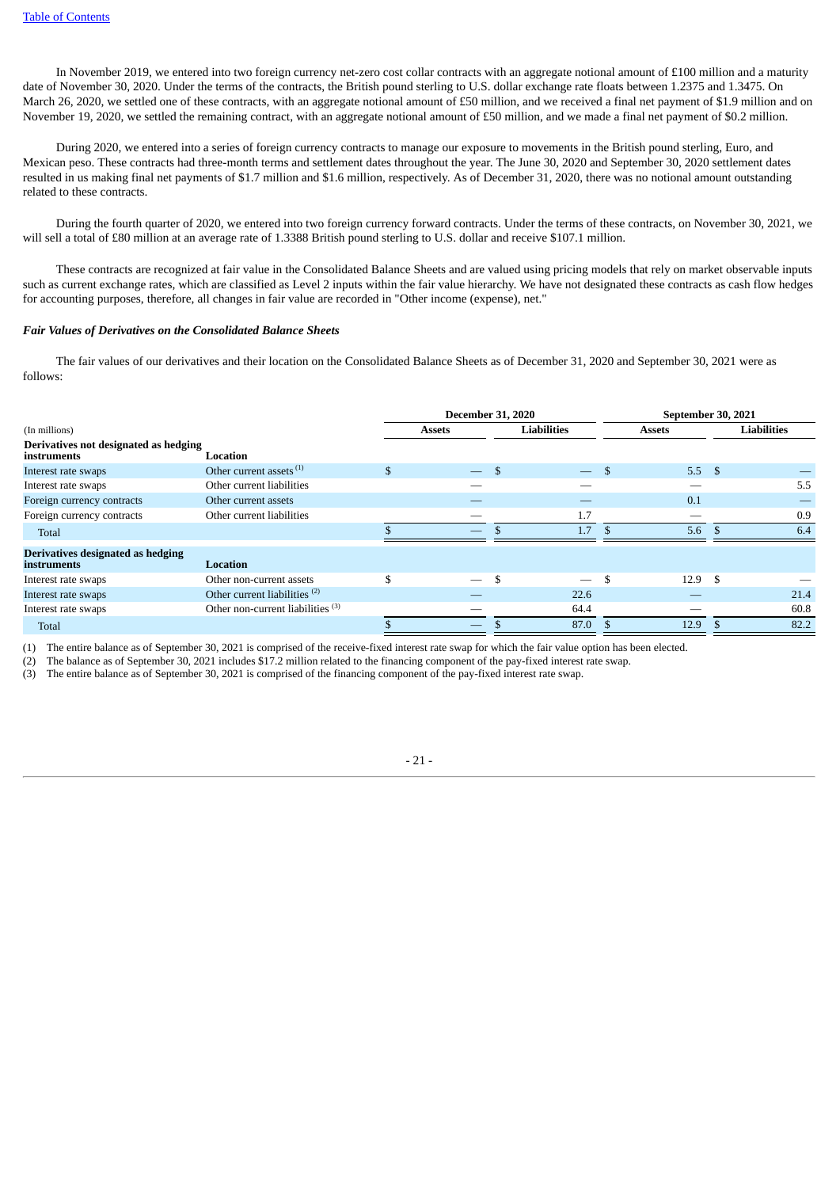In November 2019, we entered into two foreign currency net-zero cost collar contracts with an aggregate notional amount of £100 million and a maturity date of November 30, 2020. Under the terms of the contracts, the British pound sterling to U.S. dollar exchange rate floats between 1.2375 and 1.3475. On March 26, 2020, we settled one of these contracts, with an aggregate notional amount of £50 million, and we received a final net payment of \$1.9 million and on November 19, 2020, we settled the remaining contract, with an aggregate notional amount of £50 million, and we made a final net payment of \$0.2 million.

During 2020, we entered into a series of foreign currency contracts to manage our exposure to movements in the British pound sterling, Euro, and Mexican peso. These contracts had three-month terms and settlement dates throughout the year. The June 30, 2020 and September 30, 2020 settlement dates resulted in us making final net payments of \$1.7 million and \$1.6 million, respectively. As of December 31, 2020, there was no notional amount outstanding related to these contracts.

During the fourth quarter of 2020, we entered into two foreign currency forward contracts. Under the terms of these contracts, on November 30, 2021, we will sell a total of £80 million at an average rate of 1.3388 British pound sterling to U.S. dollar and receive \$107.1 million.

These contracts are recognized at fair value in the Consolidated Balance Sheets and are valued using pricing models that rely on market observable inputs such as current exchange rates, which are classified as Level 2 inputs within the fair value hierarchy. We have not designated these contracts as cash flow hedges for accounting purposes, therefore, all changes in fair value are recorded in "Other income (expense), net."

#### *Fair Values of Derivatives on the Consolidated Balance Sheets*

The fair values of our derivatives and their location on the Consolidated Balance Sheets as of December 31, 2020 and September 30, 2021 were as follows:

|                                                         |                                              |               | <b>December 31, 2020</b> |  |                          |        | September 30, 2021 |      |                    |
|---------------------------------------------------------|----------------------------------------------|---------------|--------------------------|--|--------------------------|--------|--------------------|------|--------------------|
| (In millions)                                           |                                              | <b>Assets</b> |                          |  | <b>Liabilities</b>       | Assets |                    |      | <b>Liabilities</b> |
| Derivatives not designated as hedging<br>instruments    | Location                                     |               |                          |  |                          |        |                    |      |                    |
| Interest rate swaps                                     | Other current assets $(1)$                   | \$            |                          |  |                          |        | 5.5                | - \$ |                    |
| Interest rate swaps                                     | Other current liabilities                    |               |                          |  |                          |        |                    |      | 5.5                |
| Foreign currency contracts                              | Other current assets                         |               |                          |  |                          |        | 0.1                |      |                    |
| Foreign currency contracts                              | Other current liabilities                    |               |                          |  | 1.7                      |        |                    |      | 0.9                |
| Total                                                   |                                              |               |                          |  | 1.7                      |        | 5.6                |      | 6.4                |
| Derivatives designated as hedging<br><i>instruments</i> | <b>Location</b>                              |               |                          |  |                          |        |                    |      |                    |
| Interest rate swaps                                     | Other non-current assets                     | \$            |                          |  | $\overline{\phantom{m}}$ | \$     | 12.9               | -\$  |                    |
| Interest rate swaps                                     | Other current liabilities <sup>(2)</sup>     |               |                          |  | 22.6                     |        |                    |      | 21.4               |
| Interest rate swaps                                     | Other non-current liabilities <sup>(3)</sup> |               |                          |  | 64.4                     |        |                    |      | 60.8               |
| Total                                                   |                                              |               |                          |  | 87.0                     |        | 12.9               |      | 82.2               |

(1) The entire balance as of September 30, 2021 is comprised of the receive-fixed interest rate swap for which the fair value option has been elected.

(2) The balance as of September 30, 2021 includes \$17.2 million related to the financing component of the pay-fixed interest rate swap.

(3) The entire balance as of September 30, 2021 is comprised of the financing component of the pay-fixed interest rate swap.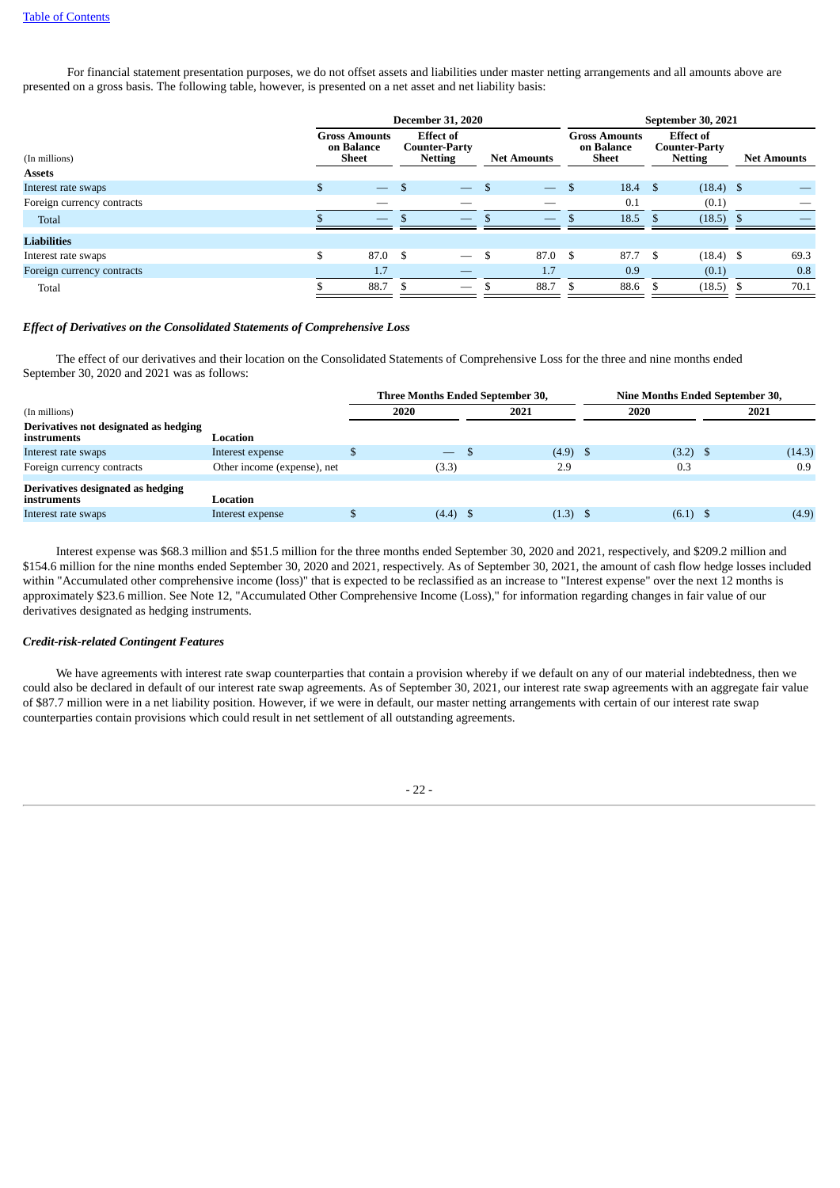For financial statement presentation purposes, we do not offset assets and liabilities under master netting arrangements and all amounts above are presented on a gross basis. The following table, however, is presented on a net asset and net liability basis:

|                            |                                             |         |                                                            | <b>December 31, 2020</b> |                    |      | <b>September 30, 2021</b>                          |      |                                                            |             |  |                    |  |  |
|----------------------------|---------------------------------------------|---------|------------------------------------------------------------|--------------------------|--------------------|------|----------------------------------------------------|------|------------------------------------------------------------|-------------|--|--------------------|--|--|
| (In millions)              | <b>Gross Amounts</b><br>on Balance<br>Sheet |         | <b>Effect of</b><br><b>Counter-Party</b><br><b>Netting</b> |                          | <b>Net Amounts</b> |      | <b>Gross Amounts</b><br>on Balance<br><b>Sheet</b> |      | <b>Effect of</b><br><b>Counter-Party</b><br><b>Netting</b> |             |  | <b>Net Amounts</b> |  |  |
| <b>Assets</b>              |                                             |         |                                                            |                          |                    |      |                                                    |      |                                                            |             |  |                    |  |  |
| Interest rate swaps        |                                             |         |                                                            | $\hspace{0.05cm}$        |                    |      |                                                    | 18.4 | - \$                                                       | $(18.4)$ \$ |  |                    |  |  |
| Foreign currency contracts |                                             |         |                                                            |                          |                    |      |                                                    | 0.1  |                                                            | (0.1)       |  |                    |  |  |
| <b>Total</b>               |                                             |         |                                                            |                          |                    |      |                                                    | 18.5 |                                                            | (18.5)      |  |                    |  |  |
| <b>Liabilities</b>         |                                             |         |                                                            |                          |                    |      |                                                    |      |                                                            |             |  |                    |  |  |
| Interest rate swaps        |                                             | 87.0 \$ |                                                            | $\overline{\phantom{m}}$ |                    | 87.0 | <b>S</b>                                           | 87.7 | - \$                                                       | $(18.4)$ \$ |  | 69.3               |  |  |
| Foreign currency contracts |                                             | 1.7     |                                                            | _                        |                    | 1.7  |                                                    | 0.9  |                                                            | (0.1)       |  | 0.8                |  |  |
| Total                      |                                             | 88.7    |                                                            |                          |                    | 88.7 |                                                    | 88.6 |                                                            | (18.5)      |  | 70.1               |  |  |

#### *Effect of Derivatives on the Consolidated Statements of Comprehensive Loss*

The effect of our derivatives and their location on the Consolidated Statements of Comprehensive Loss for the three and nine months ended September 30, 2020 and 2021 was as follows:

|                                                      |                             |  | Three Months Ended September 30, |      |            | Nine Months Ended September 30, |            |  |        |
|------------------------------------------------------|-----------------------------|--|----------------------------------|------|------------|---------------------------------|------------|--|--------|
| (In millions)                                        |                             |  | 2020                             | 2021 |            |                                 | 2020       |  | 2021   |
| Derivatives not designated as hedging<br>instruments | Location                    |  |                                  |      |            |                                 |            |  |        |
| Interest rate swaps                                  | Interest expense            |  | $\overline{\phantom{0}}$         |      | $(4.9)$ \$ |                                 | $(3.2)$ \$ |  | (14.3) |
| Foreign currency contracts                           | Other income (expense), net |  | (3.3)                            |      | 2.9        |                                 | 0.3        |  | 0.9    |
| Derivatives designated as hedging<br>instruments     | Location                    |  |                                  |      |            |                                 |            |  |        |
| Interest rate swaps                                  | Interest expense            |  | $(4.4)$ \$                       |      | $(1.3)$ \$ |                                 | $(6.1)$ \$ |  | (4.9)  |

Interest expense was \$68.3 million and \$51.5 million for the three months ended September 30, 2020 and 2021, respectively, and \$209.2 million and \$154.6 million for the nine months ended September 30, 2020 and 2021, respectively. As of September 30, 2021, the amount of cash flow hedge losses included within "Accumulated other comprehensive income (loss)" that is expected to be reclassified as an increase to "Interest expense" over the next 12 months is approximately \$23.6 million. See Note 12, "Accumulated Other Comprehensive Income (Loss)," for information regarding changes in fair value of our derivatives designated as hedging instruments.

# *Credit-risk-related Contingent Features*

We have agreements with interest rate swap counterparties that contain a provision whereby if we default on any of our material indebtedness, then we could also be declared in default of our interest rate swap agreements. As of September 30, 2021, our interest rate swap agreements with an aggregate fair value of \$87.7 million were in a net liability position. However, if we were in default, our master netting arrangements with certain of our interest rate swap counterparties contain provisions which could result in net settlement of all outstanding agreements.

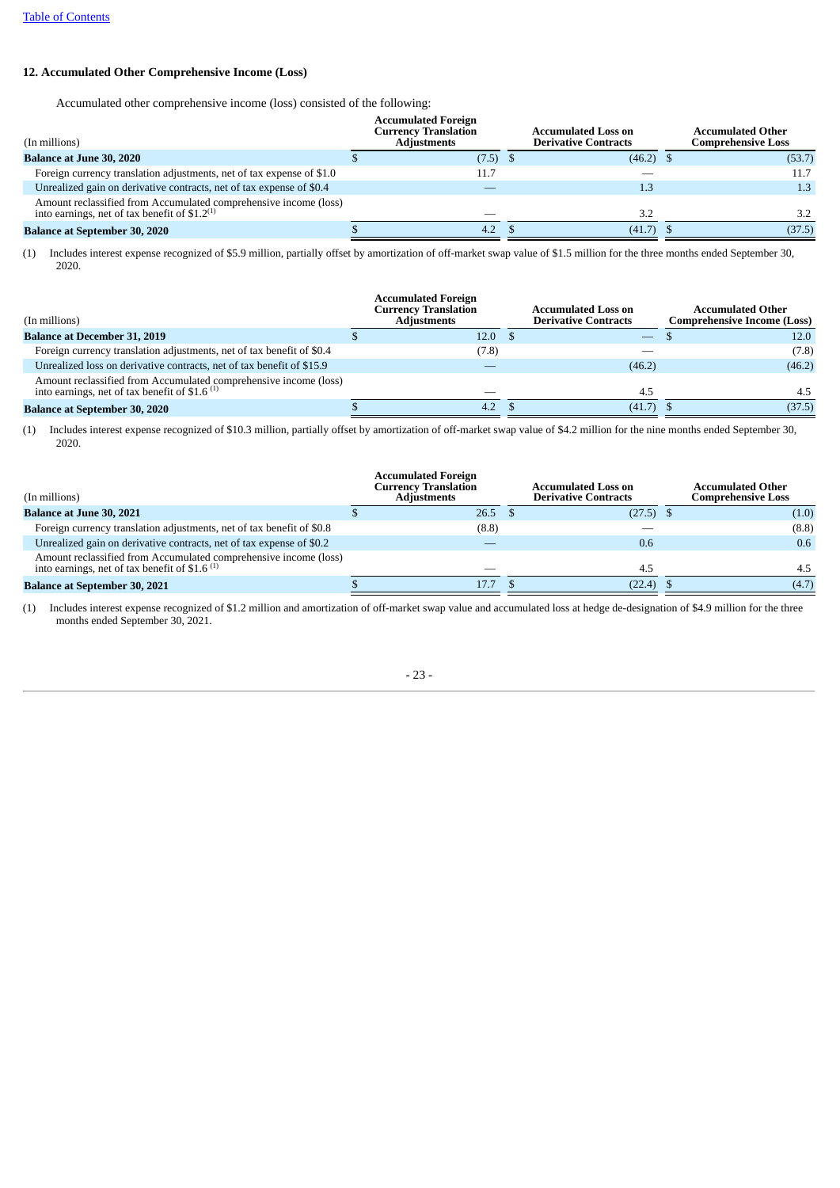# **12. Accumulated Other Comprehensive Income (Loss)**

Accumulated other comprehensive income (loss) consisted of the following:

| (In millions)                                                                                                      | <b>Accumulated Foreign</b><br><b>Currency Translation</b><br><b>Adjustments</b> | <b>Accumulated Loss on</b><br><b>Derivative Contracts</b> | <b>Accumulated Other</b><br><b>Comprehensive Loss</b> |
|--------------------------------------------------------------------------------------------------------------------|---------------------------------------------------------------------------------|-----------------------------------------------------------|-------------------------------------------------------|
| <b>Balance at June 30, 2020</b>                                                                                    | $(7.5)$ \$                                                                      | $(46.2)$ \$                                               | (53.7)                                                |
| Foreign currency translation adjustments, net of tax expense of \$1.0                                              | 11.7                                                                            |                                                           | 11.7                                                  |
| Unrealized gain on derivative contracts, net of tax expense of \$0.4                                               |                                                                                 | 1.3                                                       | 1.3                                                   |
| Amount reclassified from Accumulated comprehensive income (loss)<br>into earnings, net of tax benefit of $$1.2(1)$ |                                                                                 | 3.2                                                       | 3.2                                                   |
| <b>Balance at September 30, 2020</b>                                                                               | 4.2                                                                             | (41.7)                                                    | (37.5)                                                |

(1) Includes interest expense recognized of \$5.9 million, partially offset by amortization of off-market swap value of \$1.5 million for the three months ended September 30, 2020.

| (In millions)                                                                                                                 | <b>Accumulated Foreign</b><br><b>Currency Translation</b><br><b>Adjustments</b> | <b>Accumulated Loss on</b><br><b>Derivative Contracts</b> | <b>Accumulated Other</b><br><b>Comprehensive Income (Loss)</b> |
|-------------------------------------------------------------------------------------------------------------------------------|---------------------------------------------------------------------------------|-----------------------------------------------------------|----------------------------------------------------------------|
| <b>Balance at December 31, 2019</b>                                                                                           | 12.0                                                                            | —                                                         | 12.0                                                           |
| Foreign currency translation adjustments, net of tax benefit of \$0.4                                                         | (7.8)                                                                           |                                                           | (7.8)                                                          |
| Unrealized loss on derivative contracts, net of tax benefit of \$15.9                                                         |                                                                                 | (46.2)                                                    | (46.2)                                                         |
| Amount reclassified from Accumulated comprehensive income (loss)<br>into earnings, net of tax benefit of \$1.6 <sup>(1)</sup> |                                                                                 | 4.5                                                       | 4.5                                                            |
| <b>Balance at September 30, 2020</b>                                                                                          | 4.2                                                                             | $(41.7)$ \$                                               | (37.5)                                                         |
|                                                                                                                               |                                                                                 |                                                           |                                                                |

(1) Includes interest expense recognized of \$10.3 million, partially offset by amortization of off-market swap value of \$4.2 million for the nine months ended September 30, 2020.

| (In millions)                                                                                                        | <b>Accumulated Foreign</b><br><b>Currency Translation</b><br><b>Adjustments</b> | <b>Accumulated Loss on</b><br><b>Derivative Contracts</b> | <b>Accumulated Other</b><br><b>Comprehensive Loss</b> |
|----------------------------------------------------------------------------------------------------------------------|---------------------------------------------------------------------------------|-----------------------------------------------------------|-------------------------------------------------------|
| <b>Balance at June 30, 2021</b>                                                                                      | 26.5                                                                            | $(27.5)$ \$                                               | (1.0)                                                 |
| Foreign currency translation adjustments, net of tax benefit of \$0.8                                                | (8.8)                                                                           |                                                           | (8.8)                                                 |
| Unrealized gain on derivative contracts, net of tax expense of \$0.2                                                 |                                                                                 | 0.6                                                       | 0.6                                                   |
| Amount reclassified from Accumulated comprehensive income (loss)<br>into earnings, net of tax benefit of \$1.6 $(1)$ |                                                                                 | 4.5                                                       | 4.5                                                   |
| <b>Balance at September 30, 2021</b>                                                                                 | 17.7                                                                            | (22.4)                                                    | (4.7)                                                 |

(1) Includes interest expense recognized of \$1.2 million and amortization of off-market swap value and accumulated loss at hedge de-designation of \$4.9 million for the three months ended September 30, 2021.

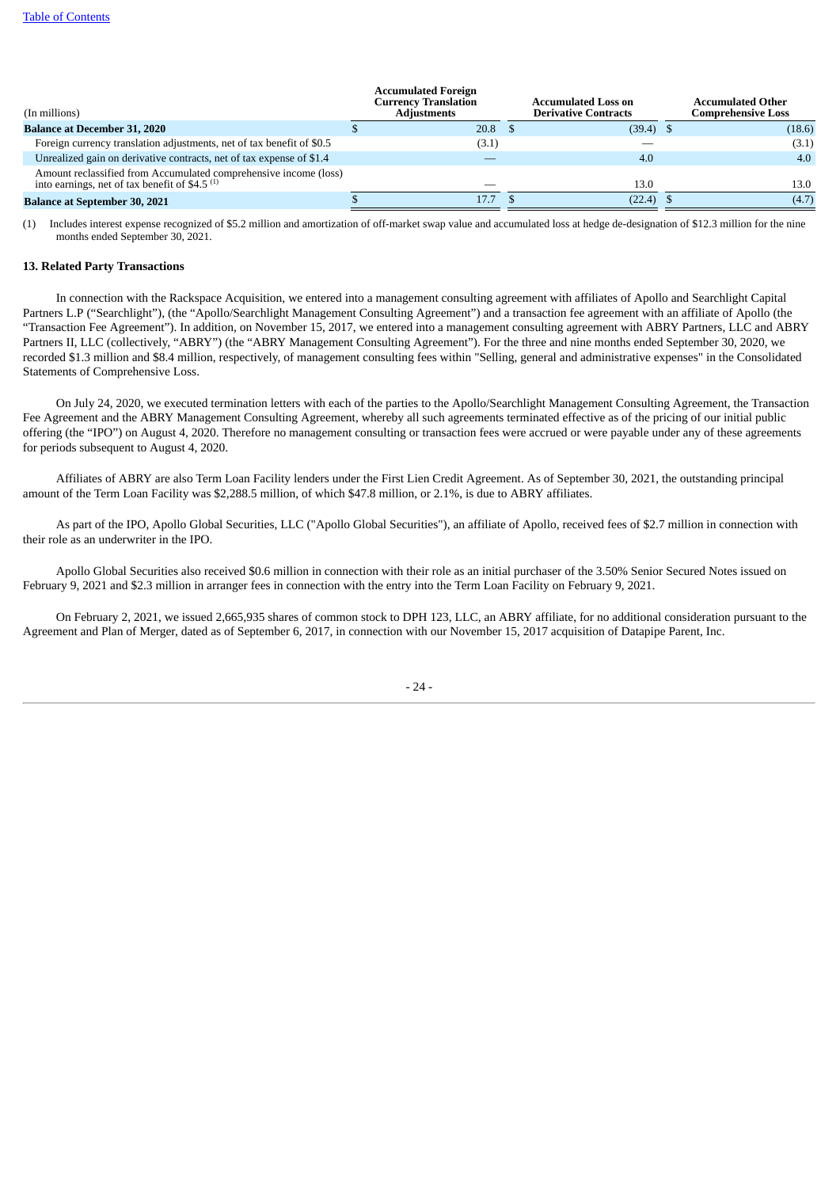| (In millions)                                                                                                        | <b>Accumulated Foreign</b><br><b>Currency Translation</b><br><b>Adjustments</b> | <b>Accumulated Loss on</b><br><b>Derivative Contracts</b> | <b>Accumulated Other</b><br><b>Comprehensive Loss</b> |
|----------------------------------------------------------------------------------------------------------------------|---------------------------------------------------------------------------------|-----------------------------------------------------------|-------------------------------------------------------|
| <b>Balance at December 31, 2020</b>                                                                                  | 20.8                                                                            | $(39.4)$ \$                                               | (18.6)                                                |
| Foreign currency translation adjustments, net of tax benefit of \$0.5                                                | (3.1)                                                                           |                                                           | (3.1)                                                 |
| Unrealized gain on derivative contracts, net of tax expense of \$1.4                                                 |                                                                                 | 4.0                                                       | 4.0                                                   |
| Amount reclassified from Accumulated comprehensive income (loss)<br>into earnings, net of tax benefit of \$4.5 $(1)$ |                                                                                 | 13.0                                                      | 13.0                                                  |
| <b>Balance at September 30, 2021</b>                                                                                 | 17.7                                                                            | (22.4)                                                    | (4.7)                                                 |
|                                                                                                                      |                                                                                 |                                                           |                                                       |

(1) Includes interest expense recognized of \$5.2 million and amortization of off-market swap value and accumulated loss at hedge de-designation of \$12.3 million for the nine months ended September 30, 2021.

#### **13. Related Party Transactions**

In connection with the Rackspace Acquisition, we entered into a management consulting agreement with affiliates of Apollo and Searchlight Capital Partners L.P ("Searchlight"), (the "Apollo/Searchlight Management Consulting Agreement") and a transaction fee agreement with an affiliate of Apollo (the "Transaction Fee Agreement"). In addition, on November 15, 2017, we entered into a management consulting agreement with ABRY Partners, LLC and ABRY Partners II, LLC (collectively, "ABRY") (the "ABRY Management Consulting Agreement"). For the three and nine months ended September 30, 2020, we recorded \$1.3 million and \$8.4 million, respectively, of management consulting fees within "Selling, general and administrative expenses" in the Consolidated Statements of Comprehensive Loss.

On July 24, 2020, we executed termination letters with each of the parties to the Apollo/Searchlight Management Consulting Agreement, the Transaction Fee Agreement and the ABRY Management Consulting Agreement, whereby all such agreements terminated effective as of the pricing of our initial public offering (the "IPO") on August 4, 2020. Therefore no management consulting or transaction fees were accrued or were payable under any of these agreements for periods subsequent to August 4, 2020.

Affiliates of ABRY are also Term Loan Facility lenders under the First Lien Credit Agreement. As of September 30, 2021, the outstanding principal amount of the Term Loan Facility was \$2,288.5 million, of which \$47.8 million, or 2.1%, is due to ABRY affiliates.

As part of the IPO, Apollo Global Securities, LLC ("Apollo Global Securities"), an affiliate of Apollo, received fees of \$2.7 million in connection with their role as an underwriter in the IPO.

Apollo Global Securities also received \$0.6 million in connection with their role as an initial purchaser of the 3.50% Senior Secured Notes issued on February 9, 2021 and \$2.3 million in arranger fees in connection with the entry into the Term Loan Facility on February 9, 2021.

On February 2, 2021, we issued 2,665,935 shares of common stock to DPH 123, LLC, an ABRY affiliate, for no additional consideration pursuant to the Agreement and Plan of Merger, dated as of September 6, 2017, in connection with our November 15, 2017 acquisition of Datapipe Parent, Inc.

 $-24-$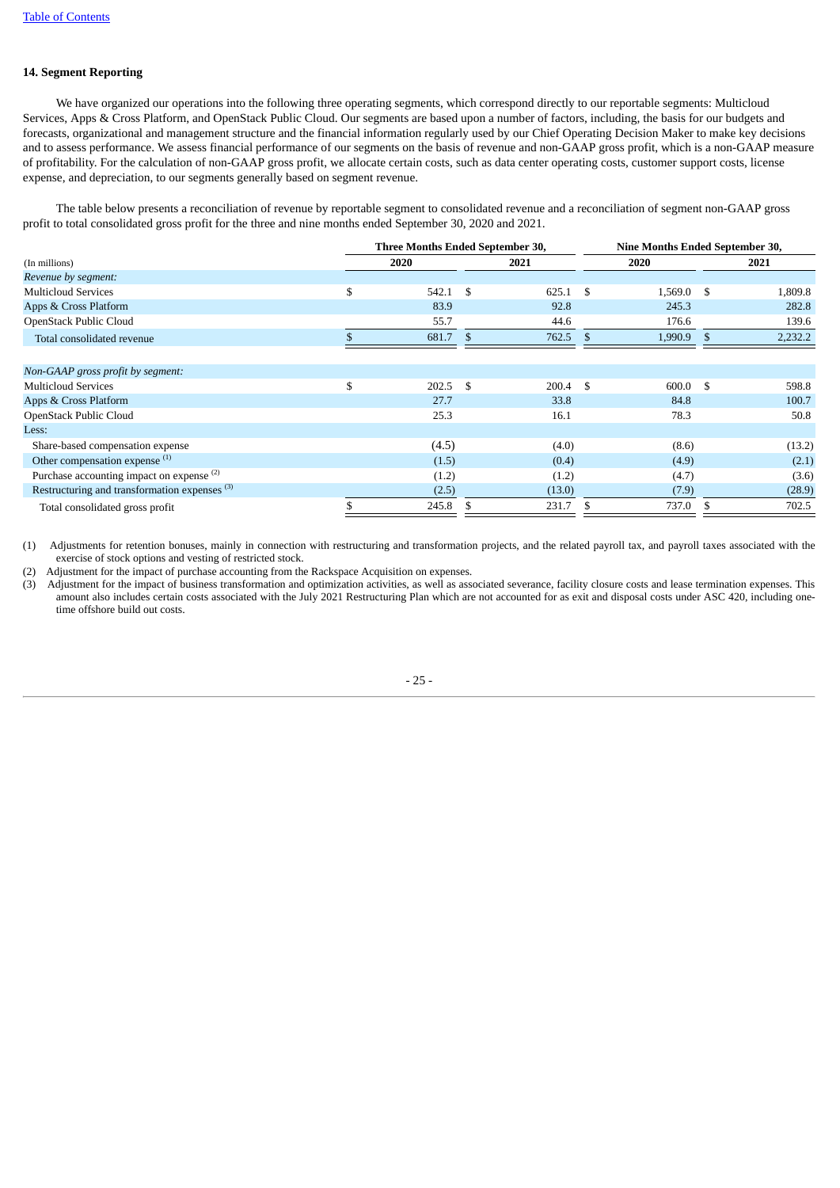# **14. Segment Reporting**

We have organized our operations into the following three operating segments, which correspond directly to our reportable segments: Multicloud Services, Apps & Cross Platform, and OpenStack Public Cloud. Our segments are based upon a number of factors, including, the basis for our budgets and forecasts, organizational and management structure and the financial information regularly used by our Chief Operating Decision Maker to make key decisions and to assess performance. We assess financial performance of our segments on the basis of revenue and non-GAAP gross profit, which is a non-GAAP measure of profitability. For the calculation of non-GAAP gross profit, we allocate certain costs, such as data center operating costs, customer support costs, license expense, and depreciation, to our segments generally based on segment revenue.

The table below presents a reconciliation of revenue by reportable segment to consolidated revenue and a reconciliation of segment non-GAAP gross profit to total consolidated gross profit for the three and nine months ended September 30, 2020 and 2021.

|                                                          | <b>Three Months Ended September 30,</b> |               |        |               | Nine Months Ended September 30, |                |         |  |  |  |
|----------------------------------------------------------|-----------------------------------------|---------------|--------|---------------|---------------------------------|----------------|---------|--|--|--|
| (In millions)                                            | 2020                                    |               | 2021   | 2020          |                                 |                | 2021    |  |  |  |
| Revenue by segment:                                      |                                         |               |        |               |                                 |                |         |  |  |  |
| <b>Multicloud Services</b>                               | \$<br>542.1                             | -S            | 625.1  | \$            | 1,569.0                         | -S             | 1,809.8 |  |  |  |
| Apps & Cross Platform                                    | 83.9                                    |               | 92.8   |               | 245.3                           |                | 282.8   |  |  |  |
| <b>OpenStack Public Cloud</b>                            | 55.7                                    |               | 44.6   |               | 176.6                           |                | 139.6   |  |  |  |
| Total consolidated revenue                               | 681.7                                   | <sup>\$</sup> | 762.5  | <sup>\$</sup> | 1,990.9                         | <b>S</b>       | 2,232.2 |  |  |  |
|                                                          |                                         |               |        |               |                                 |                |         |  |  |  |
| Non-GAAP gross profit by segment:                        |                                         |               |        |               |                                 |                |         |  |  |  |
| <b>Multicloud Services</b>                               | \$<br>202.5                             | -\$           | 200.4  | \$.           | 600.0                           | $\mathfrak{F}$ | 598.8   |  |  |  |
| Apps & Cross Platform                                    | 27.7                                    |               | 33.8   |               | 84.8                            |                | 100.7   |  |  |  |
| <b>OpenStack Public Cloud</b>                            | 25.3                                    |               | 16.1   |               | 78.3                            |                | 50.8    |  |  |  |
| Less:                                                    |                                         |               |        |               |                                 |                |         |  |  |  |
| Share-based compensation expense                         | (4.5)                                   |               | (4.0)  |               | (8.6)                           |                | (13.2)  |  |  |  |
| Other compensation expense (1)                           | (1.5)                                   |               | (0.4)  |               | (4.9)                           |                | (2.1)   |  |  |  |
| Purchase accounting impact on expense $(2)$              | (1.2)                                   |               | (1.2)  |               | (4.7)                           |                | (3.6)   |  |  |  |
| Restructuring and transformation expenses <sup>(3)</sup> | (2.5)                                   |               | (13.0) |               | (7.9)                           |                | (28.9)  |  |  |  |
| Total consolidated gross profit                          | 245.8                                   |               | 231.7  |               | 737.0                           |                | 702.5   |  |  |  |

(1) Adjustments for retention bonuses, mainly in connection with restructuring and transformation projects, and the related payroll tax, and payroll taxes associated with the exercise of stock options and vesting of restricted stock.

(2) Adjustment for the impact of purchase accounting from the Rackspace Acquisition on expenses.

<span id="page-26-0"></span>(3) Adjustment for the impact of business transformation and optimization activities, as well as associated severance, facility closure costs and lease termination expenses. This amount also includes certain costs associated with the July 2021 Restructuring Plan which are not accounted for as exit and disposal costs under ASC 420, including onetime offshore build out costs.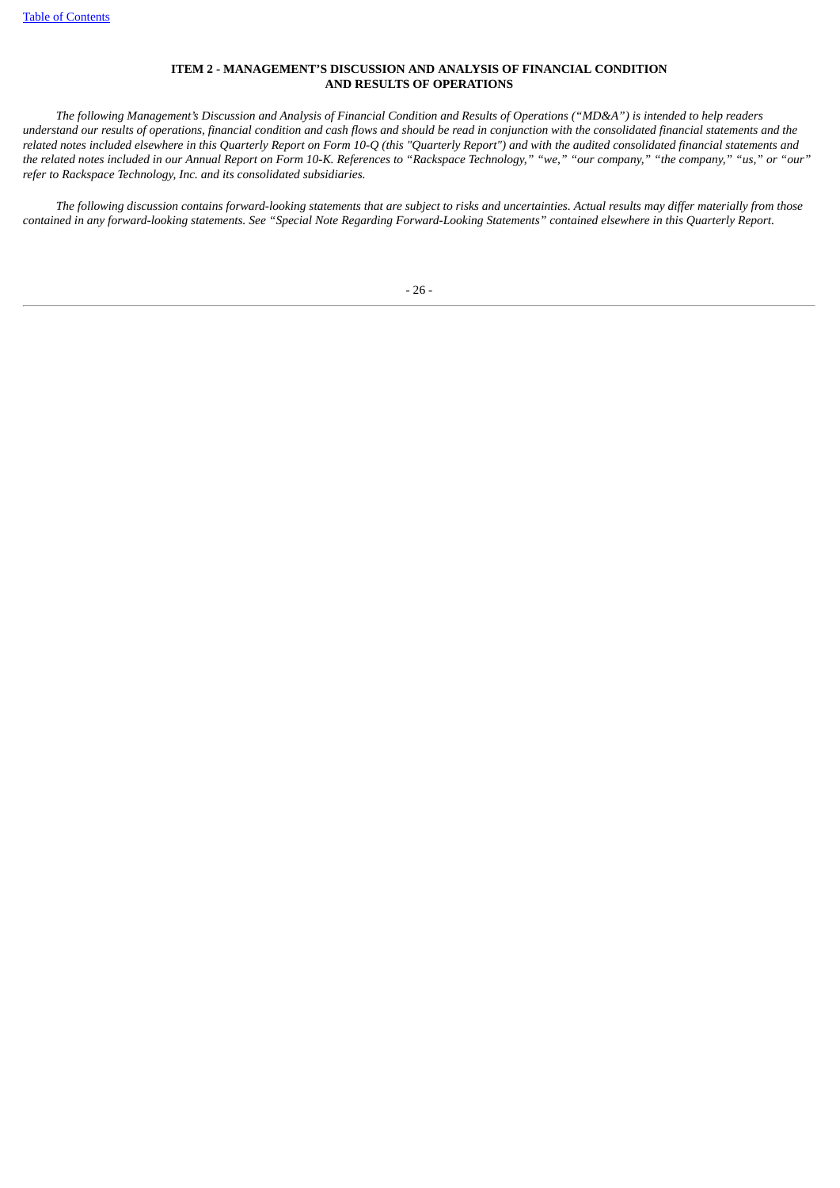# **ITEM 2 - MANAGEMENT'S DISCUSSION AND ANALYSIS OF FINANCIAL CONDITION AND RESULTS OF OPERATIONS**

The following Management's Discussion and Analysis of Financial Condition and Results of Operations ("MD&A") is intended to help readers understand our results of operations, financial condition and cash flows and should be read in conjunction with the consolidated financial statements and the related notes included elsewhere in this Quarterly Report on Form 10-Q (this "Quarterly Report") and with the audited consolidated financial statements and the related notes included in our Annual Report on Form 10-K. References to "Rackspace Technology," "we," "our company," "the company," "us," or "our" *refer to Rackspace Technology, Inc. and its consolidated subsidiaries.*

The following discussion contains forward-looking statements that are subject to risks and uncertainties. Actual results may differ materially from those contained in any forward-looking statements. See "Special Note Regarding Forward-Looking Statements" contained elsewhere in this Quarterly Report.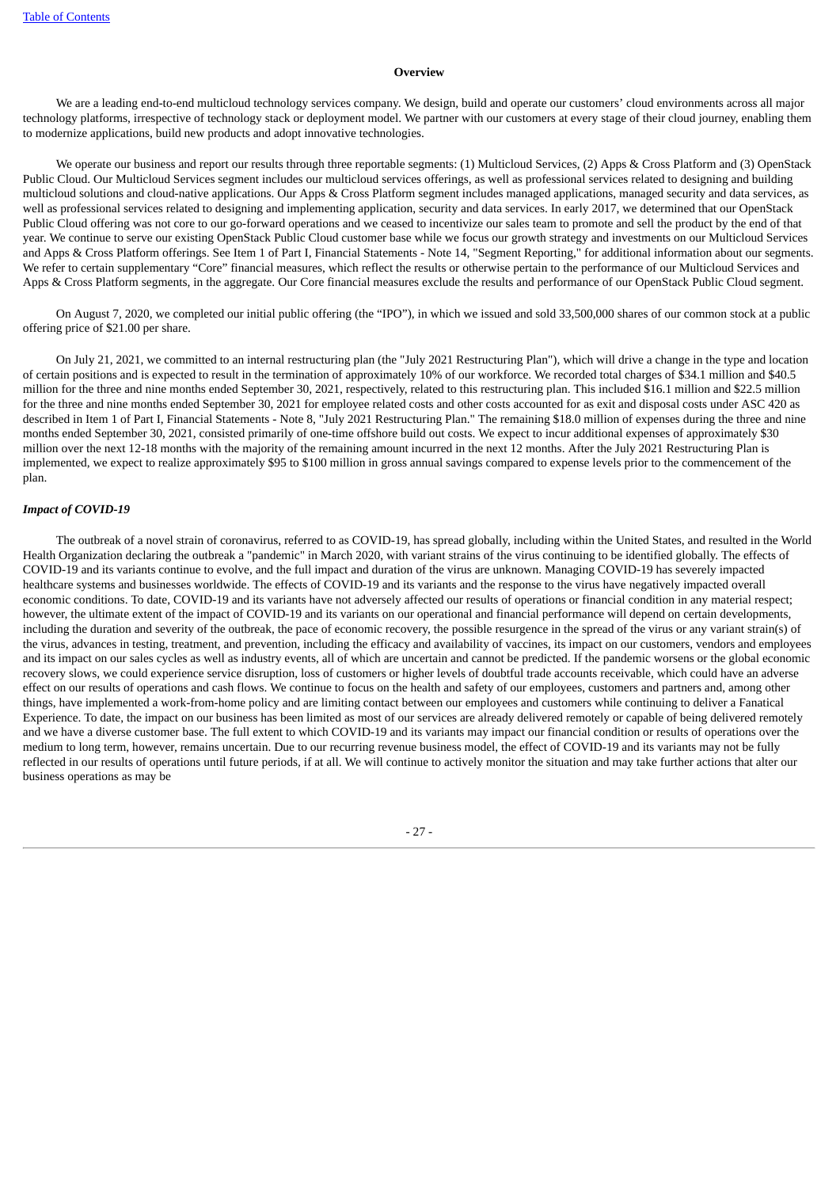#### **Overview**

We are a leading end-to-end multicloud technology services company. We design, build and operate our customers' cloud environments across all major technology platforms, irrespective of technology stack or deployment model. We partner with our customers at every stage of their cloud journey, enabling them to modernize applications, build new products and adopt innovative technologies.

We operate our business and report our results through three reportable segments: (1) Multicloud Services, (2) Apps & Cross Platform and (3) OpenStack Public Cloud. Our Multicloud Services segment includes our multicloud services offerings, as well as professional services related to designing and building multicloud solutions and cloud-native applications. Our Apps & Cross Platform segment includes managed applications, managed security and data services, as well as professional services related to designing and implementing application, security and data services. In early 2017, we determined that our OpenStack Public Cloud offering was not core to our go-forward operations and we ceased to incentivize our sales team to promote and sell the product by the end of that year. We continue to serve our existing OpenStack Public Cloud customer base while we focus our growth strategy and investments on our Multicloud Services and Apps & Cross Platform offerings. See Item 1 of Part I, Financial Statements - Note 14, "Segment Reporting," for additional information about our segments. We refer to certain supplementary "Core" financial measures, which reflect the results or otherwise pertain to the performance of our Multicloud Services and Apps & Cross Platform segments, in the aggregate. Our Core financial measures exclude the results and performance of our OpenStack Public Cloud segment.

On August 7, 2020, we completed our initial public offering (the "IPO"), in which we issued and sold 33,500,000 shares of our common stock at a public offering price of \$21.00 per share.

On July 21, 2021, we committed to an internal restructuring plan (the "July 2021 Restructuring Plan"), which will drive a change in the type and location of certain positions and is expected to result in the termination of approximately 10% of our workforce. We recorded total charges of \$34.1 million and \$40.5 million for the three and nine months ended September 30, 2021, respectively, related to this restructuring plan. This included \$16.1 million and \$22.5 million for the three and nine months ended September 30, 2021 for employee related costs and other costs accounted for as exit and disposal costs under ASC 420 as described in Item 1 of Part I, Financial Statements - Note 8, "July 2021 Restructuring Plan." The remaining \$18.0 million of expenses during the three and nine months ended September 30, 2021, consisted primarily of one-time offshore build out costs. We expect to incur additional expenses of approximately \$30 million over the next 12-18 months with the majority of the remaining amount incurred in the next 12 months. After the July 2021 Restructuring Plan is implemented, we expect to realize approximately \$95 to \$100 million in gross annual savings compared to expense levels prior to the commencement of the plan.

#### *Impact of COVID-19*

The outbreak of a novel strain of coronavirus, referred to as COVID-19, has spread globally, including within the United States, and resulted in the World Health Organization declaring the outbreak a "pandemic" in March 2020, with variant strains of the virus continuing to be identified globally. The effects of COVID-19 and its variants continue to evolve, and the full impact and duration of the virus are unknown. Managing COVID-19 has severely impacted healthcare systems and businesses worldwide. The effects of COVID-19 and its variants and the response to the virus have negatively impacted overall economic conditions. To date, COVID-19 and its variants have not adversely affected our results of operations or financial condition in any material respect; however, the ultimate extent of the impact of COVID-19 and its variants on our operational and financial performance will depend on certain developments, including the duration and severity of the outbreak, the pace of economic recovery, the possible resurgence in the spread of the virus or any variant strain(s) of the virus, advances in testing, treatment, and prevention, including the efficacy and availability of vaccines, its impact on our customers, vendors and employees and its impact on our sales cycles as well as industry events, all of which are uncertain and cannot be predicted. If the pandemic worsens or the global economic recovery slows, we could experience service disruption, loss of customers or higher levels of doubtful trade accounts receivable, which could have an adverse effect on our results of operations and cash flows. We continue to focus on the health and safety of our employees, customers and partners and, among other things, have implemented a work-from-home policy and are limiting contact between our employees and customers while continuing to deliver a Fanatical Experience. To date, the impact on our business has been limited as most of our services are already delivered remotely or capable of being delivered remotely and we have a diverse customer base. The full extent to which COVID-19 and its variants may impact our financial condition or results of operations over the medium to long term, however, remains uncertain. Due to our recurring revenue business model, the effect of COVID-19 and its variants may not be fully reflected in our results of operations until future periods, if at all. We will continue to actively monitor the situation and may take further actions that alter our business operations as may be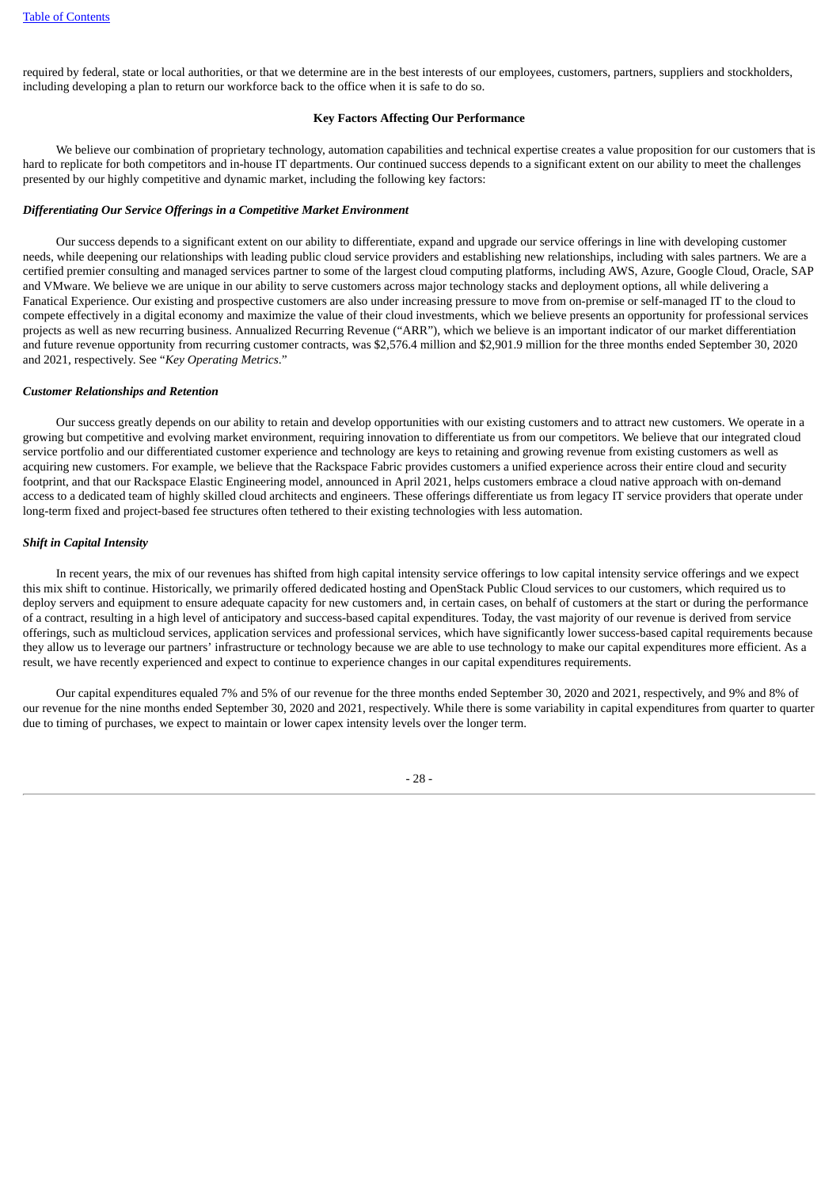required by federal, state or local authorities, or that we determine are in the best interests of our employees, customers, partners, suppliers and stockholders, including developing a plan to return our workforce back to the office when it is safe to do so.

#### **Key Factors Affecting Our Performance**

We believe our combination of proprietary technology, automation capabilities and technical expertise creates a value proposition for our customers that is hard to replicate for both competitors and in-house IT departments. Our continued success depends to a significant extent on our ability to meet the challenges presented by our highly competitive and dynamic market, including the following key factors:

### *Differentiating Our Service Offerings in a Competitive Market Environment*

Our success depends to a significant extent on our ability to differentiate, expand and upgrade our service offerings in line with developing customer needs, while deepening our relationships with leading public cloud service providers and establishing new relationships, including with sales partners. We are a certified premier consulting and managed services partner to some of the largest cloud computing platforms, including AWS, Azure, Google Cloud, Oracle, SAP and VMware. We believe we are unique in our ability to serve customers across major technology stacks and deployment options, all while delivering a Fanatical Experience. Our existing and prospective customers are also under increasing pressure to move from on-premise or self-managed IT to the cloud to compete effectively in a digital economy and maximize the value of their cloud investments, which we believe presents an opportunity for professional services projects as well as new recurring business. Annualized Recurring Revenue ("ARR"), which we believe is an important indicator of our market differentiation and future revenue opportunity from recurring customer contracts, was \$2,576.4 million and \$2,901.9 million for the three months ended September 30, 2020 and 2021, respectively. See "*Key Operating Metrics*."

#### *Customer Relationships and Retention*

Our success greatly depends on our ability to retain and develop opportunities with our existing customers and to attract new customers. We operate in a growing but competitive and evolving market environment, requiring innovation to differentiate us from our competitors. We believe that our integrated cloud service portfolio and our differentiated customer experience and technology are keys to retaining and growing revenue from existing customers as well as acquiring new customers. For example, we believe that the Rackspace Fabric provides customers a unified experience across their entire cloud and security footprint, and that our Rackspace Elastic Engineering model, announced in April 2021, helps customers embrace a cloud native approach with on-demand access to a dedicated team of highly skilled cloud architects and engineers. These offerings differentiate us from legacy IT service providers that operate under long-term fixed and project-based fee structures often tethered to their existing technologies with less automation.

#### *Shift in Capital Intensity*

In recent years, the mix of our revenues has shifted from high capital intensity service offerings to low capital intensity service offerings and we expect this mix shift to continue. Historically, we primarily offered dedicated hosting and OpenStack Public Cloud services to our customers, which required us to deploy servers and equipment to ensure adequate capacity for new customers and, in certain cases, on behalf of customers at the start or during the performance of a contract, resulting in a high level of anticipatory and success-based capital expenditures. Today, the vast majority of our revenue is derived from service offerings, such as multicloud services, application services and professional services, which have significantly lower success-based capital requirements because they allow us to leverage our partners' infrastructure or technology because we are able to use technology to make our capital expenditures more efficient. As a result, we have recently experienced and expect to continue to experience changes in our capital expenditures requirements.

Our capital expenditures equaled 7% and 5% of our revenue for the three months ended September 30, 2020 and 2021, respectively, and 9% and 8% of our revenue for the nine months ended September 30, 2020 and 2021, respectively. While there is some variability in capital expenditures from quarter to quarter due to timing of purchases, we expect to maintain or lower capex intensity levels over the longer term.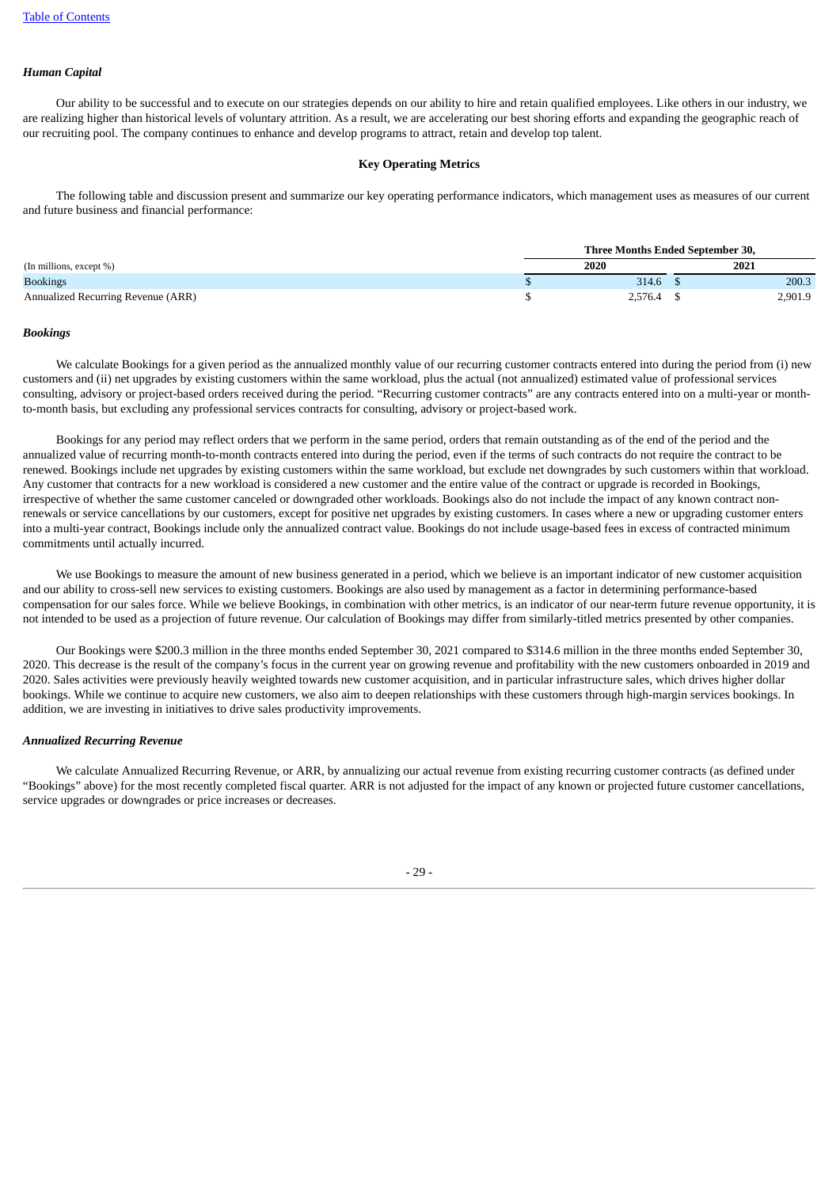# *Human Capital*

Our ability to be successful and to execute on our strategies depends on our ability to hire and retain qualified employees. Like others in our industry, we are realizing higher than historical levels of voluntary attrition. As a result, we are accelerating our best shoring efforts and expanding the geographic reach of our recruiting pool. The company continues to enhance and develop programs to attract, retain and develop top talent.

## **Key Operating Metrics**

The following table and discussion present and summarize our key operating performance indicators, which management uses as measures of our current and future business and financial performance:

|                                    | <b>Three Months Ended September 30.</b> |         |
|------------------------------------|-----------------------------------------|---------|
| (In millions, except $%$ )         | 2020                                    | 2021    |
| <b>Bookings</b>                    | 314.6                                   | 200.3   |
| Annualized Recurring Revenue (ARR) | 2,576.4                                 | 2,901.9 |

#### *Bookings*

We calculate Bookings for a given period as the annualized monthly value of our recurring customer contracts entered into during the period from (i) new customers and (ii) net upgrades by existing customers within the same workload, plus the actual (not annualized) estimated value of professional services consulting, advisory or project-based orders received during the period. "Recurring customer contracts" are any contracts entered into on a multi-year or monthto-month basis, but excluding any professional services contracts for consulting, advisory or project-based work.

Bookings for any period may reflect orders that we perform in the same period, orders that remain outstanding as of the end of the period and the annualized value of recurring month-to-month contracts entered into during the period, even if the terms of such contracts do not require the contract to be renewed. Bookings include net upgrades by existing customers within the same workload, but exclude net downgrades by such customers within that workload. Any customer that contracts for a new workload is considered a new customer and the entire value of the contract or upgrade is recorded in Bookings, irrespective of whether the same customer canceled or downgraded other workloads. Bookings also do not include the impact of any known contract nonrenewals or service cancellations by our customers, except for positive net upgrades by existing customers. In cases where a new or upgrading customer enters into a multi-year contract, Bookings include only the annualized contract value. Bookings do not include usage-based fees in excess of contracted minimum commitments until actually incurred.

We use Bookings to measure the amount of new business generated in a period, which we believe is an important indicator of new customer acquisition and our ability to cross-sell new services to existing customers. Bookings are also used by management as a factor in determining performance-based compensation for our sales force. While we believe Bookings, in combination with other metrics, is an indicator of our near-term future revenue opportunity, it is not intended to be used as a projection of future revenue. Our calculation of Bookings may differ from similarly-titled metrics presented by other companies.

Our Bookings were \$200.3 million in the three months ended September 30, 2021 compared to \$314.6 million in the three months ended September 30, 2020. This decrease is the result of the company's focus in the current year on growing revenue and profitability with the new customers onboarded in 2019 and 2020. Sales activities were previously heavily weighted towards new customer acquisition, and in particular infrastructure sales, which drives higher dollar bookings. While we continue to acquire new customers, we also aim to deepen relationships with these customers through high-margin services bookings. In addition, we are investing in initiatives to drive sales productivity improvements.

#### *Annualized Recurring Revenue*

We calculate Annualized Recurring Revenue, or ARR, by annualizing our actual revenue from existing recurring customer contracts (as defined under "Bookings" above) for the most recently completed fiscal quarter. ARR is not adjusted for the impact of any known or projected future customer cancellations, service upgrades or downgrades or price increases or decreases.

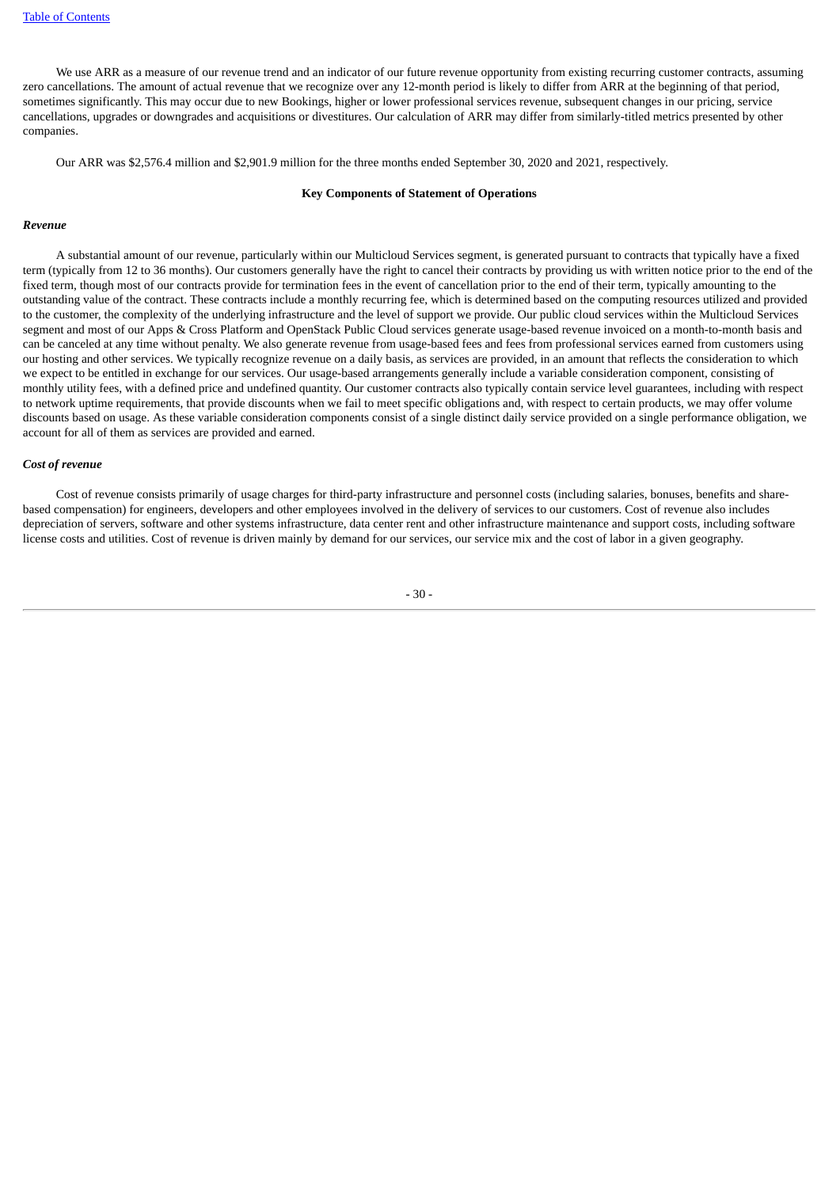We use ARR as a measure of our revenue trend and an indicator of our future revenue opportunity from existing recurring customer contracts, assuming zero cancellations. The amount of actual revenue that we recognize over any 12-month period is likely to differ from ARR at the beginning of that period, sometimes significantly. This may occur due to new Bookings, higher or lower professional services revenue, subsequent changes in our pricing, service cancellations, upgrades or downgrades and acquisitions or divestitures. Our calculation of ARR may differ from similarly-titled metrics presented by other companies.

Our ARR was \$2,576.4 million and \$2,901.9 million for the three months ended September 30, 2020 and 2021, respectively.

### **Key Components of Statement of Operations**

#### *Revenue*

A substantial amount of our revenue, particularly within our Multicloud Services segment, is generated pursuant to contracts that typically have a fixed term (typically from 12 to 36 months). Our customers generally have the right to cancel their contracts by providing us with written notice prior to the end of the fixed term, though most of our contracts provide for termination fees in the event of cancellation prior to the end of their term, typically amounting to the outstanding value of the contract. These contracts include a monthly recurring fee, which is determined based on the computing resources utilized and provided to the customer, the complexity of the underlying infrastructure and the level of support we provide. Our public cloud services within the Multicloud Services segment and most of our Apps & Cross Platform and OpenStack Public Cloud services generate usage-based revenue invoiced on a month-to-month basis and can be canceled at any time without penalty. We also generate revenue from usage-based fees and fees from professional services earned from customers using our hosting and other services. We typically recognize revenue on a daily basis, as services are provided, in an amount that reflects the consideration to which we expect to be entitled in exchange for our services. Our usage-based arrangements generally include a variable consideration component, consisting of monthly utility fees, with a defined price and undefined quantity. Our customer contracts also typically contain service level guarantees, including with respect to network uptime requirements, that provide discounts when we fail to meet specific obligations and, with respect to certain products, we may offer volume discounts based on usage. As these variable consideration components consist of a single distinct daily service provided on a single performance obligation, we account for all of them as services are provided and earned.

#### *Cost of revenue*

Cost of revenue consists primarily of usage charges for third-party infrastructure and personnel costs (including salaries, bonuses, benefits and sharebased compensation) for engineers, developers and other employees involved in the delivery of services to our customers. Cost of revenue also includes depreciation of servers, software and other systems infrastructure, data center rent and other infrastructure maintenance and support costs, including software license costs and utilities. Cost of revenue is driven mainly by demand for our services, our service mix and the cost of labor in a given geography.

- 30 -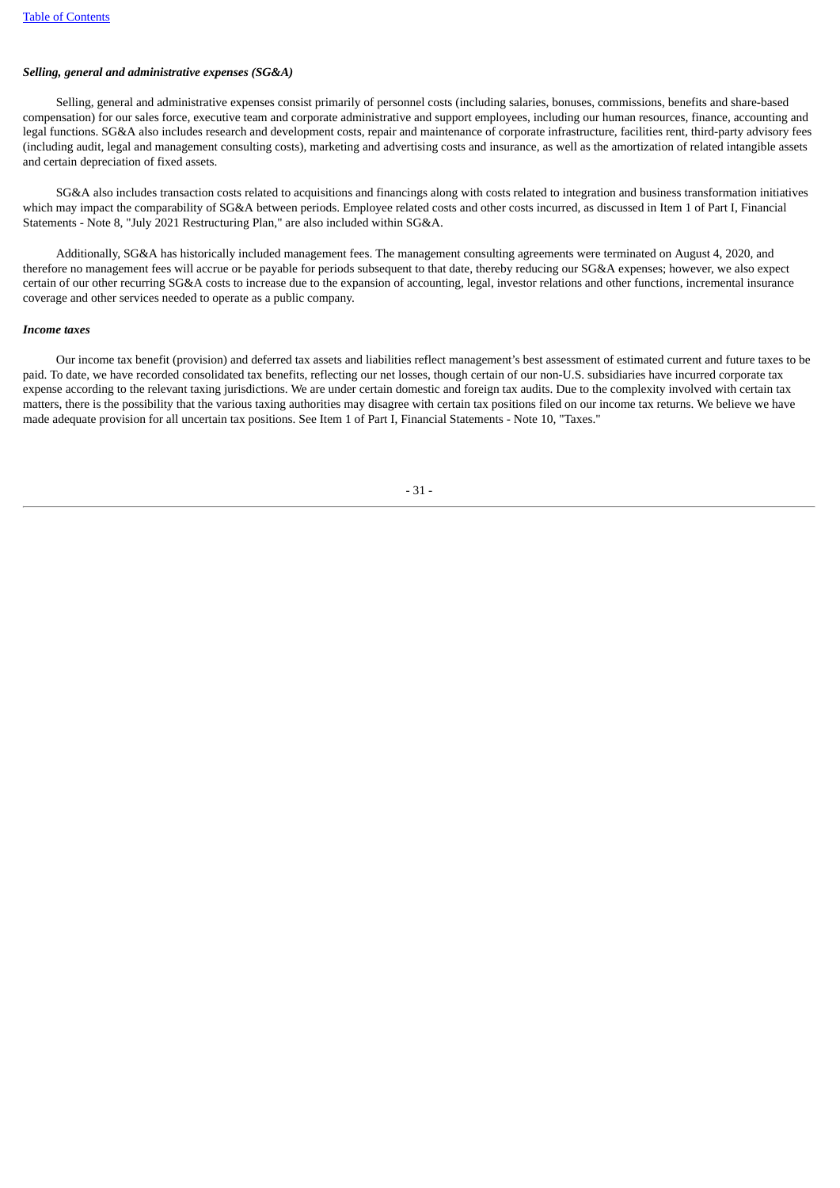# *Selling, general and administrative expenses (SG&A)*

Selling, general and administrative expenses consist primarily of personnel costs (including salaries, bonuses, commissions, benefits and share-based compensation) for our sales force, executive team and corporate administrative and support employees, including our human resources, finance, accounting and legal functions. SG&A also includes research and development costs, repair and maintenance of corporate infrastructure, facilities rent, third-party advisory fees (including audit, legal and management consulting costs), marketing and advertising costs and insurance, as well as the amortization of related intangible assets and certain depreciation of fixed assets.

SG&A also includes transaction costs related to acquisitions and financings along with costs related to integration and business transformation initiatives which may impact the comparability of SG&A between periods. Employee related costs and other costs incurred, as discussed in Item 1 of Part I, Financial Statements - Note 8, "July 2021 Restructuring Plan," are also included within SG&A.

Additionally, SG&A has historically included management fees. The management consulting agreements were terminated on August 4, 2020, and therefore no management fees will accrue or be payable for periods subsequent to that date, thereby reducing our SG&A expenses; however, we also expect certain of our other recurring SG&A costs to increase due to the expansion of accounting, legal, investor relations and other functions, incremental insurance coverage and other services needed to operate as a public company.

#### *Income taxes*

Our income tax benefit (provision) and deferred tax assets and liabilities reflect management's best assessment of estimated current and future taxes to be paid. To date, we have recorded consolidated tax benefits, reflecting our net losses, though certain of our non-U.S. subsidiaries have incurred corporate tax expense according to the relevant taxing jurisdictions. We are under certain domestic and foreign tax audits. Due to the complexity involved with certain tax matters, there is the possibility that the various taxing authorities may disagree with certain tax positions filed on our income tax returns. We believe we have made adequate provision for all uncertain tax positions. See Item 1 of Part I, Financial Statements - Note 10, "Taxes."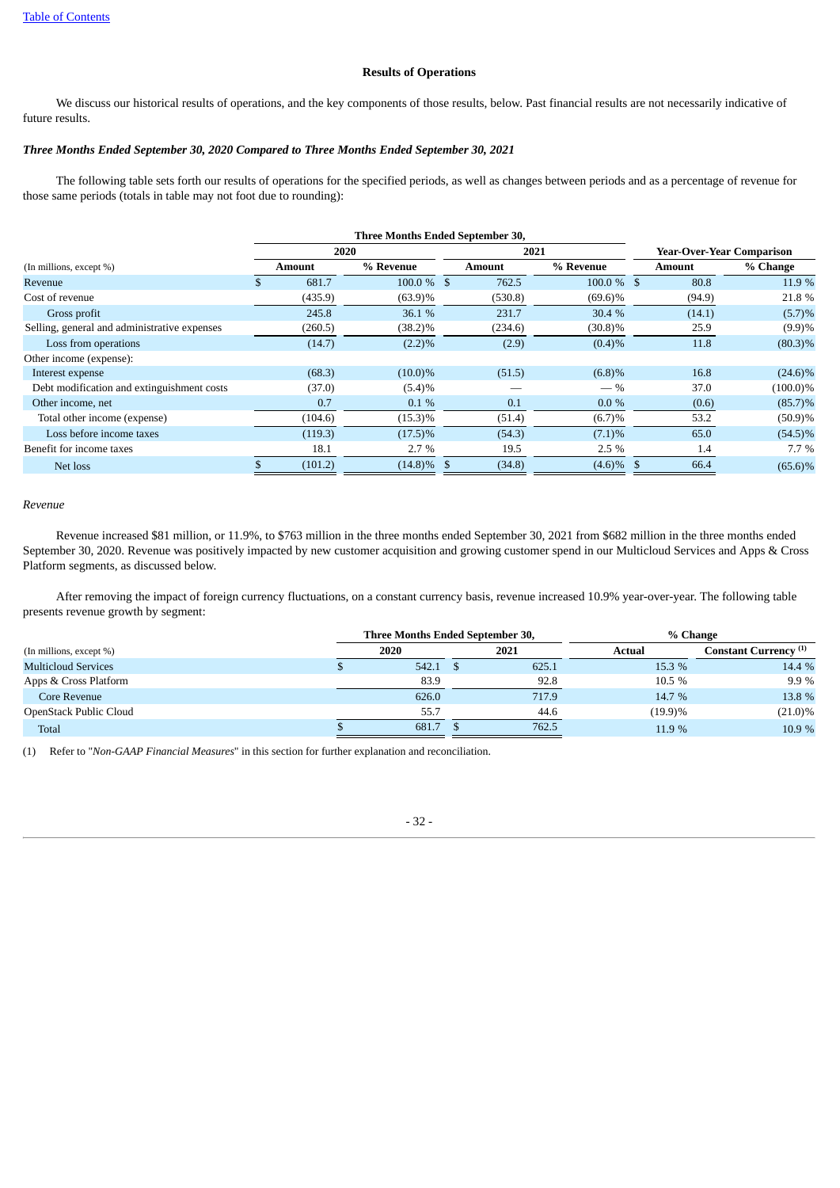# **Results of Operations**

We discuss our historical results of operations, and the key components of those results, below. Past financial results are not necessarily indicative of future results.

### *Three Months Ended September 30, 2020 Compared to Three Months Ended September 30, 2021*

The following table sets forth our results of operations for the specified periods, as well as changes between periods and as a percentage of revenue for those same periods (totals in table may not foot due to rounding):

|                                              |         | Three Months Ended September 30, |         |               |                                  |        |             |  |
|----------------------------------------------|---------|----------------------------------|---------|---------------|----------------------------------|--------|-------------|--|
|                                              |         | 2020                             |         | 2021          | <b>Year-Over-Year Comparison</b> |        |             |  |
| (In millions, except %)                      | Amount  | % Revenue                        | Amount  | % Revenue     |                                  | Amount | % Change    |  |
| Revenue                                      | 681.7   | $100.0 \%$ \$                    | 762.5   | $100.0 \%$ \$ |                                  | 80.8   | 11.9 %      |  |
| Cost of revenue                              | (435.9) | $(63.9)\%$                       | (530.8) | $(69.6)\%$    |                                  | (94.9) | 21.8 %      |  |
| Gross profit                                 | 245.8   | 36.1 %                           | 231.7   | 30.4 %        |                                  | (14.1) | (5.7)%      |  |
| Selling, general and administrative expenses | (260.5) | $(38.2)\%$                       | (234.6) | $(30.8)\%$    |                                  | 25.9   | (9.9)%      |  |
| Loss from operations                         | (14.7)  | $(2.2)\%$                        | (2.9)   | $(0.4)\%$     |                                  | 11.8   | $(80.3)\%$  |  |
| Other income (expense):                      |         |                                  |         |               |                                  |        |             |  |
| Interest expense                             | (68.3)  | $(10.0)\%$                       | (51.5)  | (6.8)%        |                                  | 16.8   | $(24.6)\%$  |  |
| Debt modification and extinguishment costs   | (37.0)  | $(5.4)\%$                        |         | $-$ %         |                                  | 37.0   | $(100.0)\%$ |  |
| Other income, net                            | 0.7     | $0.1 \%$                         | 0.1     | $0.0 \%$      |                                  | (0.6)  | $(85.7)\%$  |  |
| Total other income (expense)                 | (104.6) | $(15.3)\%$                       | (51.4)  | (6.7)%        |                                  | 53.2   | $(50.9)\%$  |  |
| Loss before income taxes                     | (119.3) | $(17.5)\%$                       | (54.3)  | $(7.1)\%$     |                                  | 65.0   | $(54.5)\%$  |  |
| Benefit for income taxes                     | 18.1    | 2.7 %                            | 19.5    | 2.5 %         |                                  | 1.4    | $7.7\%$     |  |
| Net loss                                     | (101.2) | $(14.8)\%$ \$                    | (34.8)  | $(4.6)\%$ \$  |                                  | 66.4   | $(65.6)\%$  |  |

### *Revenue*

Revenue increased \$81 million, or 11.9%, to \$763 million in the three months ended September 30, 2021 from \$682 million in the three months ended September 30, 2020. Revenue was positively impacted by new customer acquisition and growing customer spend in our Multicloud Services and Apps & Cross Platform segments, as discussed below.

After removing the impact of foreign currency fluctuations, on a constant currency basis, revenue increased 10.9% year-over-year. The following table presents revenue growth by segment:

|                            |  | Three Months Ended September 30, |       | % Change   |                                         |  |  |  |
|----------------------------|--|----------------------------------|-------|------------|-----------------------------------------|--|--|--|
| (In millions, except %)    |  | 2020                             | 2021  | Actual     | <b>Constant Currency</b> <sup>(1)</sup> |  |  |  |
| <b>Multicloud Services</b> |  | $542.1$ \$                       | 625.1 | 15.3 %     | 14.4 %                                  |  |  |  |
| Apps & Cross Platform      |  | 83.9                             | 92.8  | 10.5 %     | 9.9%                                    |  |  |  |
| Core Revenue               |  | 626.0                            | 717.9 | 14.7 %     | 13.8 %                                  |  |  |  |
| OpenStack Public Cloud     |  | 55.7                             | 44.6  | $(19.9)\%$ | $(21.0)\%$                              |  |  |  |
| Total                      |  | 681.7                            | 762.5 | 11.9 %     | 10.9%                                   |  |  |  |

(1) Refer to "*Non-GAAP Financial Measures*" in this section for further explanation and reconciliation.

- 32 -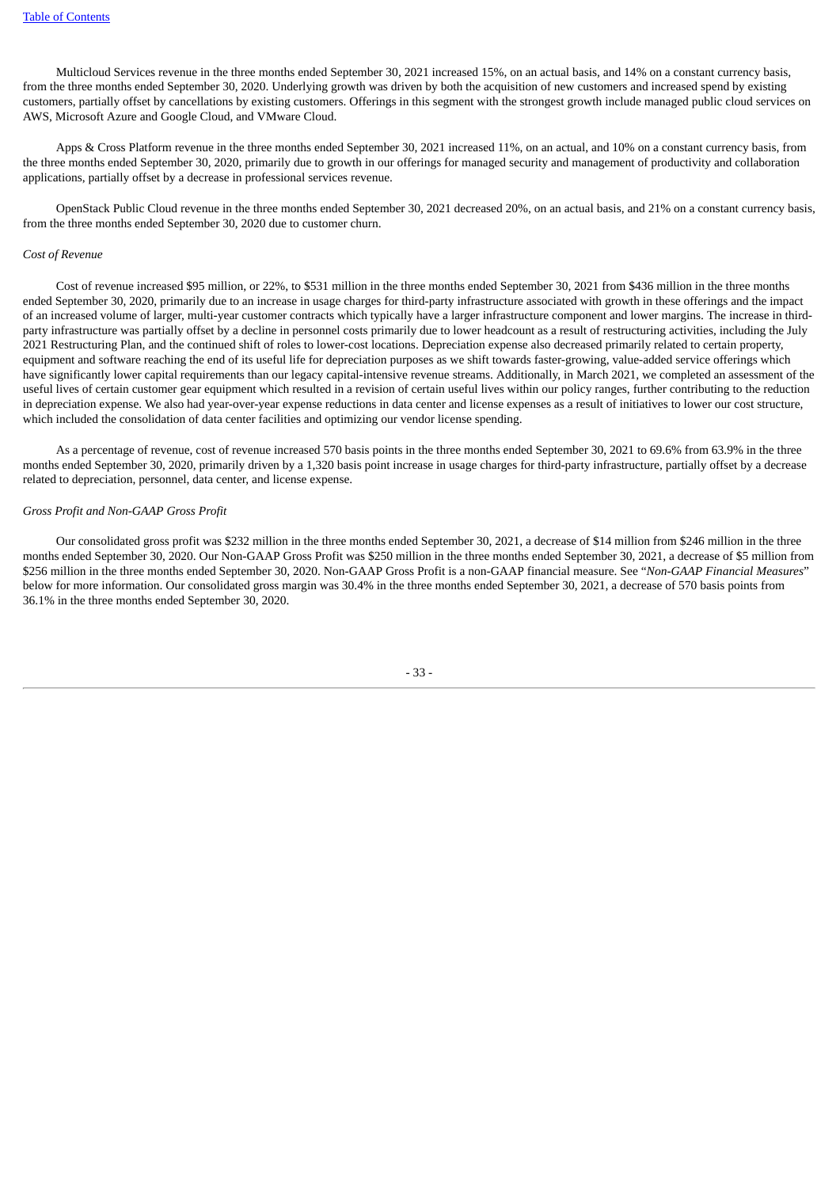Multicloud Services revenue in the three months ended September 30, 2021 increased 15%, on an actual basis, and 14% on a constant currency basis, from the three months ended September 30, 2020. Underlying growth was driven by both the acquisition of new customers and increased spend by existing customers, partially offset by cancellations by existing customers. Offerings in this segment with the strongest growth include managed public cloud services on AWS, Microsoft Azure and Google Cloud, and VMware Cloud.

Apps & Cross Platform revenue in the three months ended September 30, 2021 increased 11%, on an actual, and 10% on a constant currency basis, from the three months ended September 30, 2020, primarily due to growth in our offerings for managed security and management of productivity and collaboration applications, partially offset by a decrease in professional services revenue.

OpenStack Public Cloud revenue in the three months ended September 30, 2021 decreased 20%, on an actual basis, and 21% on a constant currency basis, from the three months ended September 30, 2020 due to customer churn.

#### *Cost of Revenue*

Cost of revenue increased \$95 million, or 22%, to \$531 million in the three months ended September 30, 2021 from \$436 million in the three months ended September 30, 2020, primarily due to an increase in usage charges for third-party infrastructure associated with growth in these offerings and the impact of an increased volume of larger, multi-year customer contracts which typically have a larger infrastructure component and lower margins. The increase in thirdparty infrastructure was partially offset by a decline in personnel costs primarily due to lower headcount as a result of restructuring activities, including the July 2021 Restructuring Plan, and the continued shift of roles to lower-cost locations. Depreciation expense also decreased primarily related to certain property, equipment and software reaching the end of its useful life for depreciation purposes as we shift towards faster-growing, value-added service offerings which have significantly lower capital requirements than our legacy capital-intensive revenue streams. Additionally, in March 2021, we completed an assessment of the useful lives of certain customer gear equipment which resulted in a revision of certain useful lives within our policy ranges, further contributing to the reduction in depreciation expense. We also had year-over-year expense reductions in data center and license expenses as a result of initiatives to lower our cost structure, which included the consolidation of data center facilities and optimizing our vendor license spending.

As a percentage of revenue, cost of revenue increased 570 basis points in the three months ended September 30, 2021 to 69.6% from 63.9% in the three months ended September 30, 2020, primarily driven by a 1,320 basis point increase in usage charges for third-party infrastructure, partially offset by a decrease related to depreciation, personnel, data center, and license expense.

#### *Gross Profit and Non-GAAP Gross Profit*

Our consolidated gross profit was \$232 million in the three months ended September 30, 2021, a decrease of \$14 million from \$246 million in the three months ended September 30, 2020. Our Non-GAAP Gross Profit was \$250 million in the three months ended September 30, 2021, a decrease of \$5 million from \$256 million in the three months ended September 30, 2020. Non-GAAP Gross Profit is a non-GAAP financial measure. See "*Non-GAAP Financial Measures*" below for more information. Our consolidated gross margin was 30.4% in the three months ended September 30, 2021, a decrease of 570 basis points from 36.1% in the three months ended September 30, 2020.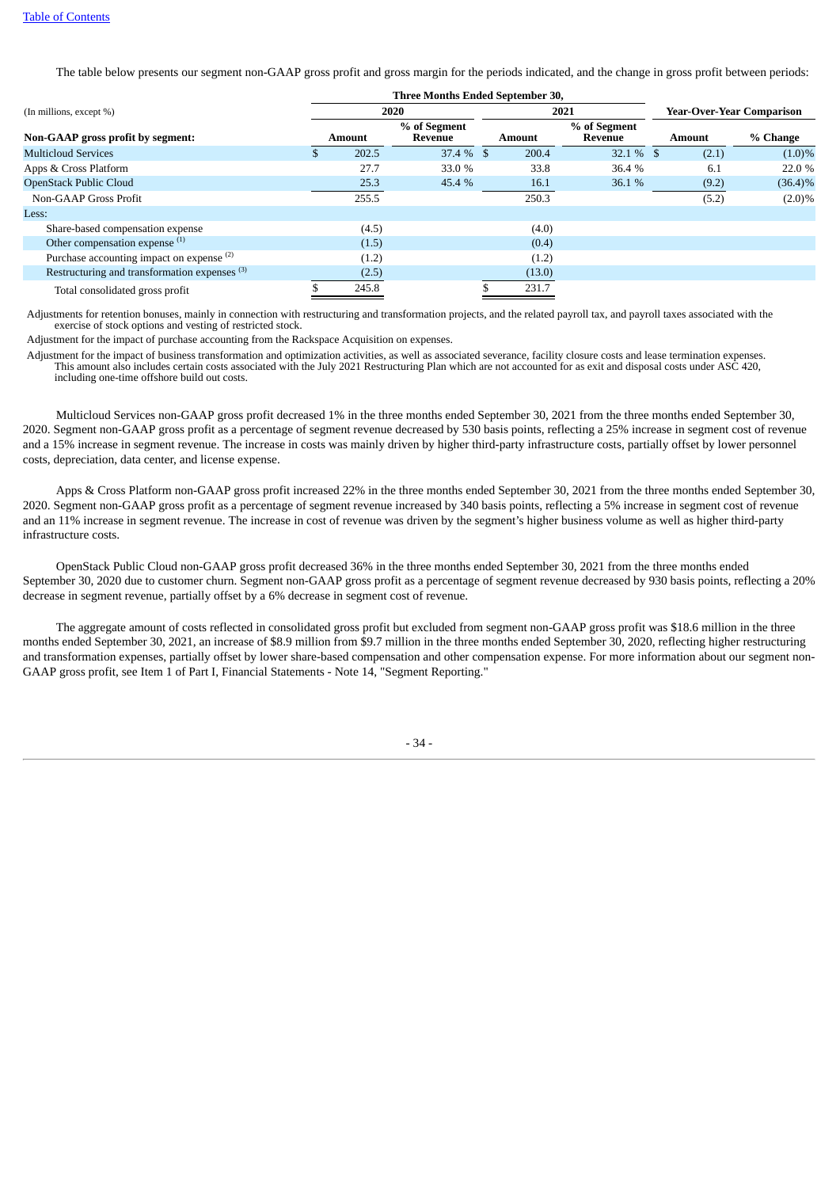The table below presents our segment non-GAAP gross profit and gross margin for the periods indicated, and the change in gross profit between periods:

| (In millions, except %)                                  |        | 2020                    |        | 2021                    | <b>Year-Over-Year Comparison</b> |            |  |  |
|----------------------------------------------------------|--------|-------------------------|--------|-------------------------|----------------------------------|------------|--|--|
| Non-GAAP gross profit by segment:                        | Amount | % of Segment<br>Revenue | Amount | % of Segment<br>Revenue | Amount                           | % Change   |  |  |
| Multicloud Services                                      | 202.5  | $37.4 \%$ \$            | 200.4  | $32.1\%$ \$             | (2.1)                            | $(1.0)\%$  |  |  |
| Apps & Cross Platform                                    | 27.7   | 33.0 %                  | 33.8   | 36.4 %                  | 6.1                              | 22.0 %     |  |  |
| <b>OpenStack Public Cloud</b>                            | 25.3   | 45.4 %                  | 16.1   | 36.1 %                  | (9.2)                            | $(36.4)\%$ |  |  |
| Non-GAAP Gross Profit                                    | 255.5  |                         | 250.3  |                         | (5.2)                            | $(2.0)\%$  |  |  |
| Less:                                                    |        |                         |        |                         |                                  |            |  |  |
| Share-based compensation expense                         | (4.5)  |                         | (4.0)  |                         |                                  |            |  |  |
| Other compensation expense (1)                           | (1.5)  |                         | (0.4)  |                         |                                  |            |  |  |
| Purchase accounting impact on expense $(2)$              | (1.2)  |                         | (1.2)  |                         |                                  |            |  |  |
| Restructuring and transformation expenses <sup>(3)</sup> | (2.5)  |                         | (13.0) |                         |                                  |            |  |  |
| Total consolidated gross profit                          | 245.8  |                         | 231.7  |                         |                                  |            |  |  |

Adjustments for retention bonuses, mainly in connection with restructuring and transformation projects, and the related payroll tax, and payroll taxes associated with the exercise of stock options and vesting of restricted stock.

Adjustment for the impact of purchase accounting from the Rackspace Acquisition on expenses.

Adjustment for the impact of business transformation and optimization activities, as well as associated severance, facility closure costs and lease termination expenses. This amount also includes certain costs associated with the July 2021 Restructuring Plan which are not accounted for as exit and disposal costs under ASC 420, including one-time offshore build out costs.

Multicloud Services non-GAAP gross profit decreased 1% in the three months ended September 30, 2021 from the three months ended September 30, 2020. Segment non-GAAP gross profit as a percentage of segment revenue decreased by 530 basis points, reflecting a 25% increase in segment cost of revenue and a 15% increase in segment revenue. The increase in costs was mainly driven by higher third-party infrastructure costs, partially offset by lower personnel costs, depreciation, data center, and license expense.

Apps & Cross Platform non-GAAP gross profit increased 22% in the three months ended September 30, 2021 from the three months ended September 30, 2020. Segment non-GAAP gross profit as a percentage of segment revenue increased by 340 basis points, reflecting a 5% increase in segment cost of revenue and an 11% increase in segment revenue. The increase in cost of revenue was driven by the segment's higher business volume as well as higher third-party infrastructure costs.

OpenStack Public Cloud non-GAAP gross profit decreased 36% in the three months ended September 30, 2021 from the three months ended September 30, 2020 due to customer churn. Segment non-GAAP gross profit as a percentage of segment revenue decreased by 930 basis points, reflecting a 20% decrease in segment revenue, partially offset by a 6% decrease in segment cost of revenue.

The aggregate amount of costs reflected in consolidated gross profit but excluded from segment non-GAAP gross profit was \$18.6 million in the three months ended September 30, 2021, an increase of \$8.9 million from \$9.7 million in the three months ended September 30, 2020, reflecting higher restructuring and transformation expenses, partially offset by lower share-based compensation and other compensation expense. For more information about our segment non-GAAP gross profit, see Item 1 of Part I, Financial Statements - Note 14, "Segment Reporting."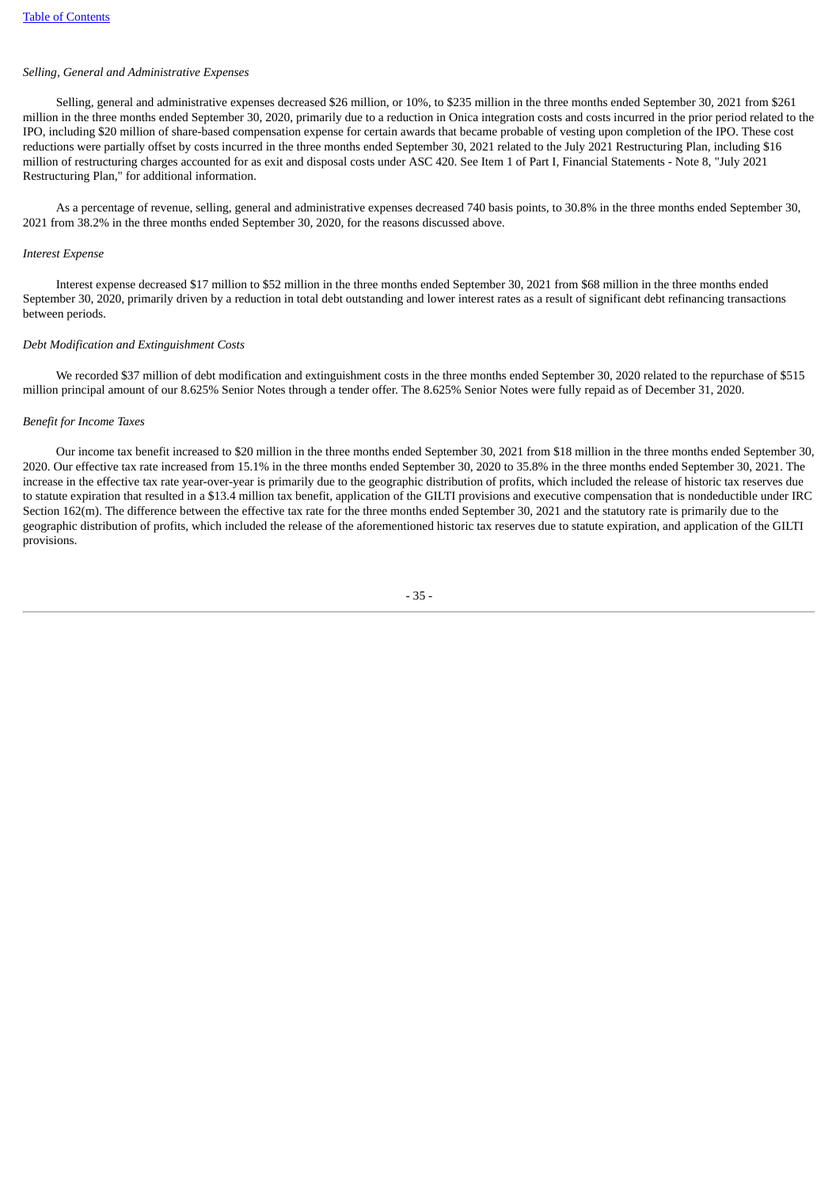### *Selling, General and Administrative Expenses*

Selling, general and administrative expenses decreased \$26 million, or 10%, to \$235 million in the three months ended September 30, 2021 from \$261 million in the three months ended September 30, 2020, primarily due to a reduction in Onica integration costs and costs incurred in the prior period related to the IPO, including \$20 million of share-based compensation expense for certain awards that became probable of vesting upon completion of the IPO. These cost reductions were partially offset by costs incurred in the three months ended September 30, 2021 related to the July 2021 Restructuring Plan, including \$16 million of restructuring charges accounted for as exit and disposal costs under ASC 420. See Item 1 of Part I, Financial Statements - Note 8, "July 2021 Restructuring Plan," for additional information.

As a percentage of revenue, selling, general and administrative expenses decreased 740 basis points, to 30.8% in the three months ended September 30, 2021 from 38.2% in the three months ended September 30, 2020, for the reasons discussed above.

# *Interest Expense*

Interest expense decreased \$17 million to \$52 million in the three months ended September 30, 2021 from \$68 million in the three months ended September 30, 2020, primarily driven by a reduction in total debt outstanding and lower interest rates as a result of significant debt refinancing transactions between periods.

#### *Debt Modification and Extinguishment Costs*

We recorded \$37 million of debt modification and extinguishment costs in the three months ended September 30, 2020 related to the repurchase of \$515 million principal amount of our 8.625% Senior Notes through a tender offer. The 8.625% Senior Notes were fully repaid as of December 31, 2020.

#### *Benefit for Income Taxes*

Our income tax benefit increased to \$20 million in the three months ended September 30, 2021 from \$18 million in the three months ended September 30, 2020. Our effective tax rate increased from 15.1% in the three months ended September 30, 2020 to 35.8% in the three months ended September 30, 2021. The increase in the effective tax rate year-over-year is primarily due to the geographic distribution of profits, which included the release of historic tax reserves due to statute expiration that resulted in a \$13.4 million tax benefit, application of the GILTI provisions and executive compensation that is nondeductible under IRC Section 162(m). The difference between the effective tax rate for the three months ended September 30, 2021 and the statutory rate is primarily due to the geographic distribution of profits, which included the release of the aforementioned historic tax reserves due to statute expiration, and application of the GILTI provisions.

- 35 -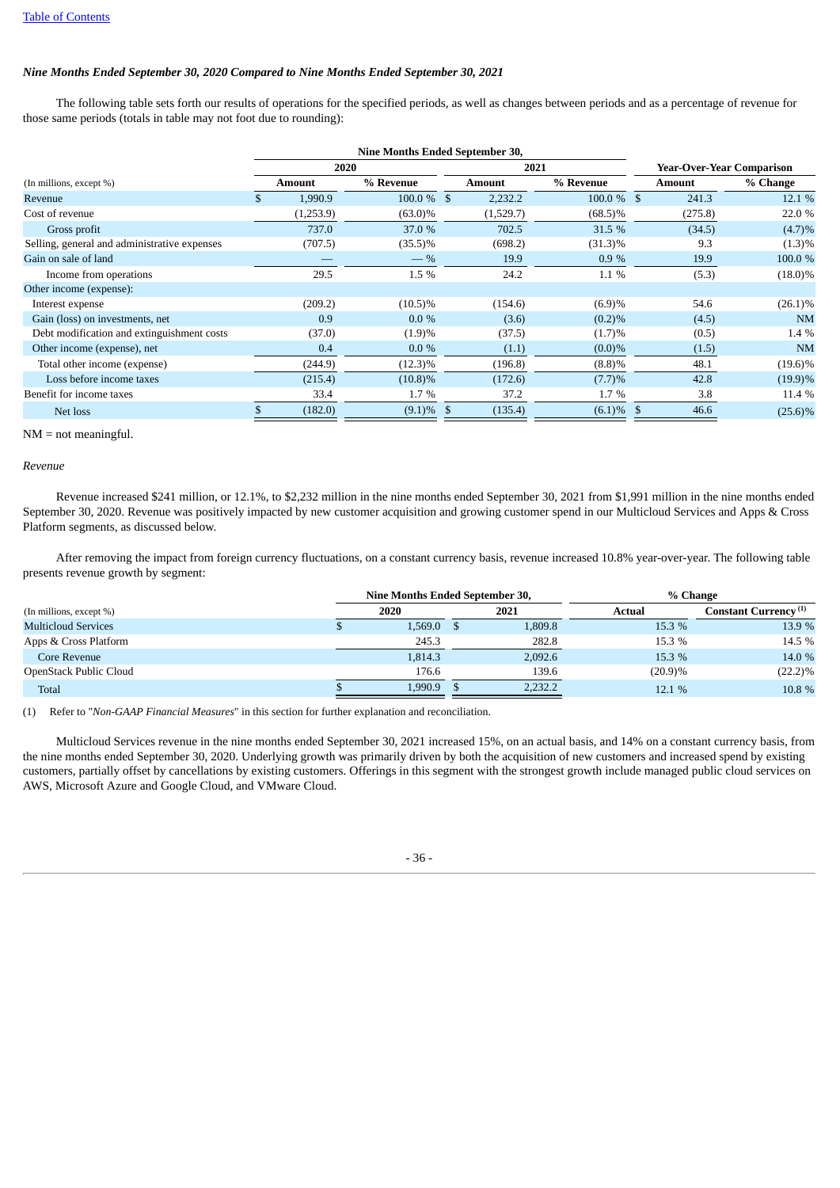# *Nine Months Ended September 30, 2020 Compared to Nine Months Ended September 30, 2021*

The following table sets forth our results of operations for the specified periods, as well as changes between periods and as a percentage of revenue for those same periods (totals in table may not foot due to rounding):

| <b>Nine Months Ended September 30,</b>       |     |           |               |    |               |               |  |                                  |            |  |  |
|----------------------------------------------|-----|-----------|---------------|----|---------------|---------------|--|----------------------------------|------------|--|--|
|                                              |     |           | 2020          |    |               | 2021          |  | <b>Year-Over-Year Comparison</b> |            |  |  |
| (In millions, except %)                      |     | Amount    | % Revenue     |    | <b>Amount</b> | % Revenue     |  | Amount                           | % Change   |  |  |
| Revenue                                      | Эħ. | 1,990.9   | $100.0 \%$ \$ |    | 2,232.2       | $100.0 \%$ \$ |  | 241.3                            | 12.1 %     |  |  |
| Cost of revenue                              |     | (1,253.9) | $(63.0)\%$    |    | (1,529.7)     | $(68.5)\%$    |  | (275.8)                          | 22.0 %     |  |  |
| Gross profit                                 |     | 737.0     | 37.0 %        |    | 702.5         | 31.5 %        |  | (34.5)                           | $(4.7)\%$  |  |  |
| Selling, general and administrative expenses |     | (707.5)   | $(35.5)\%$    |    | (698.2)       | $(31.3)\%$    |  | 9.3                              | $(1.3)\%$  |  |  |
| Gain on sale of land                         |     |           | $-$ %         |    | 19.9          | 0.9%          |  | 19.9                             | 100.0 %    |  |  |
| Income from operations                       |     | 29.5      | 1.5 %         |    | 24.2          | $1.1\%$       |  | (5.3)                            | $(18.0)\%$ |  |  |
| Other income (expense):                      |     |           |               |    |               |               |  |                                  |            |  |  |
| Interest expense                             |     | (209.2)   | $(10.5)\%$    |    | (154.6)       | (6.9)%        |  | 54.6                             | $(26.1)\%$ |  |  |
| Gain (loss) on investments, net              |     | 0.9       | $0.0 \%$      |    | (3.6)         | (0.2)%        |  | (4.5)                            | <b>NM</b>  |  |  |
| Debt modification and extinguishment costs   |     | (37.0)    | (1.9)%        |    | (37.5)        | (1.7)%        |  | (0.5)                            | 1.4 %      |  |  |
| Other income (expense), net                  |     | 0.4       | $0.0 \%$      |    | (1.1)         | $(0.0)\%$     |  | (1.5)                            | <b>NM</b>  |  |  |
| Total other income (expense)                 |     | (244.9)   | $(12.3)\%$    |    | (196.8)       | (8.8)%        |  | 48.1                             | $(19.6)\%$ |  |  |
| Loss before income taxes                     |     | (215.4)   | $(10.8)\%$    |    | (172.6)       | (7.7)%        |  | 42.8                             | $(19.9)\%$ |  |  |
| Benefit for income taxes                     |     | 33.4      | 1.7 %         |    | 37.2          | 1.7 %         |  | 3.8                              | 11.4 %     |  |  |
| Net loss                                     |     | (182.0)   | $(9.1)\%$     | -S | (135.4)       | $(6.1)\%$ \$  |  | 46.6                             | $(25.6)\%$ |  |  |

#### NM = not meaningful.

#### *Revenue*

Revenue increased \$241 million, or 12.1%, to \$2,232 million in the nine months ended September 30, 2021 from \$1,991 million in the nine months ended September 30, 2020. Revenue was positively impacted by new customer acquisition and growing customer spend in our Multicloud Services and Apps & Cross Platform segments, as discussed below.

After removing the impact from foreign currency fluctuations, on a constant currency basis, revenue increased 10.8% year-over-year. The following table presents revenue growth by segment:

|                         | Nine Months Ended September 30, |         | % Change   |                                         |  |  |
|-------------------------|---------------------------------|---------|------------|-----------------------------------------|--|--|
| (In millions, except %) | 2020                            | 2021    | Actual     | <b>Constant Currency</b> <sup>(1)</sup> |  |  |
| Multicloud Services     | $1,569.0$ \$                    | 1,809.8 | 15.3 %     | 13.9 %                                  |  |  |
| Apps & Cross Platform   | 245.3                           | 282.8   | 15.3 %     | 14.5 %                                  |  |  |
| Core Revenue            | 1.814.3                         | 2,092.6 | 15.3 %     | 14.0 %                                  |  |  |
| OpenStack Public Cloud  | 176.6                           | 139.6   | $(20.9)\%$ | $(22.2)\%$                              |  |  |
| <b>Total</b>            | 1,990.9                         | 2,232.2 | 12.1 %     | 10.8%                                   |  |  |

(1) Refer to "*Non-GAAP Financial Measures*" in this section for further explanation and reconciliation.

Multicloud Services revenue in the nine months ended September 30, 2021 increased 15%, on an actual basis, and 14% on a constant currency basis, from the nine months ended September 30, 2020. Underlying growth was primarily driven by both the acquisition of new customers and increased spend by existing customers, partially offset by cancellations by existing customers. Offerings in this segment with the strongest growth include managed public cloud services on AWS, Microsoft Azure and Google Cloud, and VMware Cloud.

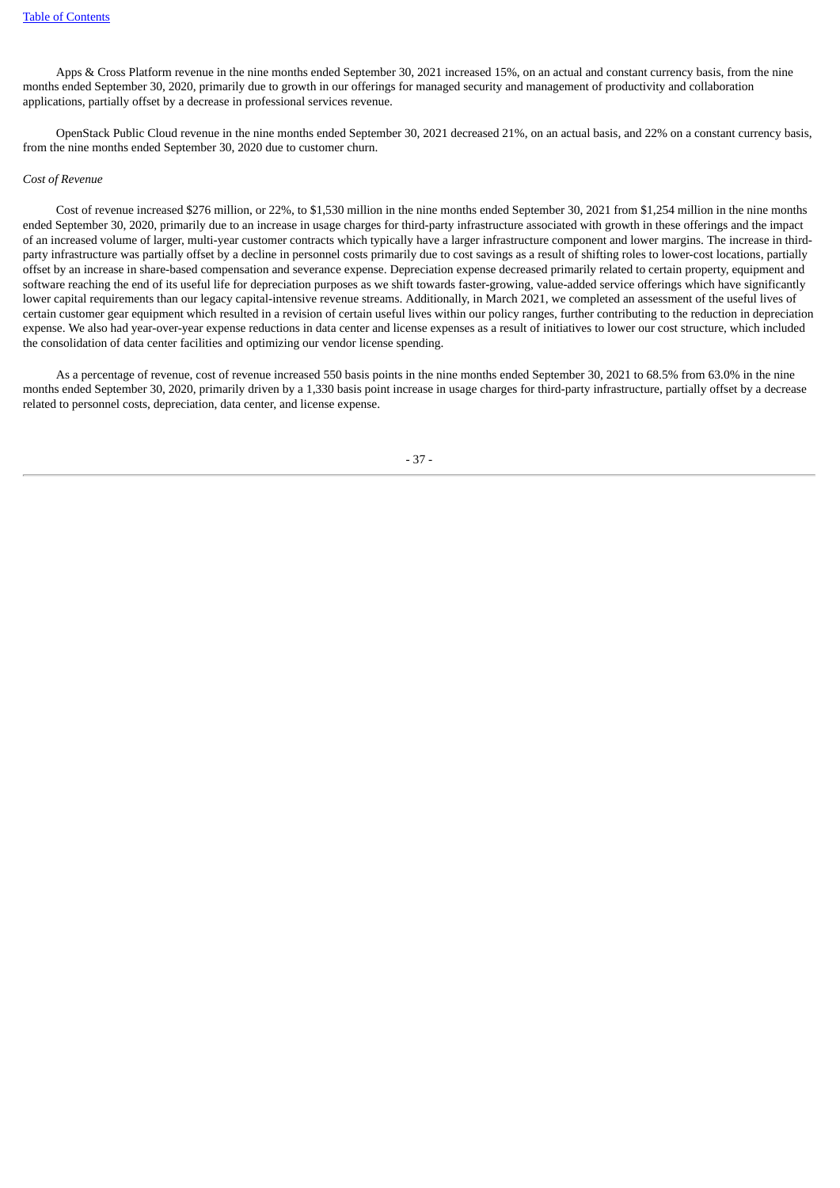Apps & Cross Platform revenue in the nine months ended September 30, 2021 increased 15%, on an actual and constant currency basis, from the nine months ended September 30, 2020, primarily due to growth in our offerings for managed security and management of productivity and collaboration applications, partially offset by a decrease in professional services revenue.

OpenStack Public Cloud revenue in the nine months ended September 30, 2021 decreased 21%, on an actual basis, and 22% on a constant currency basis, from the nine months ended September 30, 2020 due to customer churn.

### *Cost of Revenue*

Cost of revenue increased \$276 million, or 22%, to \$1,530 million in the nine months ended September 30, 2021 from \$1,254 million in the nine months ended September 30, 2020, primarily due to an increase in usage charges for third-party infrastructure associated with growth in these offerings and the impact of an increased volume of larger, multi-year customer contracts which typically have a larger infrastructure component and lower margins. The increase in thirdparty infrastructure was partially offset by a decline in personnel costs primarily due to cost savings as a result of shifting roles to lower-cost locations, partially offset by an increase in share-based compensation and severance expense. Depreciation expense decreased primarily related to certain property, equipment and software reaching the end of its useful life for depreciation purposes as we shift towards faster-growing, value-added service offerings which have significantly lower capital requirements than our legacy capital-intensive revenue streams. Additionally, in March 2021, we completed an assessment of the useful lives of certain customer gear equipment which resulted in a revision of certain useful lives within our policy ranges, further contributing to the reduction in depreciation expense. We also had year-over-year expense reductions in data center and license expenses as a result of initiatives to lower our cost structure, which included the consolidation of data center facilities and optimizing our vendor license spending.

As a percentage of revenue, cost of revenue increased 550 basis points in the nine months ended September 30, 2021 to 68.5% from 63.0% in the nine months ended September 30, 2020, primarily driven by a 1,330 basis point increase in usage charges for third-party infrastructure, partially offset by a decrease related to personnel costs, depreciation, data center, and license expense.

- 37 -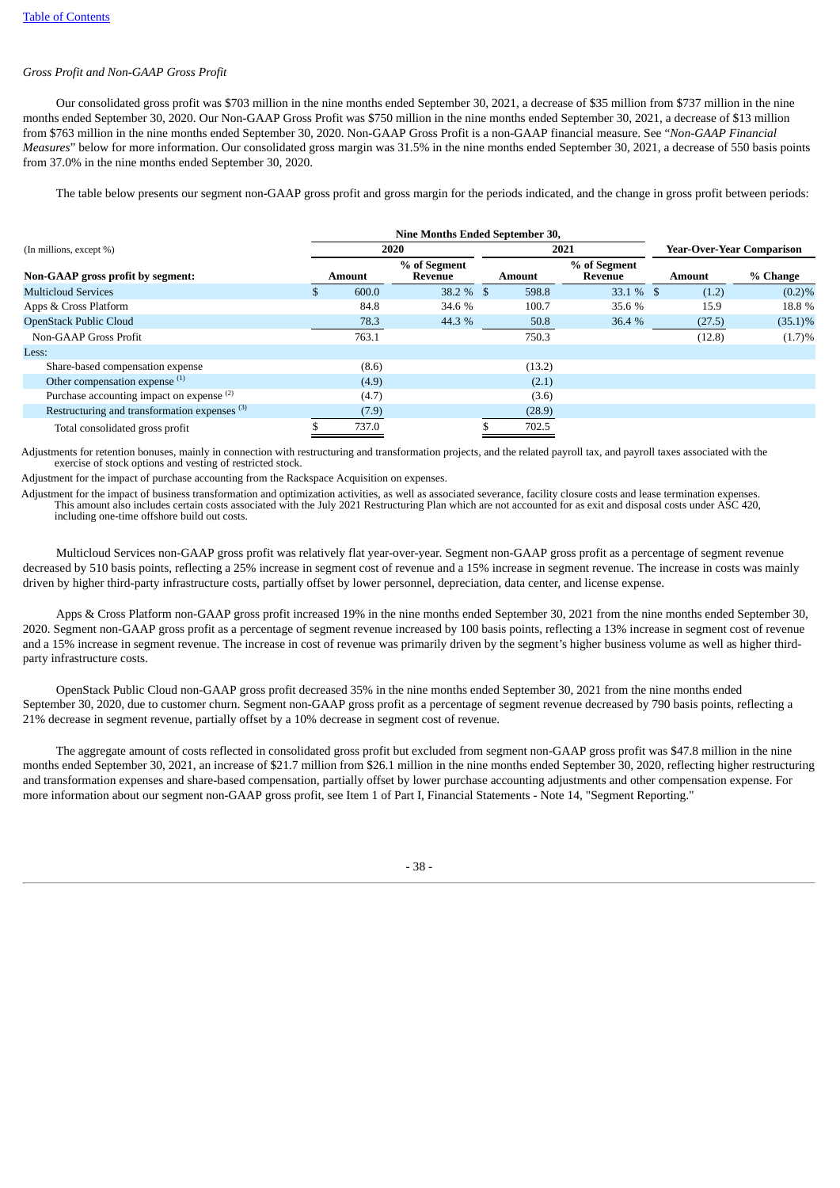# *Gross Profit and Non-GAAP Gross Profit*

Our consolidated gross profit was \$703 million in the nine months ended September 30, 2021, a decrease of \$35 million from \$737 million in the nine months ended September 30, 2020. Our Non-GAAP Gross Profit was \$750 million in the nine months ended September 30, 2021, a decrease of \$13 million from \$763 million in the nine months ended September 30, 2020. Non-GAAP Gross Profit is a non-GAAP financial measure. See "*Non-GAAP Financial Measures*" below for more information. Our consolidated gross margin was 31.5% in the nine months ended September 30, 2021, a decrease of 550 basis points from 37.0% in the nine months ended September 30, 2020.

The table below presents our segment non-GAAP gross profit and gross margin for the periods indicated, and the change in gross profit between periods:

|                                                          | Nine Months Ended September 30, |        |                         |  |        |                         |  |                                  |            |  |
|----------------------------------------------------------|---------------------------------|--------|-------------------------|--|--------|-------------------------|--|----------------------------------|------------|--|
| (In millions, except %)                                  |                                 |        | 2020                    |  |        | 2021                    |  | <b>Year-Over-Year Comparison</b> |            |  |
| Non-GAAP gross profit by segment:                        |                                 | Amount | % of Segment<br>Revenue |  | Amount | % of Segment<br>Revenue |  | Amount                           | % Change   |  |
| <b>Multicloud Services</b>                               | Л.                              | 600.0  | $38.2 \%$ \$            |  | 598.8  | $33.1\%$ \$             |  | (1.2)                            | (0.2)%     |  |
| Apps & Cross Platform                                    |                                 | 84.8   | 34.6 %                  |  | 100.7  | 35.6 %                  |  | 15.9                             | 18.8 %     |  |
| <b>OpenStack Public Cloud</b>                            |                                 | 78.3   | 44.3 %                  |  | 50.8   | 36.4 %                  |  | (27.5)                           | $(35.1)\%$ |  |
| Non-GAAP Gross Profit                                    |                                 | 763.1  |                         |  | 750.3  |                         |  | (12.8)                           | (1.7)%     |  |
| Less:                                                    |                                 |        |                         |  |        |                         |  |                                  |            |  |
| Share-based compensation expense                         |                                 | (8.6)  |                         |  | (13.2) |                         |  |                                  |            |  |
| Other compensation expense <sup>(1)</sup>                |                                 | (4.9)  |                         |  | (2.1)  |                         |  |                                  |            |  |
| Purchase accounting impact on expense $(2)$              |                                 | (4.7)  |                         |  | (3.6)  |                         |  |                                  |            |  |
| Restructuring and transformation expenses <sup>(3)</sup> |                                 | (7.9)  |                         |  | (28.9) |                         |  |                                  |            |  |
| Total consolidated gross profit                          |                                 | 737.0  |                         |  | 702.5  |                         |  |                                  |            |  |

Adjustments for retention bonuses, mainly in connection with restructuring and transformation projects, and the related payroll tax, and payroll taxes associated with the exercise of stock options and vesting of restricted stock.

Adjustment for the impact of purchase accounting from the Rackspace Acquisition on expenses.

Adjustment for the impact of business transformation and optimization activities, as well as associated severance, facility closure costs and lease termination expenses. This amount also includes certain costs associated with the July 2021 Restructuring Plan which are not accounted for as exit and disposal costs under ASC 420, including one-time offshore build out costs.

Multicloud Services non-GAAP gross profit was relatively flat year-over-year. Segment non-GAAP gross profit as a percentage of segment revenue decreased by 510 basis points, reflecting a 25% increase in segment cost of revenue and a 15% increase in segment revenue. The increase in costs was mainly driven by higher third-party infrastructure costs, partially offset by lower personnel, depreciation, data center, and license expense.

Apps & Cross Platform non-GAAP gross profit increased 19% in the nine months ended September 30, 2021 from the nine months ended September 30, 2020. Segment non-GAAP gross profit as a percentage of segment revenue increased by 100 basis points, reflecting a 13% increase in segment cost of revenue and a 15% increase in segment revenue. The increase in cost of revenue was primarily driven by the segment's higher business volume as well as higher thirdparty infrastructure costs.

OpenStack Public Cloud non-GAAP gross profit decreased 35% in the nine months ended September 30, 2021 from the nine months ended September 30, 2020, due to customer churn. Segment non-GAAP gross profit as a percentage of segment revenue decreased by 790 basis points, reflecting a 21% decrease in segment revenue, partially offset by a 10% decrease in segment cost of revenue.

The aggregate amount of costs reflected in consolidated gross profit but excluded from segment non-GAAP gross profit was \$47.8 million in the nine months ended September 30, 2021, an increase of \$21.7 million from \$26.1 million in the nine months ended September 30, 2020, reflecting higher restructuring and transformation expenses and share-based compensation, partially offset by lower purchase accounting adjustments and other compensation expense. For more information about our segment non-GAAP gross profit, see Item 1 of Part I, Financial Statements - Note 14, "Segment Reporting."

- 38 -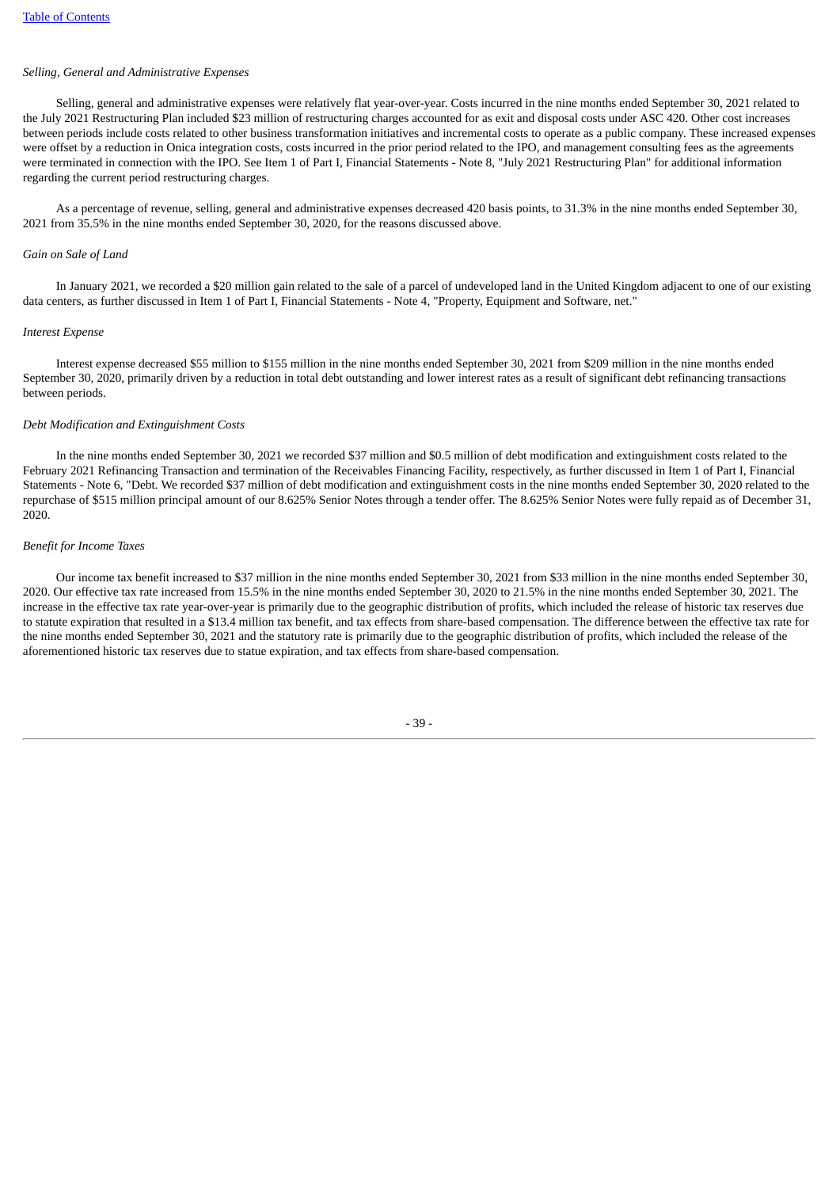### *Selling, General and Administrative Expenses*

Selling, general and administrative expenses were relatively flat year-over-year. Costs incurred in the nine months ended September 30, 2021 related to the July 2021 Restructuring Plan included \$23 million of restructuring charges accounted for as exit and disposal costs under ASC 420. Other cost increases between periods include costs related to other business transformation initiatives and incremental costs to operate as a public company. These increased expenses were offset by a reduction in Onica integration costs, costs incurred in the prior period related to the IPO, and management consulting fees as the agreements were terminated in connection with the IPO. See Item 1 of Part I, Financial Statements - Note 8, "July 2021 Restructuring Plan" for additional information regarding the current period restructuring charges.

As a percentage of revenue, selling, general and administrative expenses decreased 420 basis points, to 31.3% in the nine months ended September 30, 2021 from 35.5% in the nine months ended September 30, 2020, for the reasons discussed above.

#### *Gain on Sale of Land*

In January 2021, we recorded a \$20 million gain related to the sale of a parcel of undeveloped land in the United Kingdom adjacent to one of our existing data centers, as further discussed in Item 1 of Part I, Financial Statements - Note 4, "Property, Equipment and Software, net."

#### *Interest Expense*

Interest expense decreased \$55 million to \$155 million in the nine months ended September 30, 2021 from \$209 million in the nine months ended September 30, 2020, primarily driven by a reduction in total debt outstanding and lower interest rates as a result of significant debt refinancing transactions between periods.

#### *Debt Modification and Extinguishment Costs*

In the nine months ended September 30, 2021 we recorded \$37 million and \$0.5 million of debt modification and extinguishment costs related to the February 2021 Refinancing Transaction and termination of the Receivables Financing Facility, respectively, as further discussed in Item 1 of Part I, Financial Statements - Note 6, "Debt. We recorded \$37 million of debt modification and extinguishment costs in the nine months ended September 30, 2020 related to the repurchase of \$515 million principal amount of our 8.625% Senior Notes through a tender offer. The 8.625% Senior Notes were fully repaid as of December 31, 2020.

#### *Benefit for Income Taxes*

Our income tax benefit increased to \$37 million in the nine months ended September 30, 2021 from \$33 million in the nine months ended September 30, 2020. Our effective tax rate increased from 15.5% in the nine months ended September 30, 2020 to 21.5% in the nine months ended September 30, 2021. The increase in the effective tax rate year-over-year is primarily due to the geographic distribution of profits, which included the release of historic tax reserves due to statute expiration that resulted in a \$13.4 million tax benefit, and tax effects from share-based compensation. The difference between the effective tax rate for the nine months ended September 30, 2021 and the statutory rate is primarily due to the geographic distribution of profits, which included the release of the aforementioned historic tax reserves due to statue expiration, and tax effects from share-based compensation.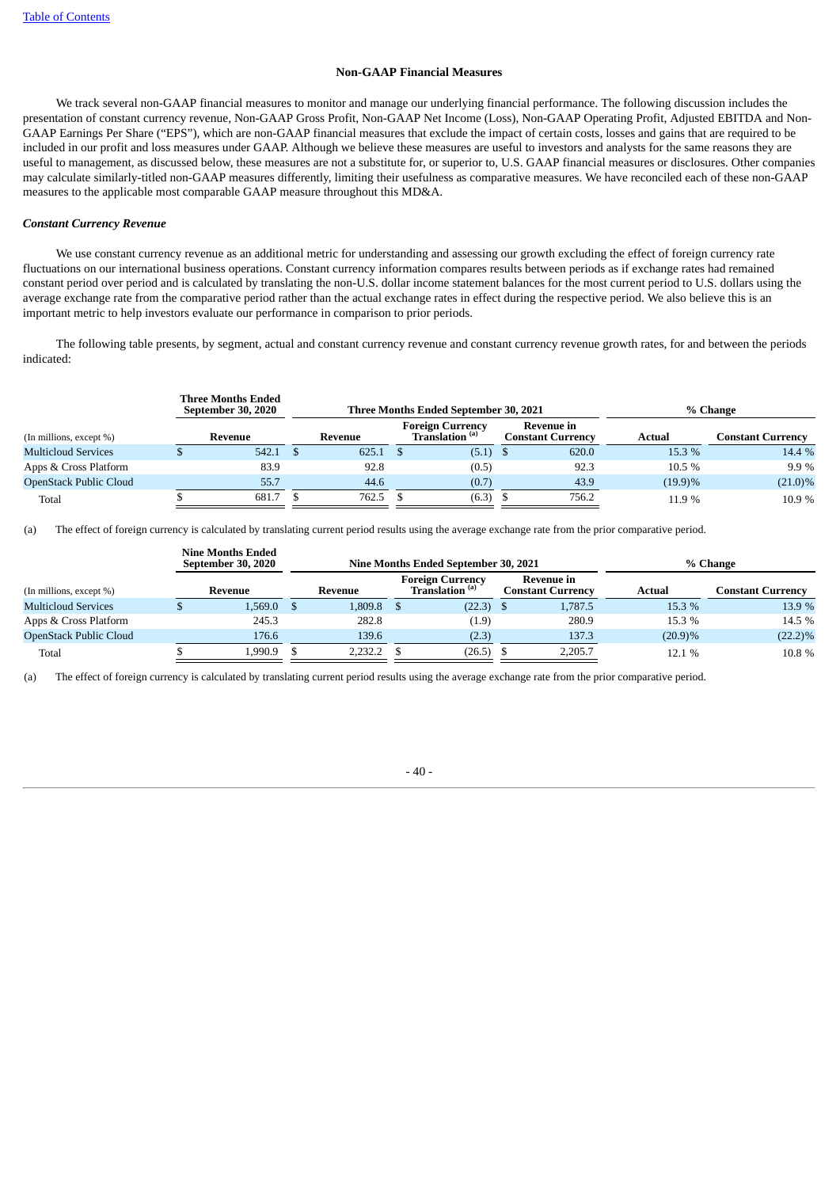### **Non-GAAP Financial Measures**

We track several non-GAAP financial measures to monitor and manage our underlying financial performance. The following discussion includes the presentation of constant currency revenue, Non-GAAP Gross Profit, Non-GAAP Net Income (Loss), Non-GAAP Operating Profit, Adjusted EBITDA and Non-GAAP Earnings Per Share ("EPS"), which are non-GAAP financial measures that exclude the impact of certain costs, losses and gains that are required to be included in our profit and loss measures under GAAP. Although we believe these measures are useful to investors and analysts for the same reasons they are useful to management, as discussed below, these measures are not a substitute for, or superior to, U.S. GAAP financial measures or disclosures. Other companies may calculate similarly-titled non-GAAP measures differently, limiting their usefulness as comparative measures. We have reconciled each of these non-GAAP measures to the applicable most comparable GAAP measure throughout this MD&A.

#### *Constant Currency Revenue*

We use constant currency revenue as an additional metric for understanding and assessing our growth excluding the effect of foreign currency rate fluctuations on our international business operations. Constant currency information compares results between periods as if exchange rates had remained constant period over period and is calculated by translating the non-U.S. dollar income statement balances for the most current period to U.S. dollars using the average exchange rate from the comparative period rather than the actual exchange rates in effect during the respective period. We also believe this is an important metric to help investors evaluate our performance in comparison to prior periods.

The following table presents, by segment, actual and constant currency revenue and constant currency revenue growth rates, for and between the periods indicated:

|                               | <b>Three Months Ended</b><br>September 30, 2020 |         | <b>Three Months Ended September 30, 2021</b>          |      | % Change                        |            |                   |
|-------------------------------|-------------------------------------------------|---------|-------------------------------------------------------|------|---------------------------------|------------|-------------------|
| (In millions, except %)       | Revenue                                         | Revenue | <b>Foreign Currency</b><br>Translation <sup>(a)</sup> |      | Revenue in<br>Constant Currencv | Actual     | Constant Currencv |
| <b>Multicloud Services</b>    | 542.1                                           | 625.1   | (5.1)                                                 | - \$ | 620.0                           | 15.3 %     | 14.4 %            |
| Apps & Cross Platform         | 83.9                                            | 92.8    | (0.5)                                                 |      | 92.3                            | 10.5 %     | $9.9\%$           |
| <b>OpenStack Public Cloud</b> | 55.7                                            | 44.6    | (0.7)                                                 |      | 43.9                            | $(19.9)\%$ | $(21.0)\%$        |
| Total                         | 681.7                                           | 762.5   | (6.3)                                                 |      | 756.2                           | 11.9 %     | 10.9%             |

(a) The effect of foreign currency is calculated by translating current period results using the average exchange rate from the prior comparative period.

|                               | <b>Nine Months Ended</b><br>September 30, 2020 |         | Nine Months Ended September 30, 2021                  |                                 | % Change   |                          |  |
|-------------------------------|------------------------------------------------|---------|-------------------------------------------------------|---------------------------------|------------|--------------------------|--|
| (In millions, except %)       | Revenue                                        | Revenue | <b>Foreign Currency</b><br>Translation <sup>(a)</sup> | Revenue in<br>Constant Currencv | Actual     | <b>Constant Currency</b> |  |
| <b>Multicloud Services</b>    | 1,569.0                                        | 1,809.8 | $(22.3)$ \$                                           | 1,787.5                         | 15.3 %     | 13.9 %                   |  |
| Apps & Cross Platform         | 245.3                                          | 282.8   | (1.9)                                                 | 280.9                           | 15.3 %     | 14.5 %                   |  |
| <b>OpenStack Public Cloud</b> | 176.6                                          | 139.6   | (2.3)                                                 | 137.3                           | $(20.9)\%$ | $(22.2)\%$               |  |
| Total                         | 1,990.9                                        | 2,232.2 | (26.5)                                                | 2,205.7                         | 12.1 %     | 10.8 %                   |  |

(a) The effect of foreign currency is calculated by translating current period results using the average exchange rate from the prior comparative period.

- 40 -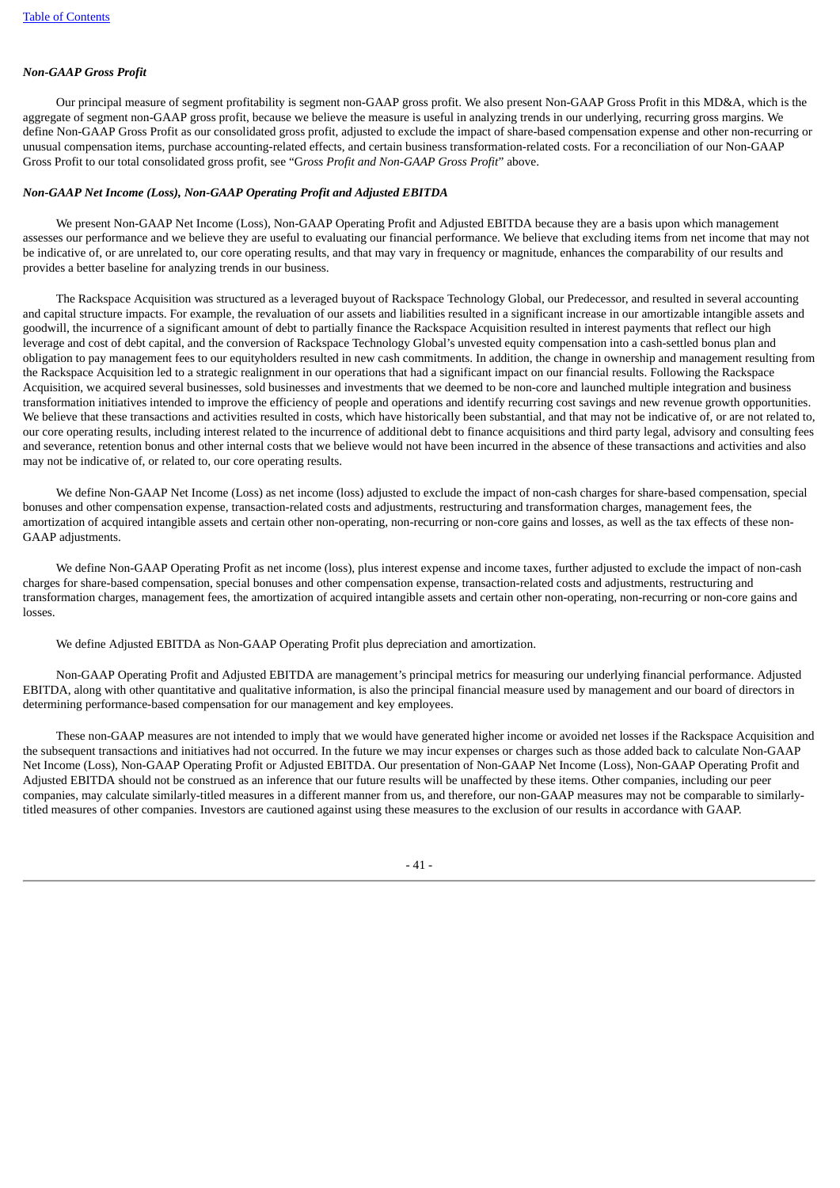## *Non-GAAP Gross Profit*

Our principal measure of segment profitability is segment non-GAAP gross profit. We also present Non-GAAP Gross Profit in this MD&A, which is the aggregate of segment non-GAAP gross profit, because we believe the measure is useful in analyzing trends in our underlying, recurring gross margins. We define Non-GAAP Gross Profit as our consolidated gross profit, adjusted to exclude the impact of share-based compensation expense and other non-recurring or unusual compensation items, purchase accounting-related effects, and certain business transformation-related costs. For a reconciliation of our Non-GAAP Gross Profit to our total consolidated gross profit, see "G*ross Profit and Non-GAAP Gross Profit*" above.

### *Non-GAAP Net Income (Loss), Non-GAAP Operating Profit and Adjusted EBITDA*

We present Non-GAAP Net Income (Loss), Non-GAAP Operating Profit and Adjusted EBITDA because they are a basis upon which management assesses our performance and we believe they are useful to evaluating our financial performance. We believe that excluding items from net income that may not be indicative of, or are unrelated to, our core operating results, and that may vary in frequency or magnitude, enhances the comparability of our results and provides a better baseline for analyzing trends in our business.

The Rackspace Acquisition was structured as a leveraged buyout of Rackspace Technology Global, our Predecessor, and resulted in several accounting and capital structure impacts. For example, the revaluation of our assets and liabilities resulted in a significant increase in our amortizable intangible assets and goodwill, the incurrence of a significant amount of debt to partially finance the Rackspace Acquisition resulted in interest payments that reflect our high leverage and cost of debt capital, and the conversion of Rackspace Technology Global's unvested equity compensation into a cash-settled bonus plan and obligation to pay management fees to our equityholders resulted in new cash commitments. In addition, the change in ownership and management resulting from the Rackspace Acquisition led to a strategic realignment in our operations that had a significant impact on our financial results. Following the Rackspace Acquisition, we acquired several businesses, sold businesses and investments that we deemed to be non-core and launched multiple integration and business transformation initiatives intended to improve the efficiency of people and operations and identify recurring cost savings and new revenue growth opportunities. We believe that these transactions and activities resulted in costs, which have historically been substantial, and that may not be indicative of, or are not related to, our core operating results, including interest related to the incurrence of additional debt to finance acquisitions and third party legal, advisory and consulting fees and severance, retention bonus and other internal costs that we believe would not have been incurred in the absence of these transactions and activities and also may not be indicative of, or related to, our core operating results.

We define Non-GAAP Net Income (Loss) as net income (loss) adjusted to exclude the impact of non-cash charges for share-based compensation, special bonuses and other compensation expense, transaction-related costs and adjustments, restructuring and transformation charges, management fees, the amortization of acquired intangible assets and certain other non-operating, non-recurring or non-core gains and losses, as well as the tax effects of these non-GAAP adjustments.

We define Non-GAAP Operating Profit as net income (loss), plus interest expense and income taxes, further adjusted to exclude the impact of non-cash charges for share-based compensation, special bonuses and other compensation expense, transaction-related costs and adjustments, restructuring and transformation charges, management fees, the amortization of acquired intangible assets and certain other non-operating, non-recurring or non-core gains and losses.

We define Adjusted EBITDA as Non-GAAP Operating Profit plus depreciation and amortization.

Non-GAAP Operating Profit and Adjusted EBITDA are management's principal metrics for measuring our underlying financial performance. Adjusted EBITDA, along with other quantitative and qualitative information, is also the principal financial measure used by management and our board of directors in determining performance-based compensation for our management and key employees.

These non-GAAP measures are not intended to imply that we would have generated higher income or avoided net losses if the Rackspace Acquisition and the subsequent transactions and initiatives had not occurred. In the future we may incur expenses or charges such as those added back to calculate Non-GAAP Net Income (Loss), Non-GAAP Operating Profit or Adjusted EBITDA. Our presentation of Non-GAAP Net Income (Loss), Non-GAAP Operating Profit and Adjusted EBITDA should not be construed as an inference that our future results will be unaffected by these items. Other companies, including our peer companies, may calculate similarly-titled measures in a different manner from us, and therefore, our non-GAAP measures may not be comparable to similarlytitled measures of other companies. Investors are cautioned against using these measures to the exclusion of our results in accordance with GAAP.

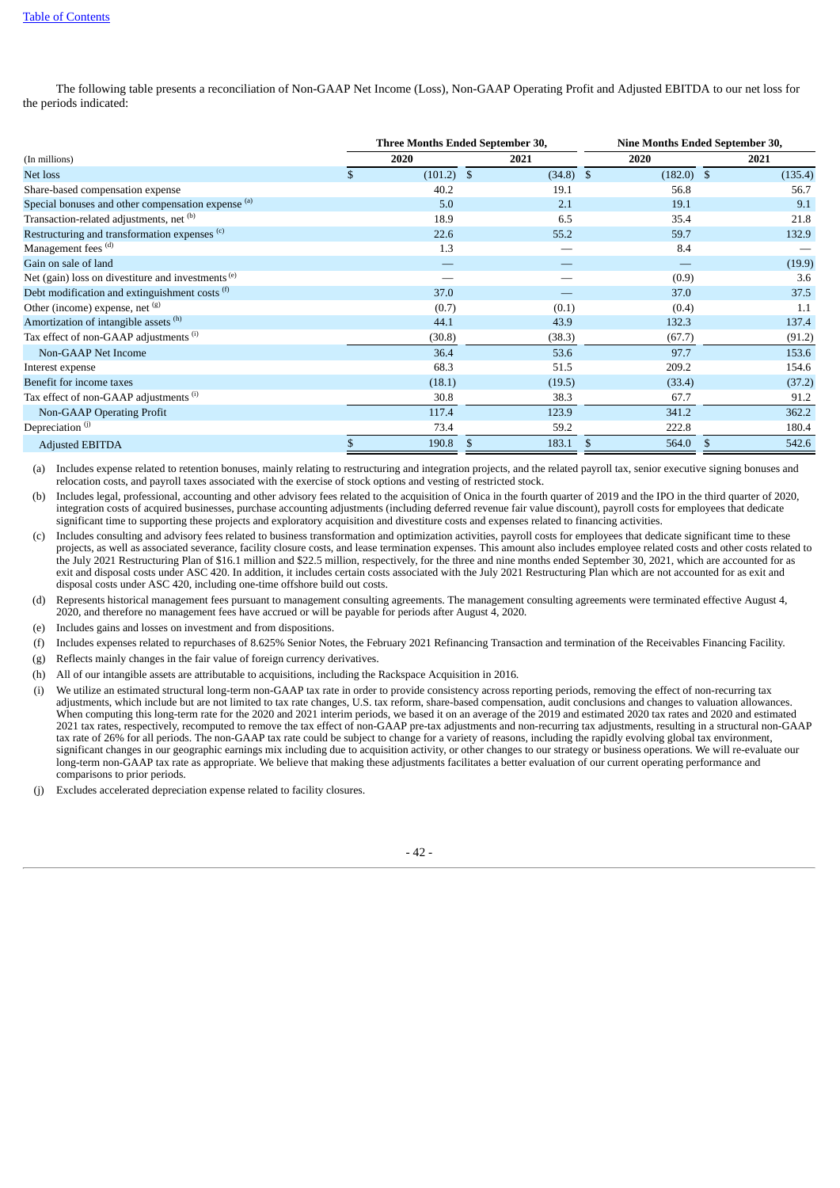The following table presents a reconciliation of Non-GAAP Net Income (Loss), Non-GAAP Operating Profit and Adjusted EBITDA to our net loss for the periods indicated:

|                                                           |              | Three Months Ended September 30, |             | Nine Months Ended September 30, |  |         |  |  |
|-----------------------------------------------------------|--------------|----------------------------------|-------------|---------------------------------|--|---------|--|--|
| (In millions)                                             | 2020         | 2021                             |             | 2020                            |  | 2021    |  |  |
| Net loss                                                  | $(101.2)$ \$ |                                  | $(34.8)$ \$ | $(182.0)$ \$                    |  | (135.4) |  |  |
| Share-based compensation expense                          | 40.2         |                                  | 19.1        | 56.8                            |  | 56.7    |  |  |
| Special bonuses and other compensation expense (a)        | 5.0          |                                  | 2.1         | 19.1                            |  | 9.1     |  |  |
| Transaction-related adjustments, net (b)                  | 18.9         |                                  | 6.5         | 35.4                            |  | 21.8    |  |  |
| Restructuring and transformation expenses <sup>(c)</sup>  | 22.6         |                                  | 55.2        | 59.7                            |  | 132.9   |  |  |
| Management fees <sup>(d)</sup>                            | 1.3          |                                  | --          | 8.4                             |  |         |  |  |
| Gain on sale of land                                      |              |                                  |             |                                 |  | (19.9)  |  |  |
| Net (gain) loss on divestiture and investments $(e)$      |              |                                  |             | (0.9)                           |  | 3.6     |  |  |
| Debt modification and extinguishment costs <sup>(f)</sup> | 37.0         |                                  |             | 37.0                            |  | 37.5    |  |  |
| Other (income) expense, net $(8)$                         | (0.7)        |                                  | (0.1)       | (0.4)                           |  | 1.1     |  |  |
| Amortization of intangible assets (h)                     | 44.1         |                                  | 43.9        | 132.3                           |  | 137.4   |  |  |
| Tax effect of non-GAAP adjustments (i)                    | (30.8)       |                                  | (38.3)      | (67.7)                          |  | (91.2)  |  |  |
| Non-GAAP Net Income                                       | 36.4         |                                  | 53.6        | 97.7                            |  | 153.6   |  |  |
| Interest expense                                          | 68.3         |                                  | 51.5        | 209.2                           |  | 154.6   |  |  |
| Benefit for income taxes                                  | (18.1)       |                                  | (19.5)      | (33.4)                          |  | (37.2)  |  |  |
| Tax effect of non-GAAP adjustments <sup>(i)</sup>         | 30.8         |                                  | 38.3        | 67.7                            |  | 91.2    |  |  |
| Non-GAAP Operating Profit                                 | 117.4        | 123.9                            |             | 341.2                           |  | 362.2   |  |  |
| Depreciation <sup>(j)</sup>                               | 73.4         |                                  | 59.2        | 222.8                           |  | 180.4   |  |  |
| <b>Adjusted EBITDA</b>                                    | 190.8        | 183.1<br><b>S</b>                | \$.         | 564.0                           |  | 542.6   |  |  |

(a) Includes expense related to retention bonuses, mainly relating to restructuring and integration projects, and the related payroll tax, senior executive signing bonuses and relocation costs, and payroll taxes associated with the exercise of stock options and vesting of restricted stock.

(b) Includes legal, professional, accounting and other advisory fees related to the acquisition of Onica in the fourth quarter of 2019 and the IPO in the third quarter of 2020, integration costs of acquired businesses, purchase accounting adjustments (including deferred revenue fair value discount), payroll costs for employees that dedicate significant time to supporting these projects and exploratory acquisition and divestiture costs and expenses related to financing activities.

(c) Includes consulting and advisory fees related to business transformation and optimization activities, payroll costs for employees that dedicate significant time to these projects, as well as associated severance, facility closure costs, and lease termination expenses. This amount also includes employee related costs and other costs related to the July 2021 Restructuring Plan of \$16.1 million and \$22.5 million, respectively, for the three and nine months ended September 30, 2021, which are accounted for as exit and disposal costs under ASC 420. In addition, it includes certain costs associated with the July 2021 Restructuring Plan which are not accounted for as exit and disposal costs under ASC 420, including one-time offshore build out costs.

(d) Represents historical management fees pursuant to management consulting agreements. The management consulting agreements were terminated effective August 4, 2020, and therefore no management fees have accrued or will be payable for periods after August 4, 2020.

(e) Includes gains and losses on investment and from dispositions.

(f) Includes expenses related to repurchases of 8.625% Senior Notes, the February 2021 Refinancing Transaction and termination of the Receivables Financing Facility.

(g) Reflects mainly changes in the fair value of foreign currency derivatives.

(h) All of our intangible assets are attributable to acquisitions, including the Rackspace Acquisition in 2016.

(i) We utilize an estimated structural long-term non-GAAP tax rate in order to provide consistency across reporting periods, removing the effect of non-recurring tax adjustments, which include but are not limited to tax rate changes, U.S. tax reform, share-based compensation, audit conclusions and changes to valuation allowances. When computing this long-term rate for the 2020 and 2021 interim periods, we based it on an average of the 2019 and estimated 2020 tax rates and 2020 and estimated 2021 tax rates, respectively, recomputed to remove the tax effect of non-GAAP pre-tax adjustments and non-recurring tax adjustments, resulting in a structural non-GAAP tax rate of 26% for all periods. The non-GAAP tax rate could be subject to change for a variety of reasons, including the rapidly evolving global tax environment, significant changes in our geographic earnings mix including due to acquisition activity, or other changes to our strategy or business operations. We will re-evaluate our long-term non-GAAP tax rate as appropriate. We believe that making these adjustments facilitates a better evaluation of our current operating performance and comparisons to prior periods.

(j) Excludes accelerated depreciation expense related to facility closures.

- 42 -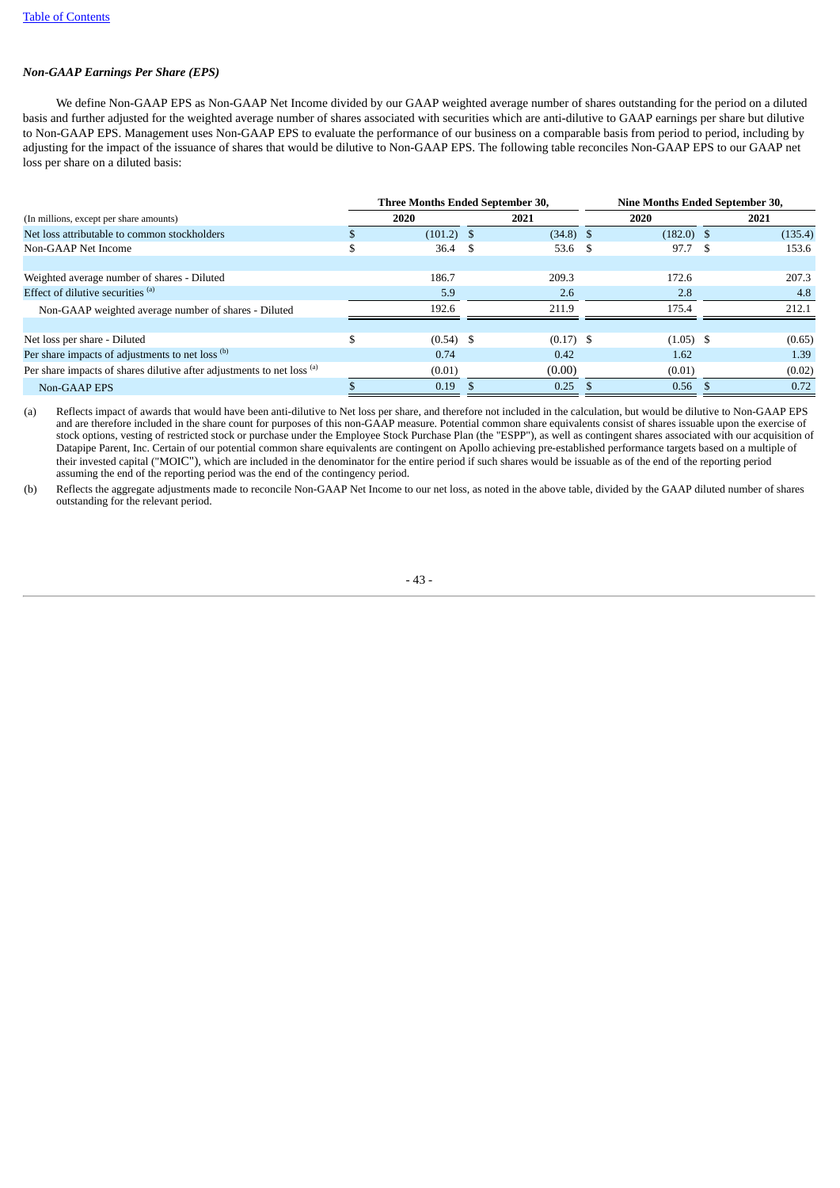# *Non-GAAP Earnings Per Share (EPS)*

We define Non-GAAP EPS as Non-GAAP Net Income divided by our GAAP weighted average number of shares outstanding for the period on a diluted basis and further adjusted for the weighted average number of shares associated with securities which are anti-dilutive to GAAP earnings per share but dilutive to Non-GAAP EPS. Management uses Non-GAAP EPS to evaluate the performance of our business on a comparable basis from period to period, including by adjusting for the impact of the issuance of shares that would be dilutive to Non-GAAP EPS. The following table reconciles Non-GAAP EPS to our GAAP net loss per share on a diluted basis:

|                                                                        | Three Months Ended September 30, |          |             |    | Nine Months Ended September 30, |    |         |
|------------------------------------------------------------------------|----------------------------------|----------|-------------|----|---------------------------------|----|---------|
| (In millions, except per share amounts)                                | 2020                             |          | 2021        |    | 2020                            |    | 2021    |
| Net loss attributable to common stockholders                           | $(101.2)$ \$                     |          | $(34.8)$ \$ |    | $(182.0)$ \$                    |    | (135.4) |
| Non-GAAP Net Income                                                    | $36.4$ \$                        |          | 53.6        | -S | 97.7                            | .S | 153.6   |
|                                                                        |                                  |          |             |    |                                 |    |         |
| Weighted average number of shares - Diluted                            | 186.7                            |          | 209.3       |    | 172.6                           |    | 207.3   |
| Effect of dilutive securities (a)                                      | 5.9                              |          | 2.6         |    | 2.8                             |    | 4.8     |
| Non-GAAP weighted average number of shares - Diluted                   | 192.6                            |          | 211.9       |    | 175.4                           |    | 212.1   |
|                                                                        |                                  |          |             |    |                                 |    |         |
| Net loss per share - Diluted                                           | $(0.54)$ \$                      |          | $(0.17)$ \$ |    | $(1.05)$ \$                     |    | (0.65)  |
| Per share impacts of adjustments to net loss (b)                       | 0.74                             |          | 0.42        |    | 1.62                            |    | 1.39    |
| Per share impacts of shares dilutive after adjustments to net loss (a) | (0.01)                           |          | (0.00)      |    | (0.01)                          |    | (0.02)  |
| Non-GAAP EPS                                                           | 0.19                             | <b>D</b> | 0.25        |    | 0.56                            |    | 0.72    |

(a) Reflects impact of awards that would have been anti-dilutive to Net loss per share, and therefore not included in the calculation, but would be dilutive to Non-GAAP EPS and are therefore included in the share count for purposes of this non-GAAP measure. Potential common share equivalents consist of shares issuable upon the exercise of stock options, vesting of restricted stock or purchase under the Employee Stock Purchase Plan (the "ESPP"), as well as contingent shares associated with our acquisition of Datapipe Parent, Inc. Certain of our potential common share equivalents are contingent on Apollo achieving pre-established performance targets based on a multiple of their invested capital ("MOIC"), which are included in the denominator for the entire period if such shares would be issuable as of the end of the reporting period assuming the end of the reporting period was the end of the contingency period.

(b) Reflects the aggregate adjustments made to reconcile Non-GAAP Net Income to our net loss, as noted in the above table, divided by the GAAP diluted number of shares outstanding for the relevant period.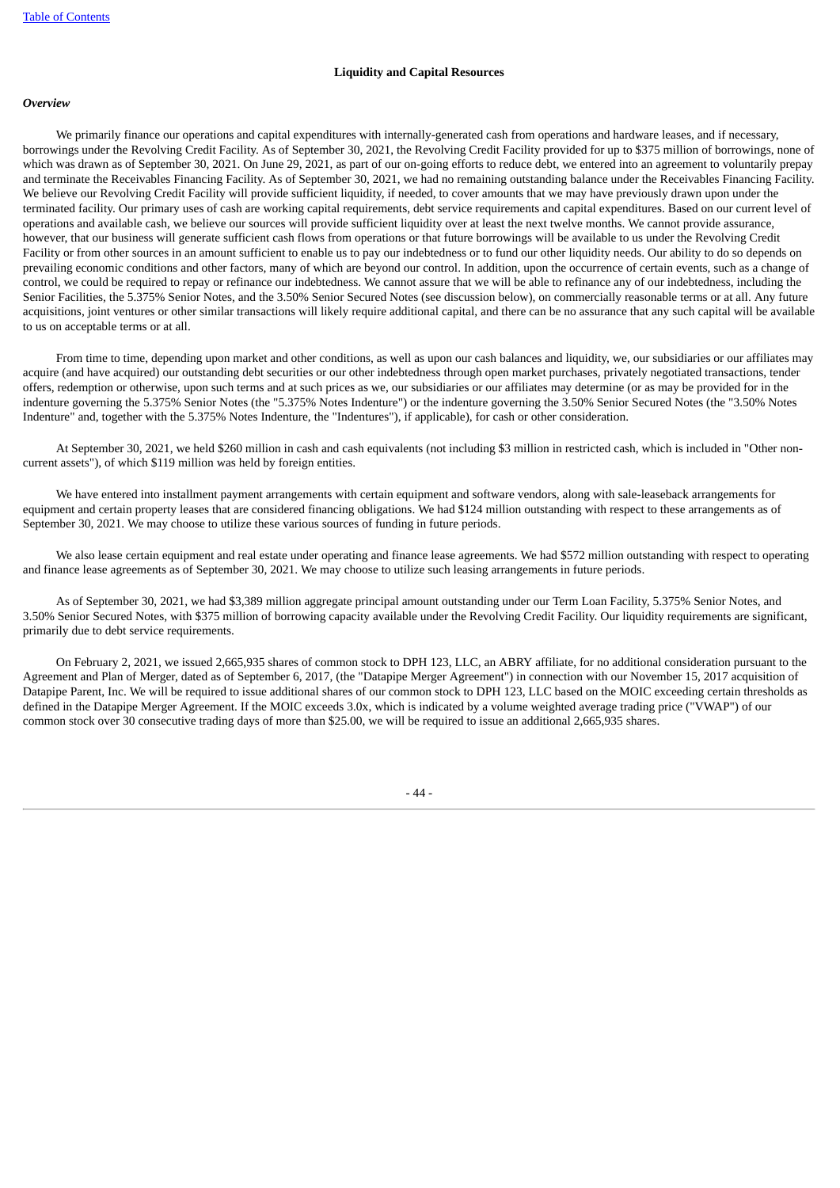### **Liquidity and Capital Resources**

# *Overview*

We primarily finance our operations and capital expenditures with internally-generated cash from operations and hardware leases, and if necessary, borrowings under the Revolving Credit Facility. As of September 30, 2021, the Revolving Credit Facility provided for up to \$375 million of borrowings, none of which was drawn as of September 30, 2021. On June 29, 2021, as part of our on-going efforts to reduce debt, we entered into an agreement to voluntarily prepay and terminate the Receivables Financing Facility. As of September 30, 2021, we had no remaining outstanding balance under the Receivables Financing Facility. We believe our Revolving Credit Facility will provide sufficient liquidity, if needed, to cover amounts that we may have previously drawn upon under the terminated facility. Our primary uses of cash are working capital requirements, debt service requirements and capital expenditures. Based on our current level of operations and available cash, we believe our sources will provide sufficient liquidity over at least the next twelve months. We cannot provide assurance, however, that our business will generate sufficient cash flows from operations or that future borrowings will be available to us under the Revolving Credit Facility or from other sources in an amount sufficient to enable us to pay our indebtedness or to fund our other liquidity needs. Our ability to do so depends on prevailing economic conditions and other factors, many of which are beyond our control. In addition, upon the occurrence of certain events, such as a change of control, we could be required to repay or refinance our indebtedness. We cannot assure that we will be able to refinance any of our indebtedness, including the Senior Facilities, the 5.375% Senior Notes, and the 3.50% Senior Secured Notes (see discussion below), on commercially reasonable terms or at all. Any future acquisitions, joint ventures or other similar transactions will likely require additional capital, and there can be no assurance that any such capital will be available to us on acceptable terms or at all.

From time to time, depending upon market and other conditions, as well as upon our cash balances and liquidity, we, our subsidiaries or our affiliates may acquire (and have acquired) our outstanding debt securities or our other indebtedness through open market purchases, privately negotiated transactions, tender offers, redemption or otherwise, upon such terms and at such prices as we, our subsidiaries or our affiliates may determine (or as may be provided for in the indenture governing the 5.375% Senior Notes (the "5.375% Notes Indenture") or the indenture governing the 3.50% Senior Secured Notes (the "3.50% Notes Indenture" and, together with the 5.375% Notes Indenture, the "Indentures"), if applicable), for cash or other consideration.

At September 30, 2021, we held \$260 million in cash and cash equivalents (not including \$3 million in restricted cash, which is included in "Other noncurrent assets"), of which \$119 million was held by foreign entities.

We have entered into installment payment arrangements with certain equipment and software vendors, along with sale-leaseback arrangements for equipment and certain property leases that are considered financing obligations. We had \$124 million outstanding with respect to these arrangements as of September 30, 2021. We may choose to utilize these various sources of funding in future periods.

We also lease certain equipment and real estate under operating and finance lease agreements. We had \$572 million outstanding with respect to operating and finance lease agreements as of September 30, 2021. We may choose to utilize such leasing arrangements in future periods.

As of September 30, 2021, we had \$3,389 million aggregate principal amount outstanding under our Term Loan Facility, 5.375% Senior Notes, and 3.50% Senior Secured Notes, with \$375 million of borrowing capacity available under the Revolving Credit Facility. Our liquidity requirements are significant, primarily due to debt service requirements.

On February 2, 2021, we issued 2,665,935 shares of common stock to DPH 123, LLC, an ABRY affiliate, for no additional consideration pursuant to the Agreement and Plan of Merger, dated as of September 6, 2017, (the "Datapipe Merger Agreement") in connection with our November 15, 2017 acquisition of Datapipe Parent, Inc. We will be required to issue additional shares of our common stock to DPH 123, LLC based on the MOIC exceeding certain thresholds as defined in the Datapipe Merger Agreement. If the MOIC exceeds 3.0x, which is indicated by a volume weighted average trading price ("VWAP") of our common stock over 30 consecutive trading days of more than \$25.00, we will be required to issue an additional 2,665,935 shares.

- 44 -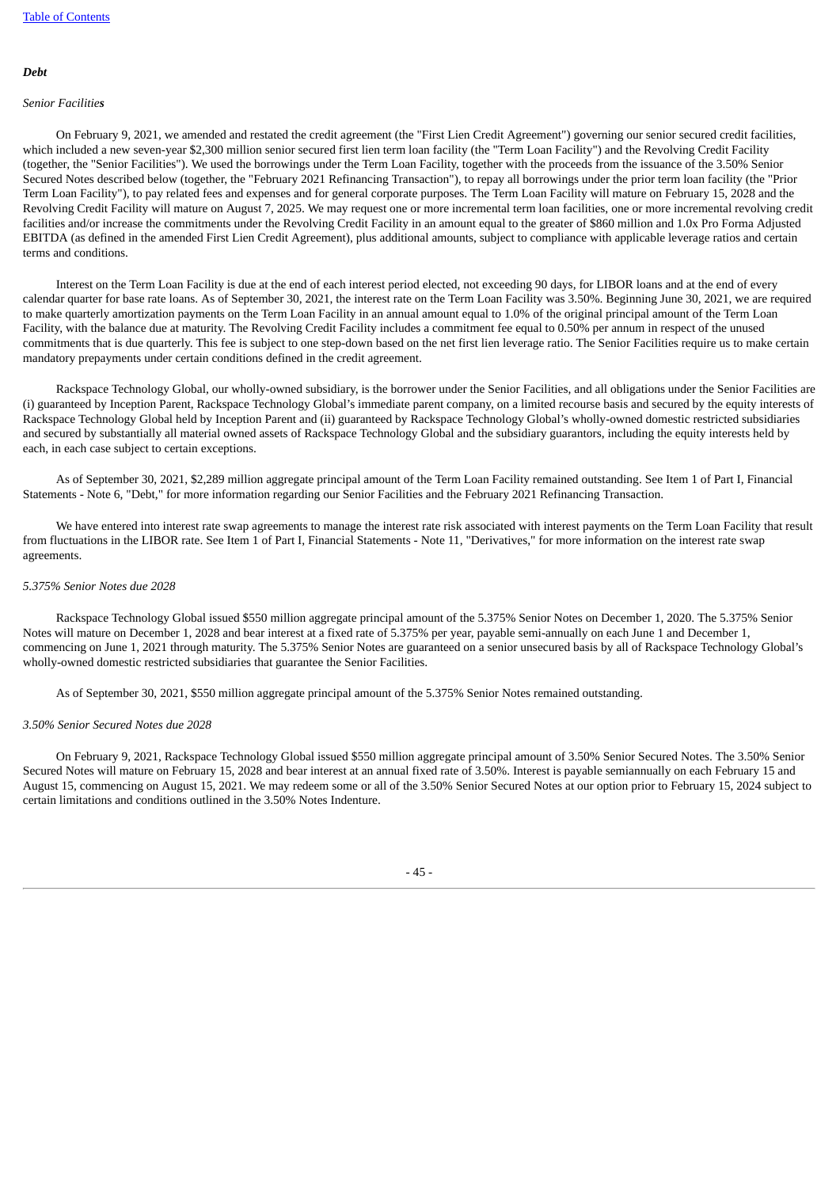#### *Debt*

# *Senior Facilities*

On February 9, 2021, we amended and restated the credit agreement (the "First Lien Credit Agreement") governing our senior secured credit facilities, which included a new seven-year \$2,300 million senior secured first lien term loan facility (the "Term Loan Facility") and the Revolving Credit Facility (together, the "Senior Facilities"). We used the borrowings under the Term Loan Facility, together with the proceeds from the issuance of the 3.50% Senior Secured Notes described below (together, the "February 2021 Refinancing Transaction"), to repay all borrowings under the prior term loan facility (the "Prior Term Loan Facility"), to pay related fees and expenses and for general corporate purposes. The Term Loan Facility will mature on February 15, 2028 and the Revolving Credit Facility will mature on August 7, 2025. We may request one or more incremental term loan facilities, one or more incremental revolving credit facilities and/or increase the commitments under the Revolving Credit Facility in an amount equal to the greater of \$860 million and 1.0x Pro Forma Adjusted EBITDA (as defined in the amended First Lien Credit Agreement), plus additional amounts, subject to compliance with applicable leverage ratios and certain terms and conditions.

Interest on the Term Loan Facility is due at the end of each interest period elected, not exceeding 90 days, for LIBOR loans and at the end of every calendar quarter for base rate loans. As of September 30, 2021, the interest rate on the Term Loan Facility was 3.50%. Beginning June 30, 2021, we are required to make quarterly amortization payments on the Term Loan Facility in an annual amount equal to 1.0% of the original principal amount of the Term Loan Facility, with the balance due at maturity. The Revolving Credit Facility includes a commitment fee equal to 0.50% per annum in respect of the unused commitments that is due quarterly. This fee is subject to one step-down based on the net first lien leverage ratio. The Senior Facilities require us to make certain mandatory prepayments under certain conditions defined in the credit agreement.

Rackspace Technology Global, our wholly-owned subsidiary, is the borrower under the Senior Facilities, and all obligations under the Senior Facilities are (i) guaranteed by Inception Parent, Rackspace Technology Global's immediate parent company, on a limited recourse basis and secured by the equity interests of Rackspace Technology Global held by Inception Parent and (ii) guaranteed by Rackspace Technology Global's wholly-owned domestic restricted subsidiaries and secured by substantially all material owned assets of Rackspace Technology Global and the subsidiary guarantors, including the equity interests held by each, in each case subject to certain exceptions.

As of September 30, 2021, \$2,289 million aggregate principal amount of the Term Loan Facility remained outstanding. See Item 1 of Part I, Financial Statements - Note 6, "Debt," for more information regarding our Senior Facilities and the February 2021 Refinancing Transaction.

We have entered into interest rate swap agreements to manage the interest rate risk associated with interest payments on the Term Loan Facility that result from fluctuations in the LIBOR rate. See Item 1 of Part I, Financial Statements - Note 11, "Derivatives," for more information on the interest rate swap agreements.

#### *5.375% Senior Notes due 2028*

Rackspace Technology Global issued \$550 million aggregate principal amount of the 5.375% Senior Notes on December 1, 2020. The 5.375% Senior Notes will mature on December 1, 2028 and bear interest at a fixed rate of 5.375% per year, payable semi-annually on each June 1 and December 1, commencing on June 1, 2021 through maturity. The 5.375% Senior Notes are guaranteed on a senior unsecured basis by all of Rackspace Technology Global's wholly-owned domestic restricted subsidiaries that guarantee the Senior Facilities.

As of September 30, 2021, \$550 million aggregate principal amount of the 5.375% Senior Notes remained outstanding.

#### *3.50% Senior Secured Notes due 2028*

On February 9, 2021, Rackspace Technology Global issued \$550 million aggregate principal amount of 3.50% Senior Secured Notes. The 3.50% Senior Secured Notes will mature on February 15, 2028 and bear interest at an annual fixed rate of 3.50%. Interest is payable semiannually on each February 15 and August 15, commencing on August 15, 2021. We may redeem some or all of the 3.50% Senior Secured Notes at our option prior to February 15, 2024 subject to certain limitations and conditions outlined in the 3.50% Notes Indenture.

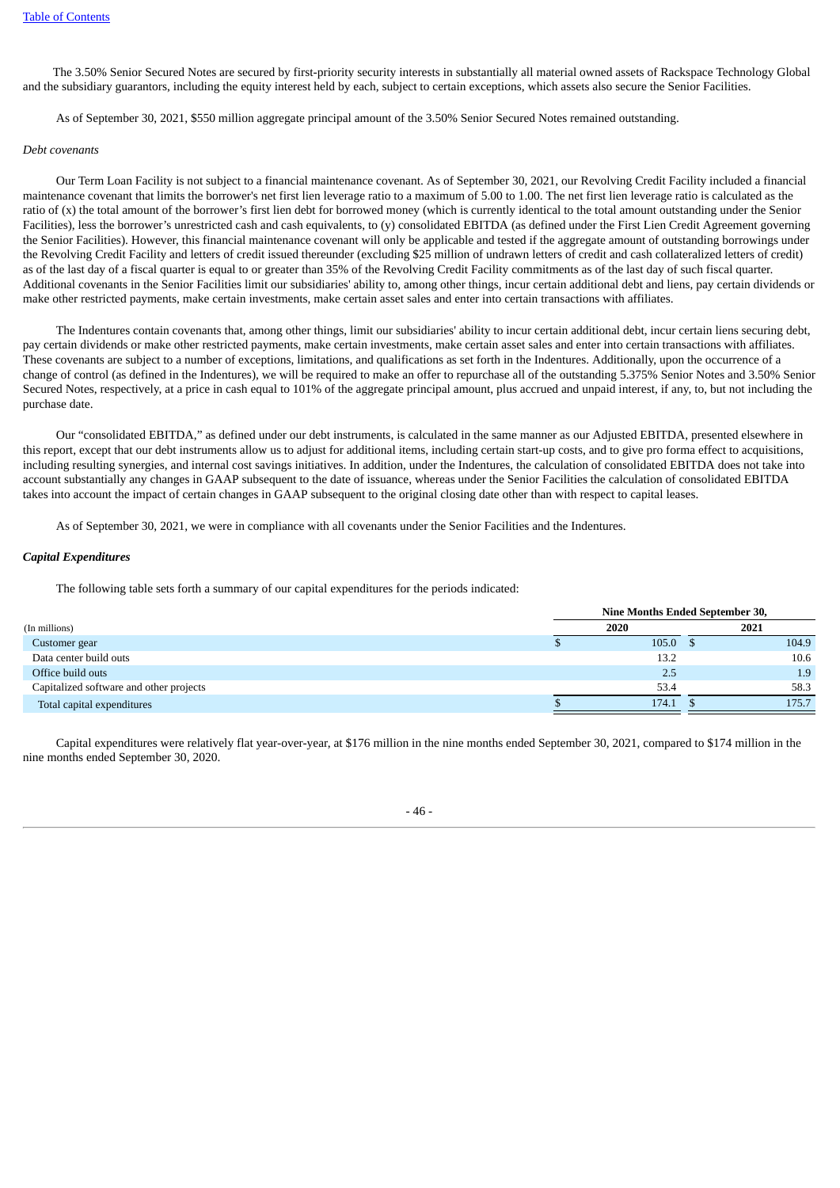The 3.50% Senior Secured Notes are secured by first-priority security interests in substantially all material owned assets of Rackspace Technology Global and the subsidiary guarantors, including the equity interest held by each, subject to certain exceptions, which assets also secure the Senior Facilities.

As of September 30, 2021, \$550 million aggregate principal amount of the 3.50% Senior Secured Notes remained outstanding.

#### *Debt covenants*

Our Term Loan Facility is not subject to a financial maintenance covenant. As of September 30, 2021, our Revolving Credit Facility included a financial maintenance covenant that limits the borrower's net first lien leverage ratio to a maximum of 5.00 to 1.00. The net first lien leverage ratio is calculated as the ratio of (x) the total amount of the borrower's first lien debt for borrowed money (which is currently identical to the total amount outstanding under the Senior Facilities), less the borrower's unrestricted cash and cash equivalents, to (y) consolidated EBITDA (as defined under the First Lien Credit Agreement governing the Senior Facilities). However, this financial maintenance covenant will only be applicable and tested if the aggregate amount of outstanding borrowings under the Revolving Credit Facility and letters of credit issued thereunder (excluding \$25 million of undrawn letters of credit and cash collateralized letters of credit) as of the last day of a fiscal quarter is equal to or greater than 35% of the Revolving Credit Facility commitments as of the last day of such fiscal quarter. Additional covenants in the Senior Facilities limit our subsidiaries' ability to, among other things, incur certain additional debt and liens, pay certain dividends or make other restricted payments, make certain investments, make certain asset sales and enter into certain transactions with affiliates.

The Indentures contain covenants that, among other things, limit our subsidiaries' ability to incur certain additional debt, incur certain liens securing debt, pay certain dividends or make other restricted payments, make certain investments, make certain asset sales and enter into certain transactions with affiliates. These covenants are subject to a number of exceptions, limitations, and qualifications as set forth in the Indentures. Additionally, upon the occurrence of a change of control (as defined in the Indentures), we will be required to make an offer to repurchase all of the outstanding 5.375% Senior Notes and 3.50% Senior Secured Notes, respectively, at a price in cash equal to 101% of the aggregate principal amount, plus accrued and unpaid interest, if any, to, but not including the purchase date.

Our "consolidated EBITDA," as defined under our debt instruments, is calculated in the same manner as our Adjusted EBITDA, presented elsewhere in this report, except that our debt instruments allow us to adjust for additional items, including certain start-up costs, and to give pro forma effect to acquisitions, including resulting synergies, and internal cost savings initiatives. In addition, under the Indentures, the calculation of consolidated EBITDA does not take into account substantially any changes in GAAP subsequent to the date of issuance, whereas under the Senior Facilities the calculation of consolidated EBITDA takes into account the impact of certain changes in GAAP subsequent to the original closing date other than with respect to capital leases.

As of September 30, 2021, we were in compliance with all covenants under the Senior Facilities and the Indentures.

#### *Capital Expenditures*

The following table sets forth a summary of our capital expenditures for the periods indicated:

|                                         | Nine Months Ended September 30, |       |  |       |  |  |  |
|-----------------------------------------|---------------------------------|-------|--|-------|--|--|--|
| (In millions)                           |                                 | 2020  |  | 2021  |  |  |  |
| Customer gear                           |                                 | 105.0 |  | 104.9 |  |  |  |
| Data center build outs                  |                                 | 13.2  |  | 10.6  |  |  |  |
| Office build outs                       |                                 | 2.5   |  | 1.9   |  |  |  |
| Capitalized software and other projects |                                 | 53.4  |  | 58.3  |  |  |  |
| Total capital expenditures              |                                 | 174.1 |  | 175.7 |  |  |  |
|                                         |                                 |       |  |       |  |  |  |

Capital expenditures were relatively flat year-over-year, at \$176 million in the nine months ended September 30, 2021, compared to \$174 million in the nine months ended September 30, 2020.

- 46 -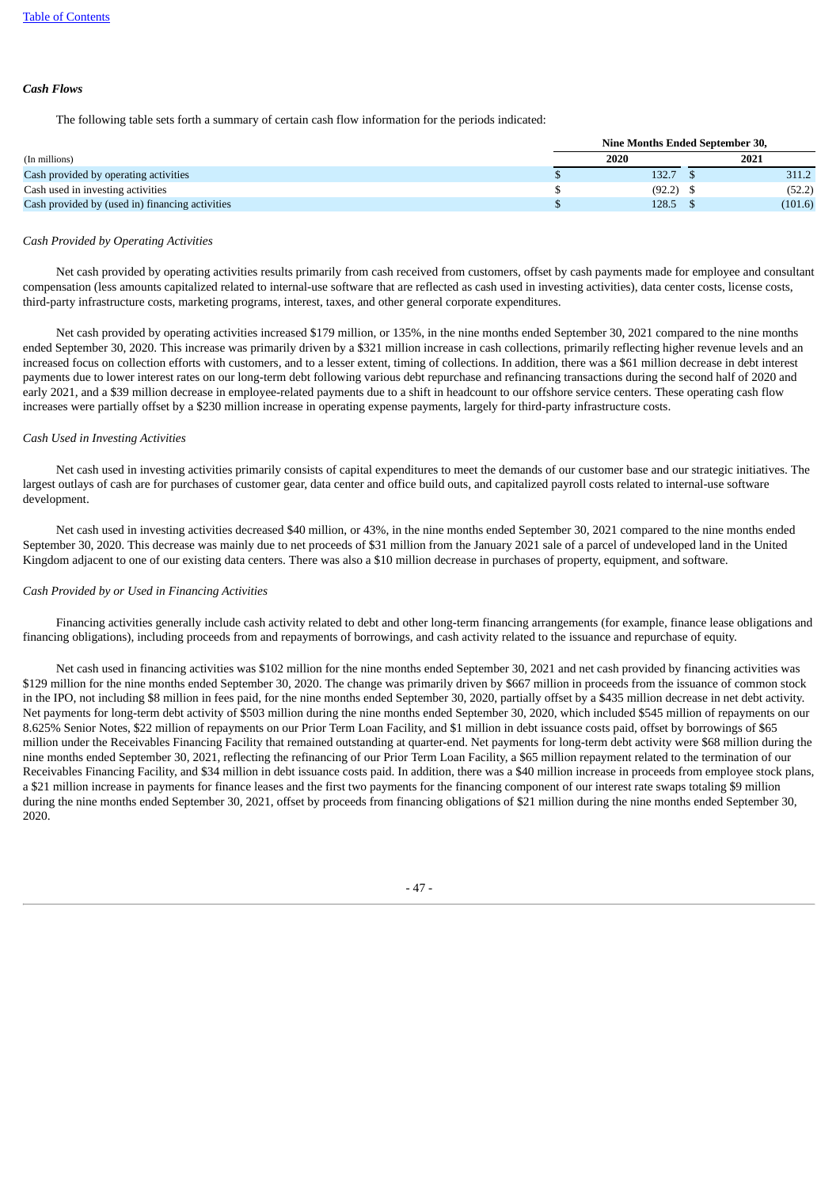#### *Cash Flows*

The following table sets forth a summary of certain cash flow information for the periods indicated:

|                                                 | Nine Months Ended September 30, |        |  |         |  |  |  |
|-------------------------------------------------|---------------------------------|--------|--|---------|--|--|--|
| (In millions)                                   | 2020                            |        |  | 2021    |  |  |  |
| Cash provided by operating activities           |                                 | 132.7  |  | 311.2   |  |  |  |
| Cash used in investing activities               |                                 | (92.2) |  | (52.2)  |  |  |  |
| Cash provided by (used in) financing activities |                                 | 128.5  |  | (101.6) |  |  |  |

### *Cash Provided by Operating Activities*

Net cash provided by operating activities results primarily from cash received from customers, offset by cash payments made for employee and consultant compensation (less amounts capitalized related to internal-use software that are reflected as cash used in investing activities), data center costs, license costs, third-party infrastructure costs, marketing programs, interest, taxes, and other general corporate expenditures.

Net cash provided by operating activities increased \$179 million, or 135%, in the nine months ended September 30, 2021 compared to the nine months ended September 30, 2020. This increase was primarily driven by a \$321 million increase in cash collections, primarily reflecting higher revenue levels and an increased focus on collection efforts with customers, and to a lesser extent, timing of collections. In addition, there was a \$61 million decrease in debt interest payments due to lower interest rates on our long-term debt following various debt repurchase and refinancing transactions during the second half of 2020 and early 2021, and a \$39 million decrease in employee-related payments due to a shift in headcount to our offshore service centers. These operating cash flow increases were partially offset by a \$230 million increase in operating expense payments, largely for third-party infrastructure costs.

#### *Cash Used in Investing Activities*

Net cash used in investing activities primarily consists of capital expenditures to meet the demands of our customer base and our strategic initiatives. The largest outlays of cash are for purchases of customer gear, data center and office build outs, and capitalized payroll costs related to internal-use software development.

Net cash used in investing activities decreased \$40 million, or 43%, in the nine months ended September 30, 2021 compared to the nine months ended September 30, 2020. This decrease was mainly due to net proceeds of \$31 million from the January 2021 sale of a parcel of undeveloped land in the United Kingdom adjacent to one of our existing data centers. There was also a \$10 million decrease in purchases of property, equipment, and software.

#### *Cash Provided by or Used in Financing Activities*

Financing activities generally include cash activity related to debt and other long-term financing arrangements (for example, finance lease obligations and financing obligations), including proceeds from and repayments of borrowings, and cash activity related to the issuance and repurchase of equity.

Net cash used in financing activities was \$102 million for the nine months ended September 30, 2021 and net cash provided by financing activities was \$129 million for the nine months ended September 30, 2020. The change was primarily driven by \$667 million in proceeds from the issuance of common stock in the IPO, not including \$8 million in fees paid, for the nine months ended September 30, 2020, partially offset by a \$435 million decrease in net debt activity. Net payments for long-term debt activity of \$503 million during the nine months ended September 30, 2020, which included \$545 million of repayments on our 8.625% Senior Notes, \$22 million of repayments on our Prior Term Loan Facility, and \$1 million in debt issuance costs paid, offset by borrowings of \$65 million under the Receivables Financing Facility that remained outstanding at quarter-end. Net payments for long-term debt activity were \$68 million during the nine months ended September 30, 2021, reflecting the refinancing of our Prior Term Loan Facility, a \$65 million repayment related to the termination of our Receivables Financing Facility, and \$34 million in debt issuance costs paid. In addition, there was a \$40 million increase in proceeds from employee stock plans, a \$21 million increase in payments for finance leases and the first two payments for the financing component of our interest rate swaps totaling \$9 million during the nine months ended September 30, 2021, offset by proceeds from financing obligations of \$21 million during the nine months ended September 30, 2020.

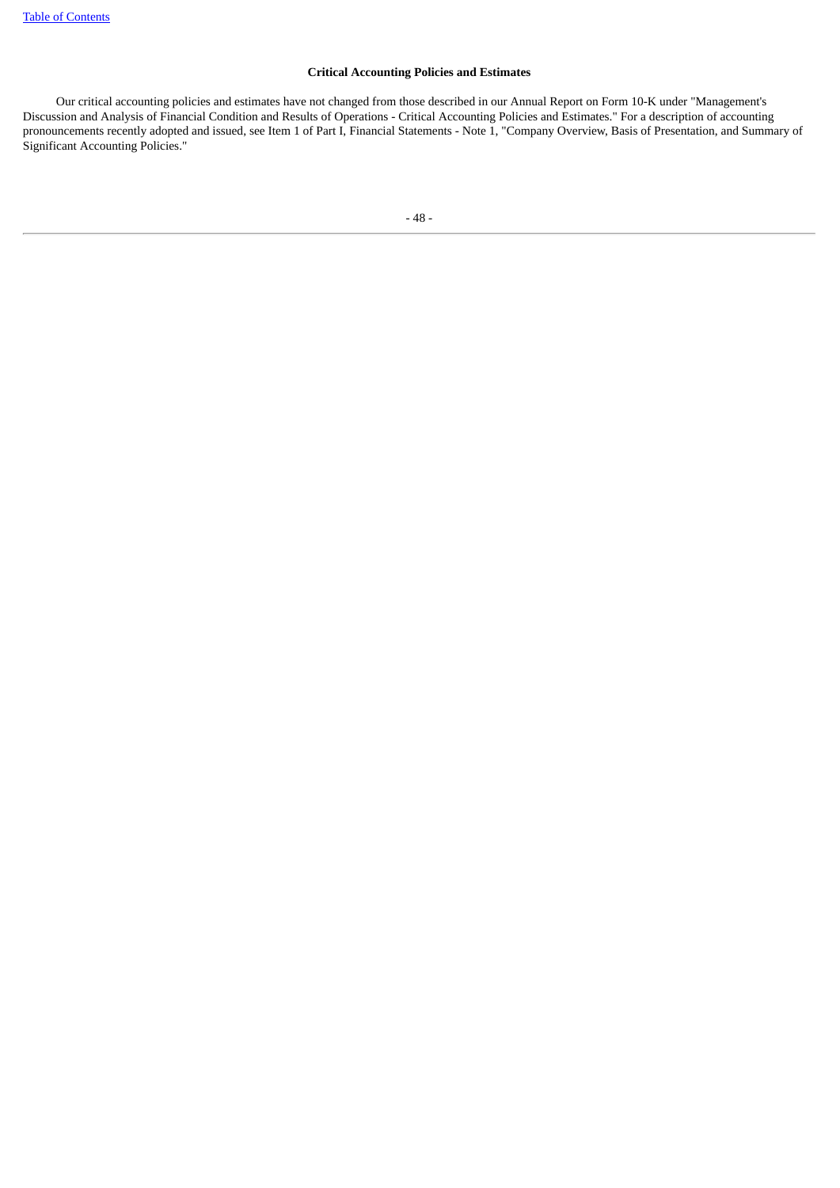# **Critical Accounting Policies and Estimates**

<span id="page-49-0"></span>Our critical accounting policies and estimates have not changed from those described in our Annual Report on Form 10-K under "Management's Discussion and Analysis of Financial Condition and Results of Operations - Critical Accounting Policies and Estimates." For a description of accounting pronouncements recently adopted and issued, see Item 1 of Part I, Financial Statements - Note 1, "Company Overview, Basis of Presentation, and Summary of Significant Accounting Policies."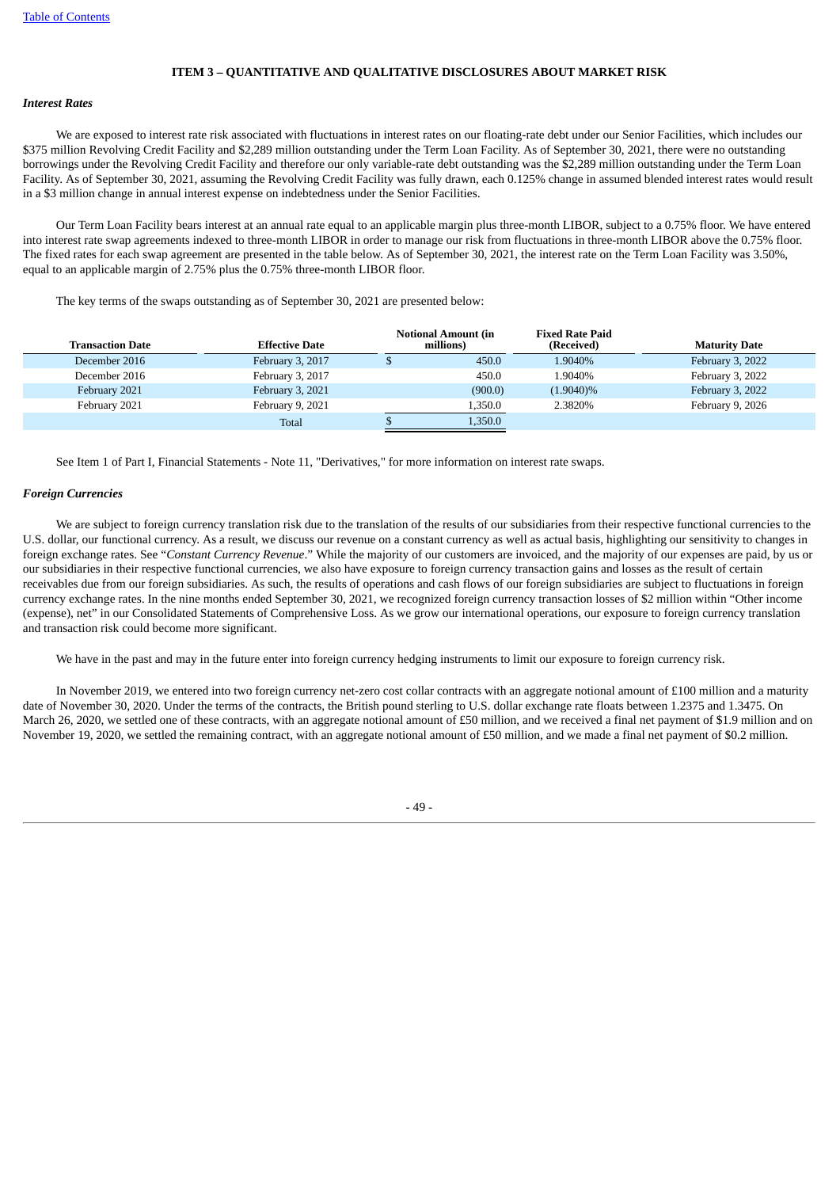# **ITEM 3 – QUANTITATIVE AND QUALITATIVE DISCLOSURES ABOUT MARKET RISK**

# *Interest Rates*

We are exposed to interest rate risk associated with fluctuations in interest rates on our floating-rate debt under our Senior Facilities, which includes our \$375 million Revolving Credit Facility and \$2,289 million outstanding under the Term Loan Facility. As of September 30, 2021, there were no outstanding borrowings under the Revolving Credit Facility and therefore our only variable-rate debt outstanding was the \$2,289 million outstanding under the Term Loan Facility. As of September 30, 2021, assuming the Revolving Credit Facility was fully drawn, each 0.125% change in assumed blended interest rates would result in a \$3 million change in annual interest expense on indebtedness under the Senior Facilities.

Our Term Loan Facility bears interest at an annual rate equal to an applicable margin plus three-month LIBOR, subject to a 0.75% floor. We have entered into interest rate swap agreements indexed to three-month LIBOR in order to manage our risk from fluctuations in three-month LIBOR above the 0.75% floor. The fixed rates for each swap agreement are presented in the table below. As of September 30, 2021, the interest rate on the Term Loan Facility was 3.50%, equal to an applicable margin of 2.75% plus the 0.75% three-month LIBOR floor.

The key terms of the swaps outstanding as of September 30, 2021 are presented below:

| Transaction Date | <b>Effective Date</b> | <b>Notional Amount (in</b><br>millions) | <b>Fixed Rate Paid</b><br>(Received) | <b>Maturity Date</b> |
|------------------|-----------------------|-----------------------------------------|--------------------------------------|----------------------|
| December 2016    | February 3, 2017      | 450.0                                   | 1.9040%                              | February 3, 2022     |
| December 2016    | February 3, 2017      | 450.0                                   | 1.9040%                              | February 3, 2022     |
| February 2021    | February 3, 2021      | (900.0)                                 | $(1.9040)\%$                         | February 3, 2022     |
| February 2021    | February 9, 2021      | 1,350.0                                 | 2.3820%                              | February 9, 2026     |
|                  | Total                 | 1,350.0                                 |                                      |                      |

See Item 1 of Part I, Financial Statements - Note 11, "Derivatives," for more information on interest rate swaps.

#### *Foreign Currencies*

We are subject to foreign currency translation risk due to the translation of the results of our subsidiaries from their respective functional currencies to the U.S. dollar, our functional currency. As a result, we discuss our revenue on a constant currency as well as actual basis, highlighting our sensitivity to changes in foreign exchange rates. See "*Constant Currency Revenue*." While the majority of our customers are invoiced, and the majority of our expenses are paid, by us or our subsidiaries in their respective functional currencies, we also have exposure to foreign currency transaction gains and losses as the result of certain receivables due from our foreign subsidiaries. As such, the results of operations and cash flows of our foreign subsidiaries are subject to fluctuations in foreign currency exchange rates. In the nine months ended September 30, 2021, we recognized foreign currency transaction losses of \$2 million within "Other income (expense), net" in our Consolidated Statements of Comprehensive Loss. As we grow our international operations, our exposure to foreign currency translation and transaction risk could become more significant.

We have in the past and may in the future enter into foreign currency hedging instruments to limit our exposure to foreign currency risk.

In November 2019, we entered into two foreign currency net-zero cost collar contracts with an aggregate notional amount of £100 million and a maturity date of November 30, 2020. Under the terms of the contracts, the British pound sterling to U.S. dollar exchange rate floats between 1.2375 and 1.3475. On March 26, 2020, we settled one of these contracts, with an aggregate notional amount of £50 million, and we received a final net payment of \$1.9 million and on November 19, 2020, we settled the remaining contract, with an aggregate notional amount of £50 million, and we made a final net payment of \$0.2 million.

- 49 -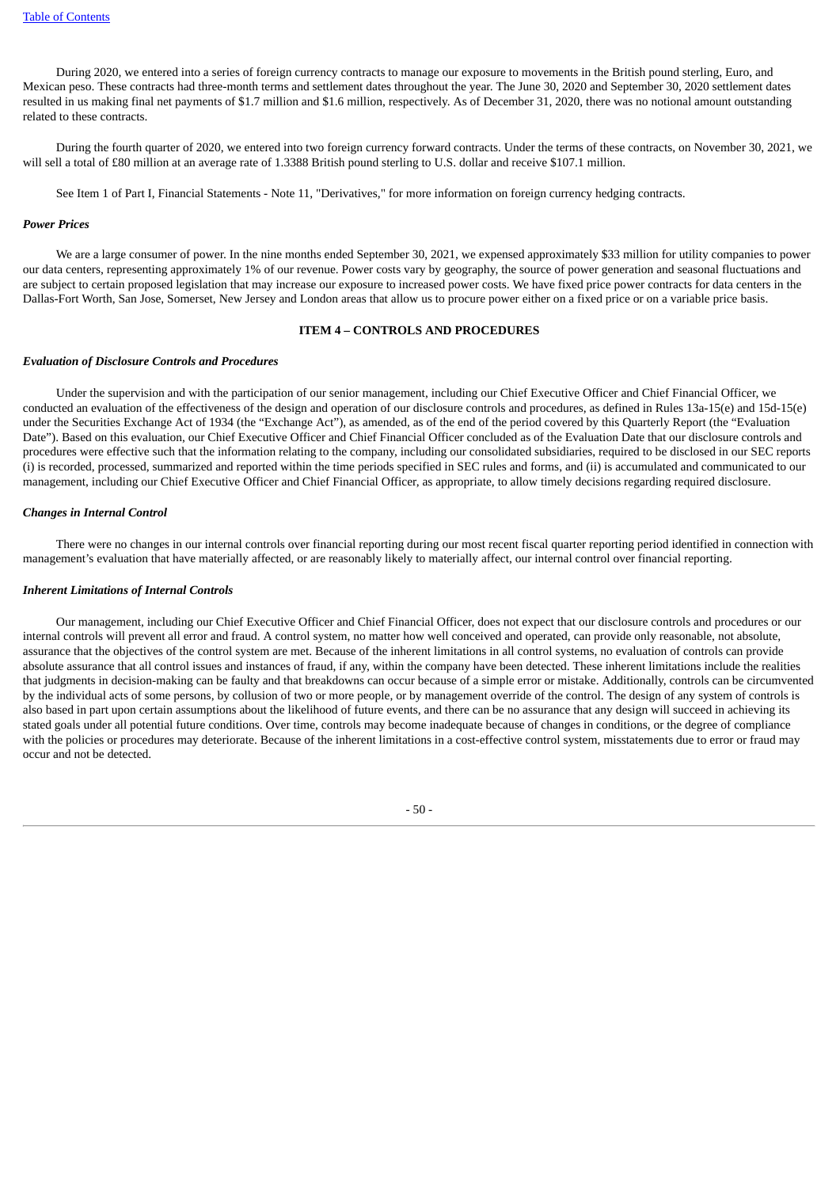During 2020, we entered into a series of foreign currency contracts to manage our exposure to movements in the British pound sterling, Euro, and Mexican peso. These contracts had three-month terms and settlement dates throughout the year. The June 30, 2020 and September 30, 2020 settlement dates resulted in us making final net payments of \$1.7 million and \$1.6 million, respectively. As of December 31, 2020, there was no notional amount outstanding related to these contracts.

During the fourth quarter of 2020, we entered into two foreign currency forward contracts. Under the terms of these contracts, on November 30, 2021, we will sell a total of £80 million at an average rate of 1.3388 British pound sterling to U.S. dollar and receive \$107.1 million.

See Item 1 of Part I, Financial Statements - Note 11, "Derivatives," for more information on foreign currency hedging contracts.

#### *Power Prices*

We are a large consumer of power. In the nine months ended September 30, 2021, we expensed approximately \$33 million for utility companies to power our data centers, representing approximately 1% of our revenue. Power costs vary by geography, the source of power generation and seasonal fluctuations and are subject to certain proposed legislation that may increase our exposure to increased power costs. We have fixed price power contracts for data centers in the Dallas-Fort Worth, San Jose, Somerset, New Jersey and London areas that allow us to procure power either on a fixed price or on a variable price basis.

#### **ITEM 4 – CONTROLS AND PROCEDURES**

#### <span id="page-51-0"></span>*Evaluation of Disclosure Controls and Procedures*

Under the supervision and with the participation of our senior management, including our Chief Executive Officer and Chief Financial Officer, we conducted an evaluation of the effectiveness of the design and operation of our disclosure controls and procedures, as defined in Rules 13a-15(e) and 15d-15(e) under the Securities Exchange Act of 1934 (the "Exchange Act"), as amended, as of the end of the period covered by this Quarterly Report (the "Evaluation Date"). Based on this evaluation, our Chief Executive Officer and Chief Financial Officer concluded as of the Evaluation Date that our disclosure controls and procedures were effective such that the information relating to the company, including our consolidated subsidiaries, required to be disclosed in our SEC reports (i) is recorded, processed, summarized and reported within the time periods specified in SEC rules and forms, and (ii) is accumulated and communicated to our management, including our Chief Executive Officer and Chief Financial Officer, as appropriate, to allow timely decisions regarding required disclosure.

#### *Changes in Internal Control*

There were no changes in our internal controls over financial reporting during our most recent fiscal quarter reporting period identified in connection with management's evaluation that have materially affected, or are reasonably likely to materially affect, our internal control over financial reporting.

#### *Inherent Limitations of Internal Controls*

Our management, including our Chief Executive Officer and Chief Financial Officer, does not expect that our disclosure controls and procedures or our internal controls will prevent all error and fraud. A control system, no matter how well conceived and operated, can provide only reasonable, not absolute, assurance that the objectives of the control system are met. Because of the inherent limitations in all control systems, no evaluation of controls can provide absolute assurance that all control issues and instances of fraud, if any, within the company have been detected. These inherent limitations include the realities that judgments in decision-making can be faulty and that breakdowns can occur because of a simple error or mistake. Additionally, controls can be circumvented by the individual acts of some persons, by collusion of two or more people, or by management override of the control. The design of any system of controls is also based in part upon certain assumptions about the likelihood of future events, and there can be no assurance that any design will succeed in achieving its stated goals under all potential future conditions. Over time, controls may become inadequate because of changes in conditions, or the degree of compliance with the policies or procedures may deteriorate. Because of the inherent limitations in a cost-effective control system, misstatements due to error or fraud may occur and not be detected.

 $-50 -$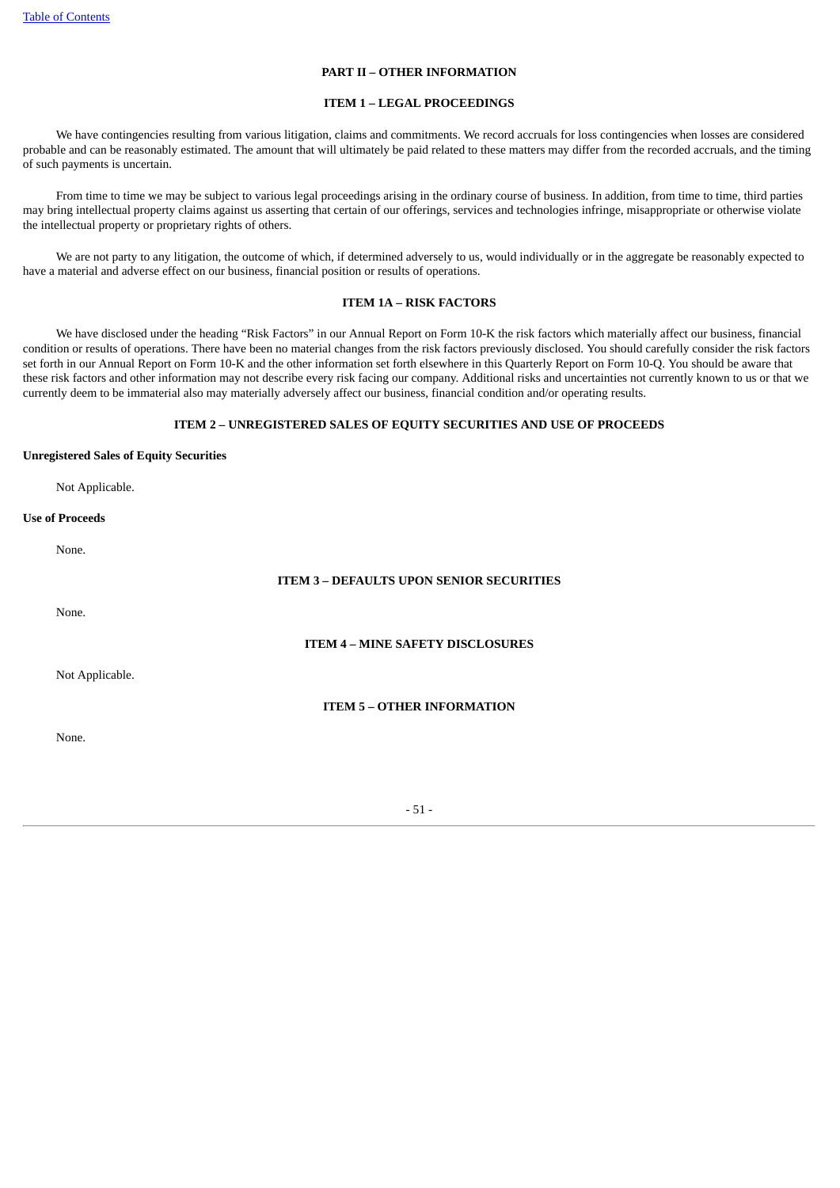# **PART II – OTHER INFORMATION**

# **ITEM 1 – LEGAL PROCEEDINGS**

<span id="page-52-0"></span>We have contingencies resulting from various litigation, claims and commitments. We record accruals for loss contingencies when losses are considered probable and can be reasonably estimated. The amount that will ultimately be paid related to these matters may differ from the recorded accruals, and the timing of such payments is uncertain.

From time to time we may be subject to various legal proceedings arising in the ordinary course of business. In addition, from time to time, third parties may bring intellectual property claims against us asserting that certain of our offerings, services and technologies infringe, misappropriate or otherwise violate the intellectual property or proprietary rights of others.

We are not party to any litigation, the outcome of which, if determined adversely to us, would individually or in the aggregate be reasonably expected to have a material and adverse effect on our business, financial position or results of operations.

# **ITEM 1A – RISK FACTORS**

<span id="page-52-1"></span>We have disclosed under the heading "Risk Factors" in our Annual Report on Form 10-K the risk factors which materially affect our business, financial condition or results of operations. There have been no material changes from the risk factors previously disclosed. You should carefully consider the risk factors set forth in our Annual Report on Form 10-K and the other information set forth elsewhere in this Quarterly Report on Form 10-Q. You should be aware that these risk factors and other information may not describe every risk facing our company. Additional risks and uncertainties not currently known to us or that we currently deem to be immaterial also may materially adversely affect our business, financial condition and/or operating results.

# **ITEM 2 – UNREGISTERED SALES OF EQUITY SECURITIES AND USE OF PROCEEDS**

### <span id="page-52-2"></span>**Unregistered Sales of Equity Securities**

Not Applicable.

### **Use of Proceeds**

<span id="page-52-3"></span>None.

# **ITEM 3 – DEFAULTS UPON SENIOR SECURITIES**

<span id="page-52-4"></span>None.

# **ITEM 4 – MINE SAFETY DISCLOSURES**

<span id="page-52-5"></span>Not Applicable.

# **ITEM 5 – OTHER INFORMATION**

<span id="page-52-6"></span>None.

- 51 -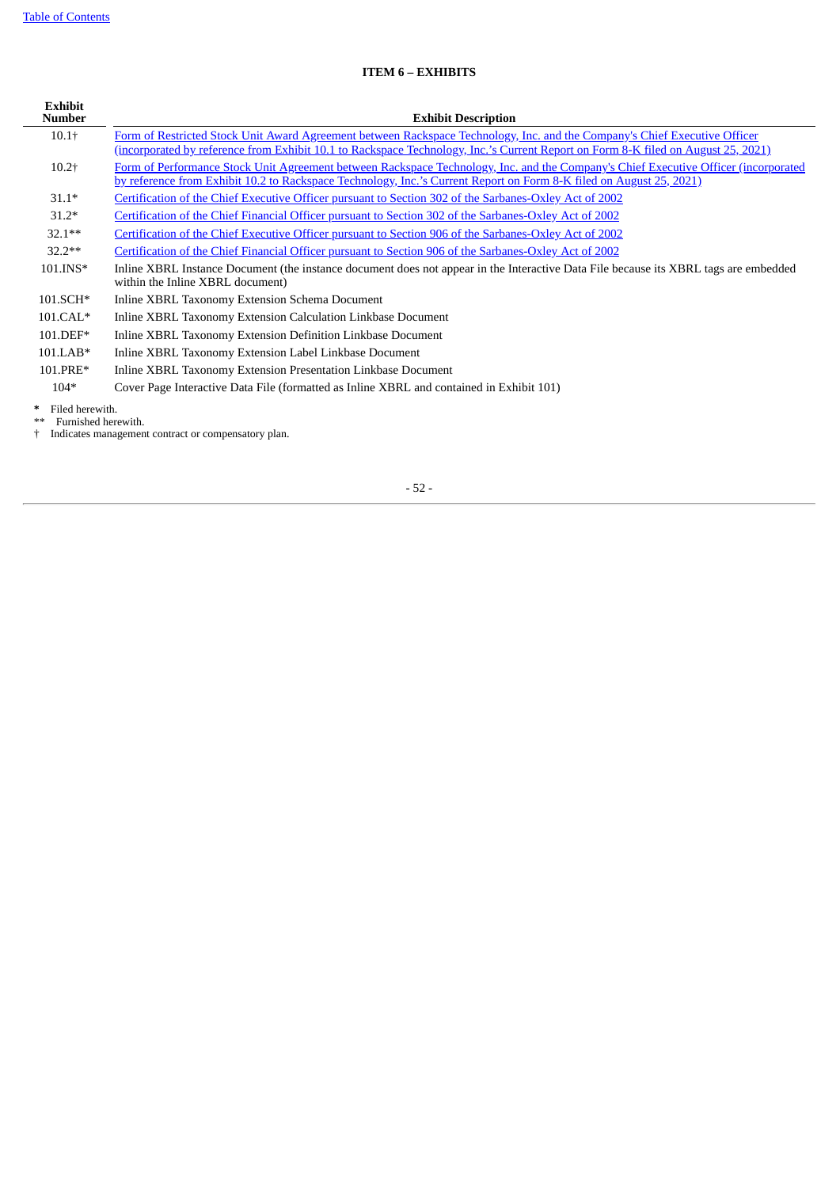# **ITEM 6 – EXHIBITS**

| Exhibit<br>Number | <b>Exhibit Description</b>                                                                                                                                                                                                                                 |
|-------------------|------------------------------------------------------------------------------------------------------------------------------------------------------------------------------------------------------------------------------------------------------------|
| $10.1 +$          | Form of Restricted Stock Unit Award Agreement between Rackspace Technology, Inc. and the Company's Chief Executive Officer                                                                                                                                 |
|                   | (incorporated by reference from Exhibit 10.1 to Rackspace Technology, Inc.'s Current Report on Form 8-K filed on August 25, 2021).                                                                                                                         |
| $10.2+$           | Form of Performance Stock Unit Agreement between Rackspace Technology, Inc. and the Company's Chief Executive Officer (incorporated<br>by reference from Exhibit 10.2 to Rackspace Technology, Inc.'s Current Report on Form 8-K filed on August 25, 2021) |
| $31.1*$           | Certification of the Chief Executive Officer pursuant to Section 302 of the Sarbanes-Oxley Act of 2002                                                                                                                                                     |
| $31.2*$           | Certification of the Chief Financial Officer pursuant to Section 302 of the Sarbanes-Oxley Act of 2002                                                                                                                                                     |
| $32.1***$         | Certification of the Chief Executive Officer pursuant to Section 906 of the Sarbanes-Oxley Act of 2002                                                                                                                                                     |
| $32.2**$          | Certification of the Chief Financial Officer pursuant to Section 906 of the Sarbanes-Oxley Act of 2002                                                                                                                                                     |
| $101.INS*$        | Inline XBRL Instance Document (the instance document does not appear in the Interactive Data File because its XBRL tags are embedded<br>within the Inline XBRL document)                                                                                   |
| $101.SCH*$        | Inline XBRL Taxonomy Extension Schema Document                                                                                                                                                                                                             |
| $101.CAL*$        | Inline XBRL Taxonomy Extension Calculation Linkbase Document                                                                                                                                                                                               |
| 101.DEF*          | Inline XBRL Taxonomy Extension Definition Linkbase Document                                                                                                                                                                                                |
| $101.LAB*$        | Inline XBRL Taxonomy Extension Label Linkbase Document                                                                                                                                                                                                     |
| 101.PRE*          | Inline XBRL Taxonomy Extension Presentation Linkbase Document                                                                                                                                                                                              |
|                   | دده در ساخت به در ساخت به ساخت به در ساخت به ساخت به ساخت به ساخت به ساخت به ساخت به ساخت به ساخت به ساخت به س                                                                                                                                             |

104\* Cover Page Interactive Data File (formatted as Inline XBRL and contained in Exhibit 101)

**\*** Filed herewith.

\*\* Furnished herewith.

<span id="page-53-0"></span>† Indicates management contract or compensatory plan.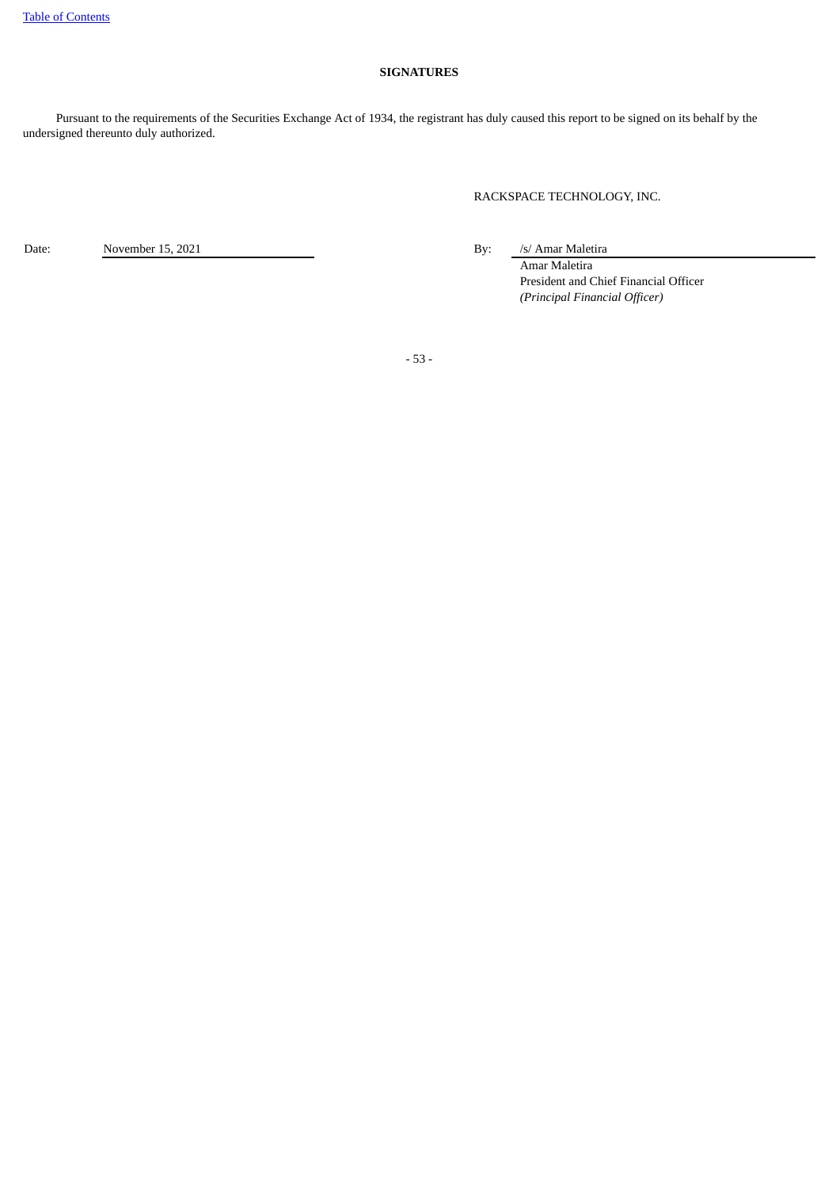# **SIGNATURES**

Pursuant to the requirements of the Securities Exchange Act of 1934, the registrant has duly caused this report to be signed on its behalf by the undersigned thereunto duly authorized.

RACKSPACE TECHNOLOGY, INC.

Date: November 15, 2021 **By:** /s/ Amar Maletira

Amar Maletira President and Chief Financial Officer *(Principal Financial Officer)*

- 53 -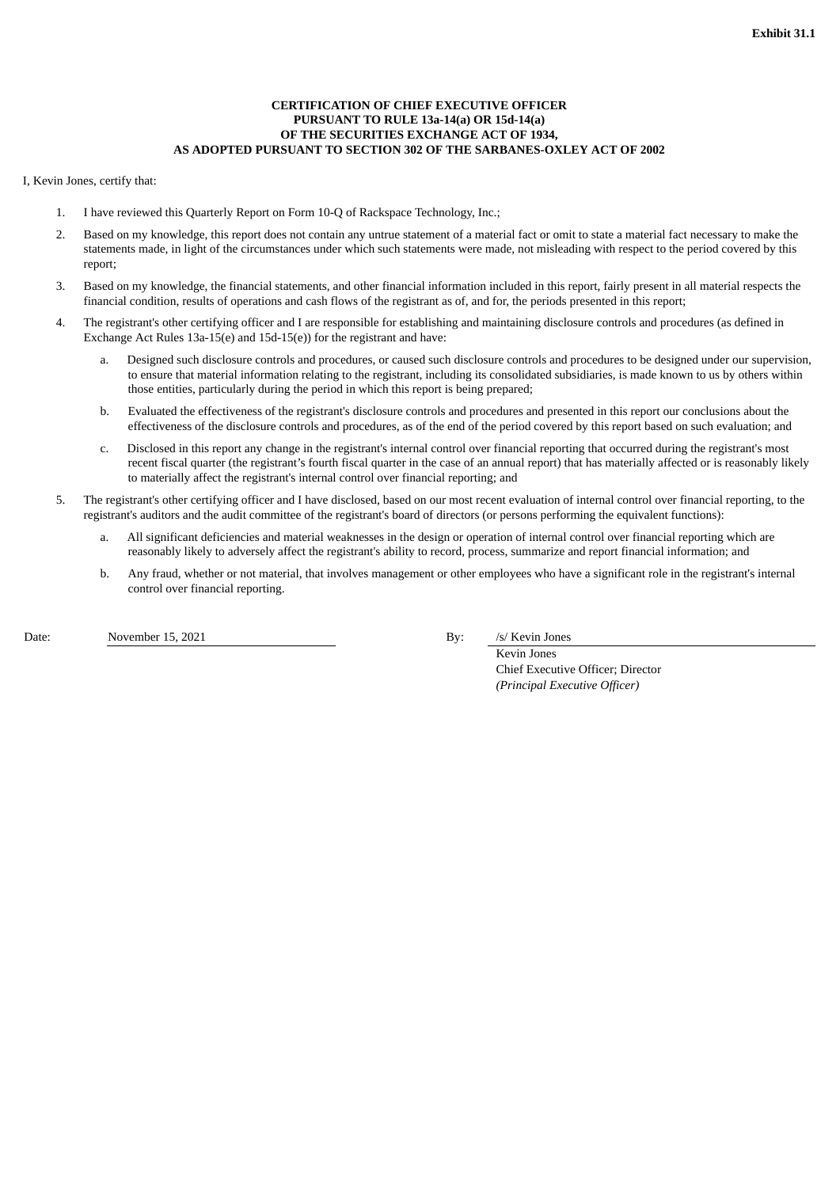# **CERTIFICATION OF CHIEF EXECUTIVE OFFICER PURSUANT TO RULE 13a-14(a) OR 15d-14(a) OF THE SECURITIES EXCHANGE ACT OF 1934, AS ADOPTED PURSUANT TO SECTION 302 OF THE SARBANES-OXLEY ACT OF 2002**

# <span id="page-55-0"></span>I, Kevin Jones, certify that:

- 1. I have reviewed this Quarterly Report on Form 10-Q of Rackspace Technology, Inc.;
- 2. Based on my knowledge, this report does not contain any untrue statement of a material fact or omit to state a material fact necessary to make the statements made, in light of the circumstances under which such statements were made, not misleading with respect to the period covered by this report;
- 3. Based on my knowledge, the financial statements, and other financial information included in this report, fairly present in all material respects the financial condition, results of operations and cash flows of the registrant as of, and for, the periods presented in this report;
- 4. The registrant's other certifying officer and I are responsible for establishing and maintaining disclosure controls and procedures (as defined in Exchange Act Rules 13a-15(e) and 15d-15(e)) for the registrant and have:
	- Designed such disclosure controls and procedures, or caused such disclosure controls and procedures to be designed under our supervision, to ensure that material information relating to the registrant, including its consolidated subsidiaries, is made known to us by others within those entities, particularly during the period in which this report is being prepared;
	- b. Evaluated the effectiveness of the registrant's disclosure controls and procedures and presented in this report our conclusions about the effectiveness of the disclosure controls and procedures, as of the end of the period covered by this report based on such evaluation; and
	- c. Disclosed in this report any change in the registrant's internal control over financial reporting that occurred during the registrant's most recent fiscal quarter (the registrant's fourth fiscal quarter in the case of an annual report) that has materially affected or is reasonably likely to materially affect the registrant's internal control over financial reporting; and
- 5. The registrant's other certifying officer and I have disclosed, based on our most recent evaluation of internal control over financial reporting, to the registrant's auditors and the audit committee of the registrant's board of directors (or persons performing the equivalent functions):
	- a. All significant deficiencies and material weaknesses in the design or operation of internal control over financial reporting which are reasonably likely to adversely affect the registrant's ability to record, process, summarize and report financial information; and
	- b. Any fraud, whether or not material, that involves management or other employees who have a significant role in the registrant's internal control over financial reporting.

Date: November 15, 2021 By: /s/ Kevin Jones

Kevin Jones Chief Executive Officer; Director *(Principal Executive Officer)*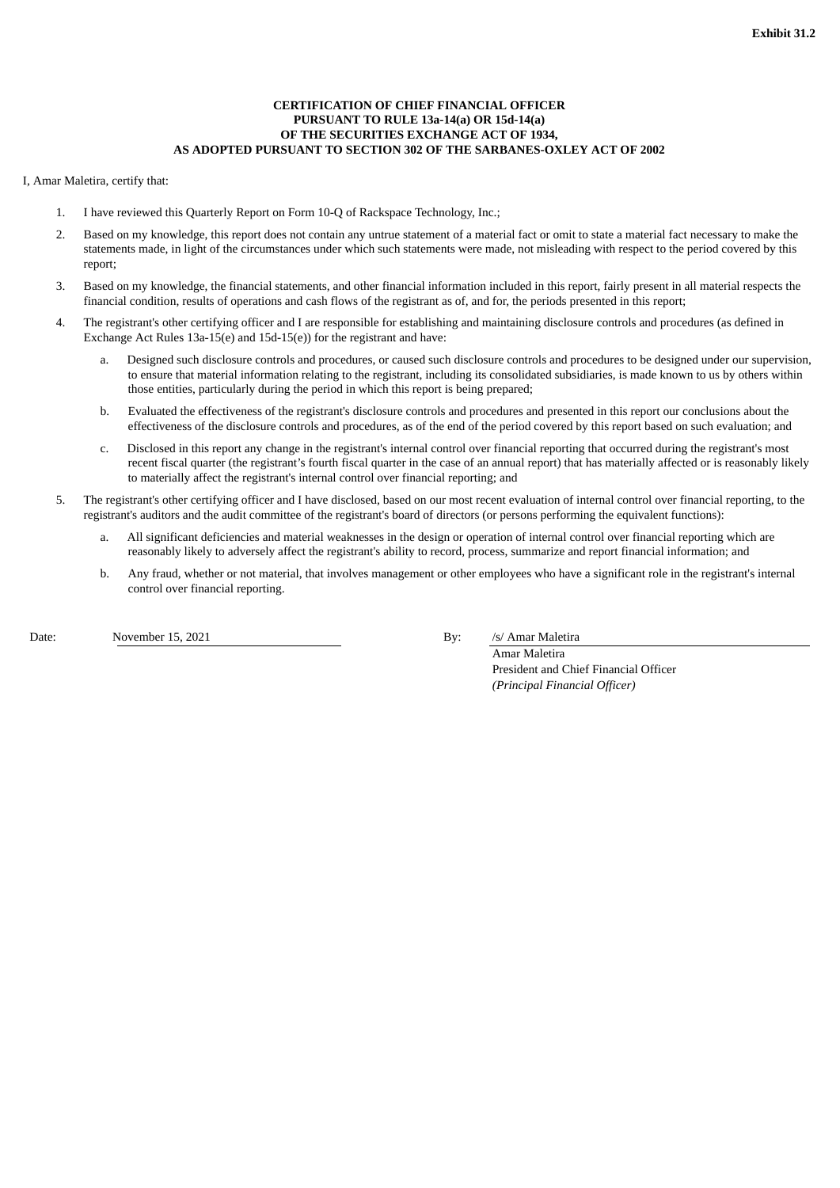# **CERTIFICATION OF CHIEF FINANCIAL OFFICER PURSUANT TO RULE 13a-14(a) OR 15d-14(a) OF THE SECURITIES EXCHANGE ACT OF 1934, AS ADOPTED PURSUANT TO SECTION 302 OF THE SARBANES-OXLEY ACT OF 2002**

<span id="page-56-0"></span>I, Amar Maletira, certify that:

- 1. I have reviewed this Quarterly Report on Form 10-Q of Rackspace Technology, Inc.;
- 2. Based on my knowledge, this report does not contain any untrue statement of a material fact or omit to state a material fact necessary to make the statements made, in light of the circumstances under which such statements were made, not misleading with respect to the period covered by this report;
- 3. Based on my knowledge, the financial statements, and other financial information included in this report, fairly present in all material respects the financial condition, results of operations and cash flows of the registrant as of, and for, the periods presented in this report;
- 4. The registrant's other certifying officer and I are responsible for establishing and maintaining disclosure controls and procedures (as defined in Exchange Act Rules 13a-15(e) and 15d-15(e)) for the registrant and have:
	- Designed such disclosure controls and procedures, or caused such disclosure controls and procedures to be designed under our supervision, to ensure that material information relating to the registrant, including its consolidated subsidiaries, is made known to us by others within those entities, particularly during the period in which this report is being prepared;
	- b. Evaluated the effectiveness of the registrant's disclosure controls and procedures and presented in this report our conclusions about the effectiveness of the disclosure controls and procedures, as of the end of the period covered by this report based on such evaluation; and
	- c. Disclosed in this report any change in the registrant's internal control over financial reporting that occurred during the registrant's most recent fiscal quarter (the registrant's fourth fiscal quarter in the case of an annual report) that has materially affected or is reasonably likely to materially affect the registrant's internal control over financial reporting; and
- 5. The registrant's other certifying officer and I have disclosed, based on our most recent evaluation of internal control over financial reporting, to the registrant's auditors and the audit committee of the registrant's board of directors (or persons performing the equivalent functions):
	- a. All significant deficiencies and material weaknesses in the design or operation of internal control over financial reporting which are reasonably likely to adversely affect the registrant's ability to record, process, summarize and report financial information; and
	- b. Any fraud, whether or not material, that involves management or other employees who have a significant role in the registrant's internal control over financial reporting.

Date: November 15, 2021 By: /s/ Amar Maletira

Amar Maletira President and Chief Financial Officer *(Principal Financial Officer)*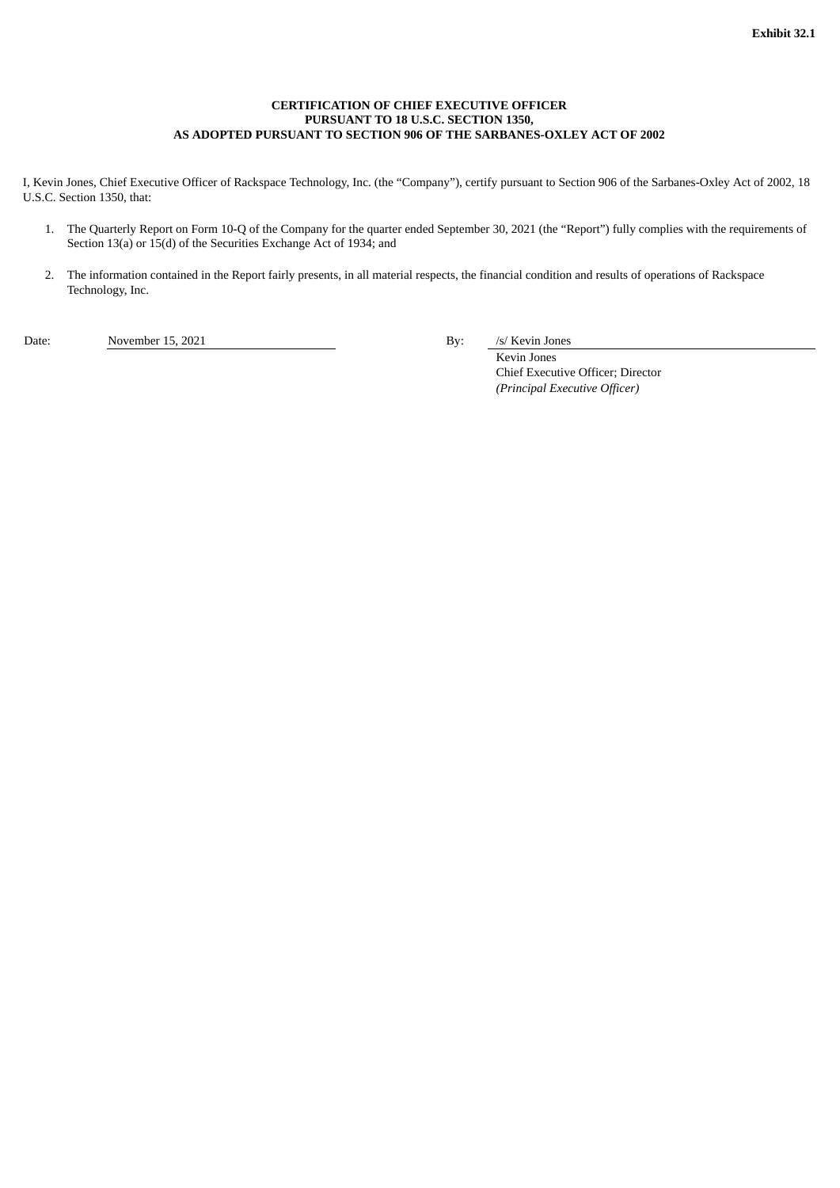# **CERTIFICATION OF CHIEF EXECUTIVE OFFICER PURSUANT TO 18 U.S.C. SECTION 1350, AS ADOPTED PURSUANT TO SECTION 906 OF THE SARBANES-OXLEY ACT OF 2002**

<span id="page-57-0"></span>I, Kevin Jones, Chief Executive Officer of Rackspace Technology, Inc. (the "Company"), certify pursuant to Section 906 of the Sarbanes-Oxley Act of 2002, 18 U.S.C. Section 1350, that:

- 1. The Quarterly Report on Form 10-Q of the Company for the quarter ended September 30, 2021 (the "Report") fully complies with the requirements of Section 13(a) or 15(d) of the Securities Exchange Act of 1934; and
- 2. The information contained in the Report fairly presents, in all material respects, the financial condition and results of operations of Rackspace Technology, Inc.

Date: November 15, 2021 By: /s/ Kevin Jones

Kevin Jones Chief Executive Officer; Director *(Principal Executive Officer)*